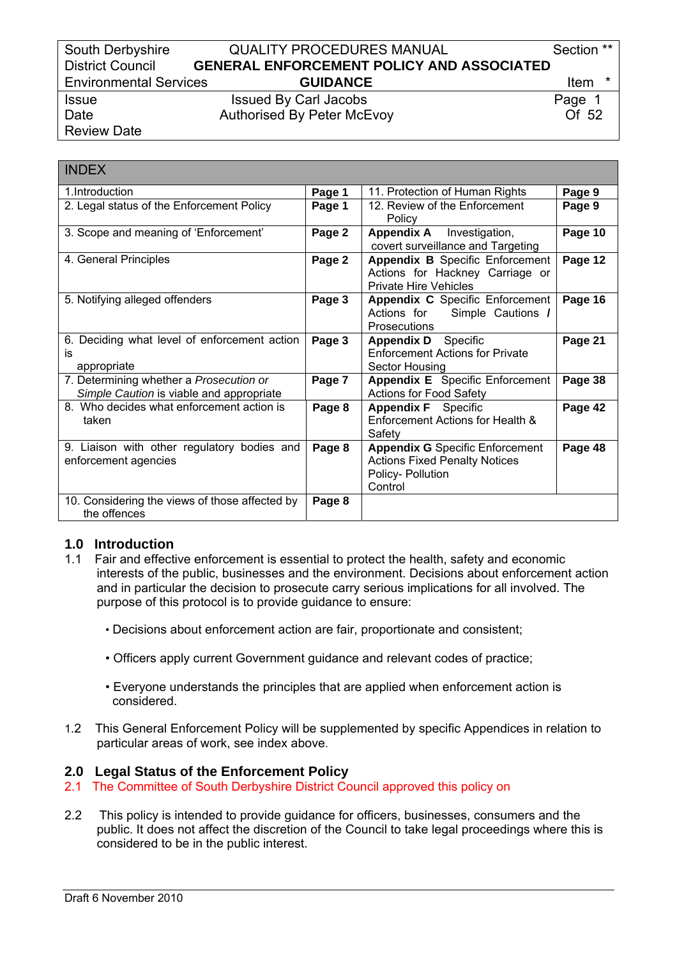### South Derbyshire **QUALITY PROCEDURES MANUAL** Section \*\* District Council **GENERAL ENFORCEMENT POLICY AND ASSOCIATED**  Environmental Services **GUIDANCE** Item \*

Issue Issued By Carl Jacobs **Page 1** Date **Authorised By Peter McEvoy COLLUST** 2

Review Date

| <b>INDEX</b>                                                                        |        |                                                                                                                |         |
|-------------------------------------------------------------------------------------|--------|----------------------------------------------------------------------------------------------------------------|---------|
| 1.Introduction                                                                      | Page 1 | 11. Protection of Human Rights                                                                                 | Page 9  |
| 2. Legal status of the Enforcement Policy                                           | Page 1 | 12. Review of the Enforcement<br>Policy                                                                        | Page 9  |
| 3. Scope and meaning of 'Enforcement'                                               | Page 2 | <b>Appendix A</b><br>Investigation,<br>covert surveillance and Targeting                                       | Page 10 |
| 4. General Principles                                                               | Page 2 | <b>Appendix B</b> Specific Enforcement<br>Actions for Hackney Carriage or<br><b>Private Hire Vehicles</b>      | Page 12 |
| 5. Notifying alleged offenders                                                      | Page 3 | Appendix C Specific Enforcement<br>Actions for Simple Cautions /<br><b>Prosecutions</b>                        | Page 16 |
| 6. Deciding what level of enforcement action<br>is<br>appropriate                   | Page 3 | <b>Appendix D</b> Specific<br><b>Enforcement Actions for Private</b><br>Sector Housing                         | Page 21 |
| 7. Determining whether a Prosecution or<br>Simple Caution is viable and appropriate | Page 7 | Appendix E Specific Enforcement<br><b>Actions for Food Safety</b>                                              | Page 38 |
| 8. Who decides what enforcement action is<br>taken                                  | Page 8 | Appendix F Specific<br>Enforcement Actions for Health &<br>Safety                                              | Page 42 |
| 9. Liaison with other regulatory bodies and<br>enforcement agencies                 | Page 8 | <b>Appendix G</b> Specific Enforcement<br><b>Actions Fixed Penalty Notices</b><br>Policy- Pollution<br>Control | Page 48 |
| 10. Considering the views of those affected by<br>the offences                      | Page 8 |                                                                                                                |         |

# **1.0 Introduction**

- 1.1 Fair and effective enforcement is essential to protect the health, safety and economic interests of the public, businesses and the environment. Decisions about enforcement action and in particular the decision to prosecute carry serious implications for all involved. The purpose of this protocol is to provide guidance to ensure:
	- Decisions about enforcement action are fair, proportionate and consistent;
	- Officers apply current Government guidance and relevant codes of practice;
	- Everyone understands the principles that are applied when enforcement action is considered.
- 1.2 This General Enforcement Policy will be supplemented by specific Appendices in relation to particular areas of work, see index above.

# **2.0 Legal Status of the Enforcement Policy**

- 2.1 The Committee of South Derbyshire District Council approved this policy on
- 2.2 This policy is intended to provide guidance for officers, businesses, consumers and the public. It does not affect the discretion of the Council to take legal proceedings where this is considered to be in the public interest.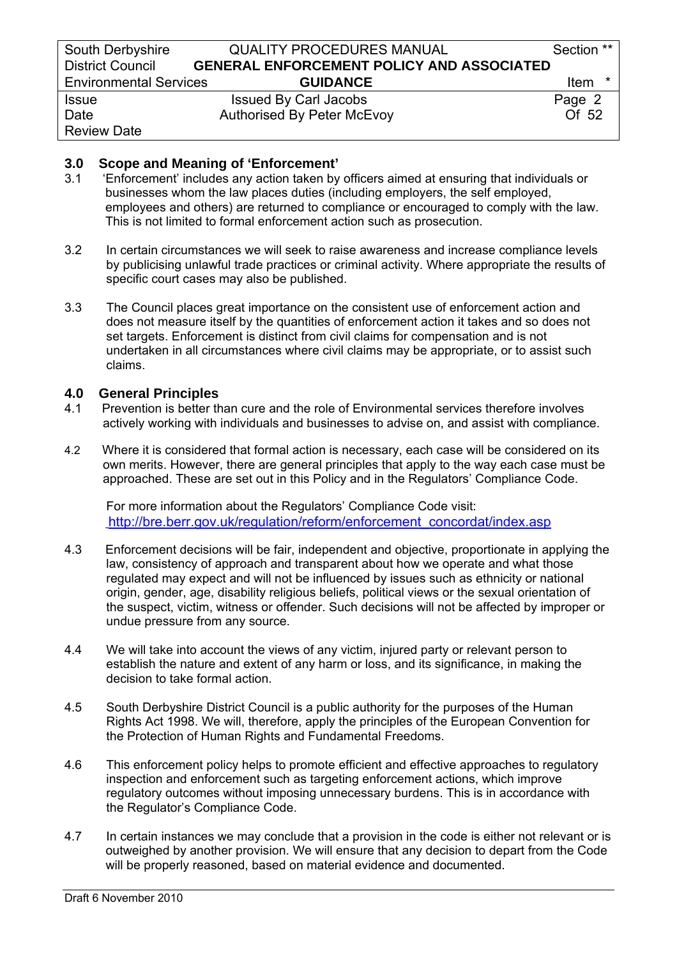| South Derbyshire              | <b>QUALITY PROCEDURES MANUAL</b>                 | Section **       |
|-------------------------------|--------------------------------------------------|------------------|
| <b>District Council</b>       | <b>GENERAL ENFORCEMENT POLICY AND ASSOCIATED</b> |                  |
| <b>Environmental Services</b> | <b>GUIDANCE</b>                                  | <b>Item</b><br>* |
| <b>Issue</b>                  | <b>Issued By Carl Jacobs</b>                     | Page 2           |
| Date                          | <b>Authorised By Peter McEvoy</b>                | Of 52            |
| <b>Review Date</b>            |                                                  |                  |

### **3.0 Scope and Meaning of 'Enforcement'**

- 3.1 'Enforcement' includes any action taken by officers aimed at ensuring that individuals or businesses whom the law places duties (including employers, the self employed, employees and others) are returned to compliance or encouraged to comply with the law. This is not limited to formal enforcement action such as prosecution.
- 3.2 In certain circumstances we will seek to raise awareness and increase compliance levels by publicising unlawful trade practices or criminal activity. Where appropriate the results of specific court cases may also be published.
- 3.3 The Council places great importance on the consistent use of enforcement action and does not measure itself by the quantities of enforcement action it takes and so does not set targets. Enforcement is distinct from civil claims for compensation and is not undertaken in all circumstances where civil claims may be appropriate, or to assist such claims.

### **4.0 General Principles**

- 4.1 Prevention is better than cure and the role of Environmental services therefore involves actively working with individuals and businesses to advise on, and assist with compliance.
- 4.2 Where it is considered that formal action is necessary, each case will be considered on its own merits. However, there are general principles that apply to the way each case must be approached. These are set out in this Policy and in the Regulators' Compliance Code.

 For more information about the Regulators' Compliance Code visit: [http://bre.berr.gov.uk/regulation/reform/enforcement\\_concordat/index.asp](http://bre.berr.gov.uk/regulation/reform/enforcement_concordat/index.asp)

- 4.3 Enforcement decisions will be fair, independent and objective, proportionate in applying the law, consistency of approach and transparent about how we operate and what those regulated may expect and will not be influenced by issues such as ethnicity or national origin, gender, age, disability religious beliefs, political views or the sexual orientation of the suspect, victim, witness or offender. Such decisions will not be affected by improper or undue pressure from any source.
- 4.4 We will take into account the views of any victim, injured party or relevant person to establish the nature and extent of any harm or loss, and its significance, in making the decision to take formal action.
- 4.5 South Derbyshire District Council is a public authority for the purposes of the Human Rights Act 1998. We will, therefore, apply the principles of the European Convention for the Protection of Human Rights and Fundamental Freedoms.
- 4.6 This enforcement policy helps to promote efficient and effective approaches to regulatory inspection and enforcement such as targeting enforcement actions, which improve regulatory outcomes without imposing unnecessary burdens. This is in accordance with the Regulator's Compliance Code.
- 4.7 In certain instances we may conclude that a provision in the code is either not relevant or is outweighed by another provision. We will ensure that any decision to depart from the Code will be properly reasoned, based on material evidence and documented.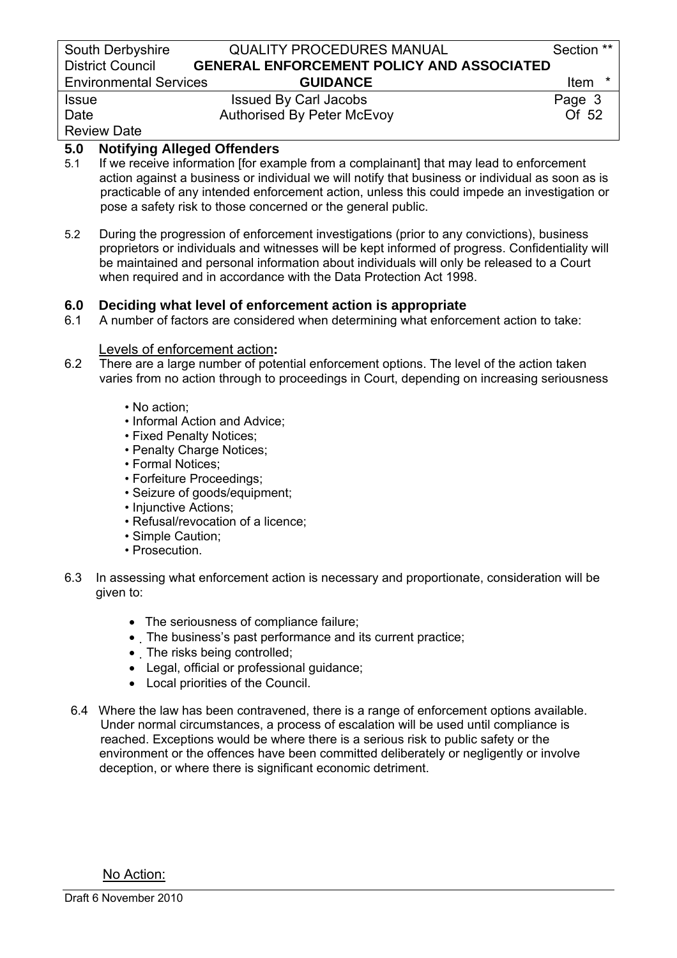| South Derbyshire              | <b>QUALITY PROCEDURES MANUAL</b>                 | Section **  |
|-------------------------------|--------------------------------------------------|-------------|
| <b>District Council</b>       | <b>GENERAL ENFORCEMENT POLICY AND ASSOCIATED</b> |             |
| <b>Environmental Services</b> | <b>GUIDANCE</b>                                  | <b>Item</b> |
| <b>Issue</b>                  | <b>Issued By Carl Jacobs</b>                     | Page 3      |
| Date                          | <b>Authorised By Peter McEvoy</b>                | Of 52       |
| <b>Review Date</b>            |                                                  |             |

# **5.0 Notifying Alleged Offenders**

- 5.1 If we receive information [for example from a complainant] that may lead to enforcement action against a business or individual we will notify that business or individual as soon as is practicable of any intended enforcement action, unless this could impede an investigation or pose a safety risk to those concerned or the general public.
- 5.2 During the progression of enforcement investigations (prior to any convictions), business proprietors or individuals and witnesses will be kept informed of progress. Confidentiality will be maintained and personal information about individuals will only be released to a Court when required and in accordance with the Data Protection Act 1998.

### **6.0 Deciding what level of enforcement action is appropriate**

6.1 A number of factors are considered when determining what enforcement action to take:

### Levels of enforcement action**:**

- 6.2 There are a large number of potential enforcement options. The level of the action taken varies from no action through to proceedings in Court, depending on increasing seriousness
	- No action;
	- Informal Action and Advice;
	- Fixed Penalty Notices;
	- Penalty Charge Notices;
	- Formal Notices;
	- Forfeiture Proceedings;
	- Seizure of goods/equipment;
	- Injunctive Actions:
	- Refusal/revocation of a licence;
	- Simple Caution;
	- Prosecution.
- 6.3 In assessing what enforcement action is necessary and proportionate, consideration will be given to:
	- The seriousness of compliance failure;
	- The business's past performance and its current practice;
	- The risks being controlled;
	- Legal, official or professional guidance;
	- Local priorities of the Council.
- 6.4 Where the law has been contravened, there is a range of enforcement options available. Under normal circumstances, a process of escalation will be used until compliance is reached. Exceptions would be where there is a serious risk to public safety or the environment or the offences have been committed deliberately or negligently or involve deception, or where there is significant economic detriment.

No Action: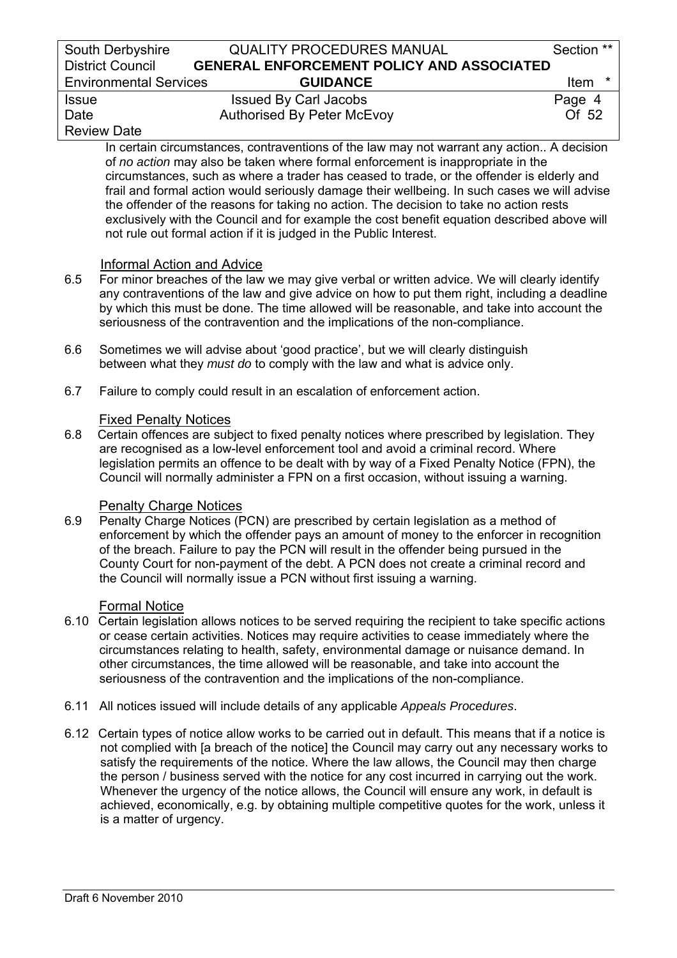# South Derbyshire **QUALITY PROCEDURES MANUAL** Section \*\* District Council **GENERAL ENFORCEMENT POLICY AND ASSOCIATED**  Environmental Services **GUIDANCE** Item \* Issue Issued By Carl Jacobs Page 4

# Date **Authorised By Peter McEvoy COLLUST** 2

# Review Date

In certain circumstances, contraventions of the law may not warrant any action.. A decision of *no action* may also be taken where formal enforcement is inappropriate in the circumstances, such as where a trader has ceased to trade, or the offender is elderly and frail and formal action would seriously damage their wellbeing. In such cases we will advise the offender of the reasons for taking no action. The decision to take no action rests exclusively with the Council and for example the cost benefit equation described above will not rule out formal action if it is judged in the Public Interest.

# Informal Action and Advice

- 6.5 For minor breaches of the law we may give verbal or written advice. We will clearly identify any contraventions of the law and give advice on how to put them right, including a deadline by which this must be done. The time allowed will be reasonable, and take into account the seriousness of the contravention and the implications of the non-compliance.
- 6.6 Sometimes we will advise about 'good practice', but we will clearly distinguish between what they *must do* to comply with the law and what is advice only.
- 6.7 Failure to comply could result in an escalation of enforcement action.

# **Fixed Penalty Notices**

6.8 Certain offences are subject to fixed penalty notices where prescribed by legislation. They are recognised as a low-level enforcement tool and avoid a criminal record. Where legislation permits an offence to be dealt with by way of a Fixed Penalty Notice (FPN), the Council will normally administer a FPN on a first occasion, without issuing a warning.

# **Penalty Charge Notices**

6.9 Penalty Charge Notices (PCN) are prescribed by certain legislation as a method of enforcement by which the offender pays an amount of money to the enforcer in recognition of the breach. Failure to pay the PCN will result in the offender being pursued in the County Court for non-payment of the debt. A PCN does not create a criminal record and the Council will normally issue a PCN without first issuing a warning.

# Formal Notice

- 6.10 Certain legislation allows notices to be served requiring the recipient to take specific actions or cease certain activities. Notices may require activities to cease immediately where the circumstances relating to health, safety, environmental damage or nuisance demand. In other circumstances, the time allowed will be reasonable, and take into account the seriousness of the contravention and the implications of the non-compliance.
- 6.11 All notices issued will include details of any applicable *Appeals Procedures*.
- 6.12 Certain types of notice allow works to be carried out in default. This means that if a notice is not complied with [a breach of the notice] the Council may carry out any necessary works to satisfy the requirements of the notice. Where the law allows, the Council may then charge the person / business served with the notice for any cost incurred in carrying out the work. Whenever the urgency of the notice allows, the Council will ensure any work, in default is achieved, economically, e.g. by obtaining multiple competitive quotes for the work, unless it is a matter of urgency.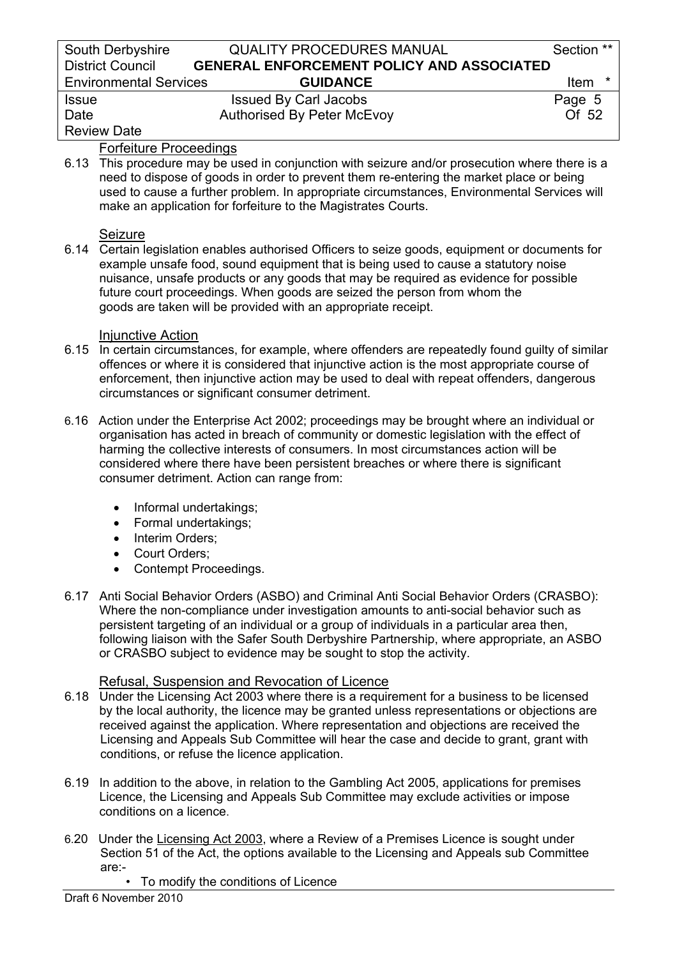| South Derbyshire              | <b>QUALITY PROCEDURES MANUAL</b>                 | Section **  |
|-------------------------------|--------------------------------------------------|-------------|
| <b>District Council</b>       | <b>GENERAL ENFORCEMENT POLICY AND ASSOCIATED</b> |             |
| <b>Environmental Services</b> | <b>GUIDANCE</b>                                  | <b>Item</b> |
| <b>Issue</b>                  | <b>Issued By Carl Jacobs</b>                     | Page 5      |
| Date                          | <b>Authorised By Peter McEvoy</b>                | Of 52       |
| <b>Review Date</b>            |                                                  |             |

### Forfeiture Proceedings

6.13 This procedure may be used in conjunction with seizure and/or prosecution where there is a need to dispose of goods in order to prevent them re-entering the market place or being used to cause a further problem. In appropriate circumstances, Environmental Services will make an application for forfeiture to the Magistrates Courts.

### Seizure

6.14 Certain legislation enables authorised Officers to seize goods, equipment or documents for example unsafe food, sound equipment that is being used to cause a statutory noise nuisance, unsafe products or any goods that may be required as evidence for possible future court proceedings. When goods are seized the person from whom the goods are taken will be provided with an appropriate receipt.

#### Injunctive Action

- 6.15 In certain circumstances, for example, where offenders are repeatedly found guilty of similar offences or where it is considered that injunctive action is the most appropriate course of enforcement, then injunctive action may be used to deal with repeat offenders, dangerous circumstances or significant consumer detriment.
- 6.16 Action under the Enterprise Act 2002; proceedings may be brought where an individual or organisation has acted in breach of community or domestic legislation with the effect of harming the collective interests of consumers. In most circumstances action will be considered where there have been persistent breaches or where there is significant consumer detriment. Action can range from:
	- Informal undertakings;
	- Formal undertakings;
	- Interim Orders;
	- Court Orders;
	- Contempt Proceedings.
- 6.17 Anti Social Behavior Orders (ASBO) and Criminal Anti Social Behavior Orders (CRASBO): Where the non-compliance under investigation amounts to anti-social behavior such as persistent targeting of an individual or a group of individuals in a particular area then, following liaison with the Safer South Derbyshire Partnership, where appropriate, an ASBO or CRASBO subject to evidence may be sought to stop the activity.

### Refusal, Suspension and Revocation of Licence

- 6.18 Under the Licensing Act 2003 where there is a requirement for a business to be licensed by the local authority, the licence may be granted unless representations or objections are received against the application. Where representation and objections are received the Licensing and Appeals Sub Committee will hear the case and decide to grant, grant with conditions, or refuse the licence application.
- 6.19 In addition to the above, in relation to the Gambling Act 2005, applications for premises Licence, the Licensing and Appeals Sub Committee may exclude activities or impose conditions on a licence.
- 6.20 Under the Licensing Act 2003, where a Review of a Premises Licence is sought under Section 51 of the Act, the options available to the Licensing and Appeals sub Committee are:-
	- To modify the conditions of Licence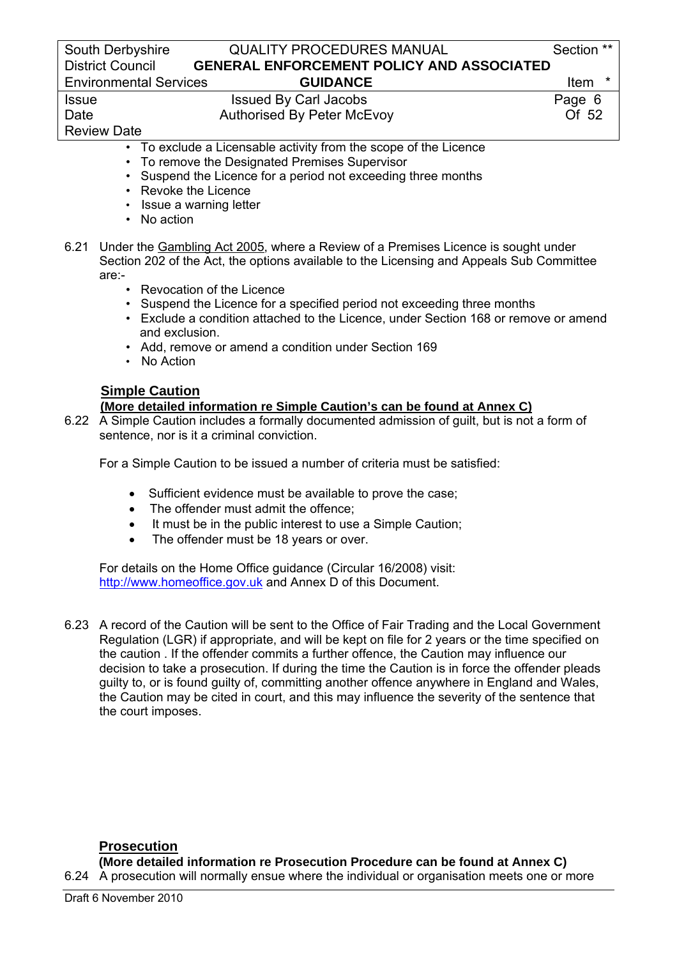### South Derbyshire **QUALITY PROCEDURES MANUAL** Section \*\* District Council **GENERAL ENFORCEMENT POLICY AND ASSOCIATED**  Environmental Services **GUIDANCE** Item \*

Issue Issued By Carl Jacobs **Page 6** Date **Authorised By Peter McEvoy CHO** Authorised By Peter McEvoy

Review Date

- To exclude a Licensable activity from the scope of the Licence
- To remove the Designated Premises Supervisor
- Suspend the Licence for a period not exceeding three months
- Revoke the Licence
- Issue a warning letter
- No action
- 6.21 Under the Gambling Act 2005, where a Review of a Premises Licence is sought under Section 202 of the Act, the options available to the Licensing and Appeals Sub Committee are:-
	- Revocation of the Licence
	- Suspend the Licence for a specified period not exceeding three months
	- Exclude a condition attached to the Licence, under Section 168 or remove or amend and exclusion.
	- Add, remove or amend a condition under Section 169
	- No Action

# **Simple Caution**

# **(More detailed information re Simple Caution's can be found at Annex C)**

6.22 A Simple Caution includes a formally documented admission of guilt, but is not a form of sentence, nor is it a criminal conviction.

For a Simple Caution to be issued a number of criteria must be satisfied:

- Sufficient evidence must be available to prove the case;
- The offender must admit the offence;
- It must be in the public interest to use a Simple Caution;
- The offender must be 18 years or over.

 For details on the Home Office guidance (Circular 16/2008) visit: [http://www.homeoffice.gov.uk](http://www.homeoffice.gov.uk/) and Annex D of this Document.

6.23 A record of the Caution will be sent to the Office of Fair Trading and the Local Government Regulation (LGR) if appropriate, and will be kept on file for 2 years or the time specified on the caution . If the offender commits a further offence, the Caution may influence our decision to take a prosecution. If during the time the Caution is in force the offender pleads guilty to, or is found guilty of, committing another offence anywhere in England and Wales, the Caution may be cited in court, and this may influence the severity of the sentence that the court imposes.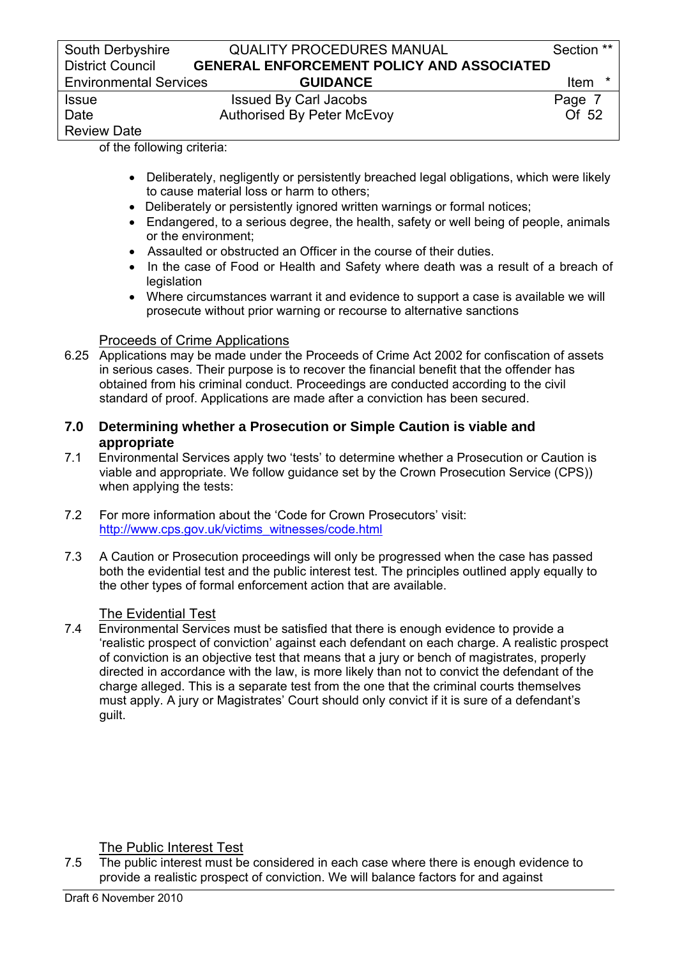of the following criteria:

- Deliberately, negligently or persistently breached legal obligations, which were likely to cause material loss or harm to others;
- Deliberately or persistently ignored written warnings or formal notices:
- Endangered, to a serious degree, the health, safety or well being of people, animals or the environment;
- Assaulted or obstructed an Officer in the course of their duties.
- In the case of Food or Health and Safety where death was a result of a breach of **legislation**
- Where circumstances warrant it and evidence to support a case is available we will prosecute without prior warning or recourse to alternative sanctions

### Proceeds of Crime Applications

6.25 Applications may be made under the Proceeds of Crime Act 2002 for confiscation of assets in serious cases. Their purpose is to recover the financial benefit that the offender has obtained from his criminal conduct. Proceedings are conducted according to the civil standard of proof. Applications are made after a conviction has been secured.

### **7.0 Determining whether a Prosecution or Simple Caution is viable and appropriate**

- 7.1 Environmental Services apply two 'tests' to determine whether a Prosecution or Caution is viable and appropriate. We follow guidance set by the Crown Prosecution Service (CPS)) when applying the tests:
- 7.2 For more information about the 'Code for Crown Prosecutors' visit: [http://www.cps.gov.uk/victims\\_witnesses/code.html](http://www.cps.gov.uk/victims_witnesses/code.html)
- 7.3 A Caution or Prosecution proceedings will only be progressed when the case has passed both the evidential test and the public interest test. The principles outlined apply equally to the other types of formal enforcement action that are available.

The Evidential Test<br>7.4 Environmental Service Environmental Services must be satisfied that there is enough evidence to provide a 'realistic prospect of conviction' against each defendant on each charge. A realistic prospect of conviction is an objective test that means that a jury or bench of magistrates, properly directed in accordance with the law, is more likely than not to convict the defendant of the charge alleged. This is a separate test from the one that the criminal courts themselves must apply. A jury or Magistrates' Court should only convict if it is sure of a defendant's guilt.

The Public Interest Test

7.5 The public interest must be considered in each case where there is enough evidence to provide a realistic prospect of conviction. We will balance factors for and against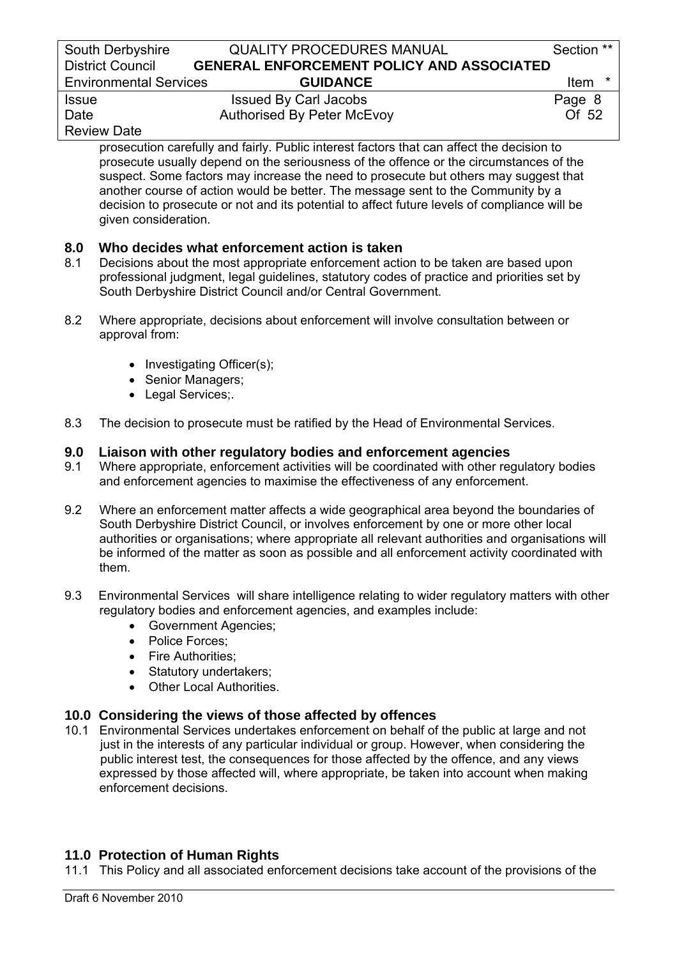| South Derbyshire              | <b>QUALITY PROCEDURES MANUAL</b>                                                       | Section **           |
|-------------------------------|----------------------------------------------------------------------------------------|----------------------|
| <b>District Council</b>       | <b>GENERAL ENFORCEMENT POLICY AND ASSOCIATED</b>                                       |                      |
| <b>Environmental Services</b> | <b>GUIDANCE</b>                                                                        | Item                 |
| <b>Issue</b>                  | <b>Issued By Carl Jacobs</b>                                                           | Page 8               |
|                               | $\mathbf{A}$ the set of $\mathbf{B}$ of $\mathbf{B}$ and $\mathbf{A}$ and $\mathbf{B}$ | $\sim$ $\sim$ $\sim$ |

# Review Date

Date **Authorised By Peter McEvoy COLLUST** 2

 prosecution carefully and fairly. Public interest factors that can affect the decision to prosecute usually depend on the seriousness of the offence or the circumstances of the suspect. Some factors may increase the need to prosecute but others may suggest that another course of action would be better. The message sent to the Community by a decision to prosecute or not and its potential to affect future levels of compliance will be given consideration.

# **8.0 Who decides what enforcement action is taken**

- 8.1 Decisions about the most appropriate enforcement action to be taken are based upon professional judgment, legal guidelines, statutory codes of practice and priorities set by South Derbyshire District Council and/or Central Government.
- 8.2 Where appropriate, decisions about enforcement will involve consultation between or approval from:
	- Investigating Officer(s);
	- Senior Managers;
	- Legal Services;
- 8.3 The decision to prosecute must be ratified by the Head of Environmental Services.

# **9.0 Liaison with other regulatory bodies and enforcement agencies**

- 9.1 Where appropriate, enforcement activities will be coordinated with other regulatory bodies and enforcement agencies to maximise the effectiveness of any enforcement.
- 9.2 Where an enforcement matter affects a wide geographical area beyond the boundaries of South Derbyshire District Council, or involves enforcement by one or more other local authorities or organisations; where appropriate all relevant authorities and organisations will be informed of the matter as soon as possible and all enforcement activity coordinated with them.
- 9.3 Environmental Services will share intelligence relating to wider regulatory matters with other regulatory bodies and enforcement agencies, and examples include:
	- Government Agencies;
	- Police Forces:
	- Fire Authorities:
	- Statutory undertakers;
	- Other Local Authorities.

# **10.0 Considering the views of those affected by offences**

10.1 Environmental Services undertakes enforcement on behalf of the public at large and not just in the interests of any particular individual or group. However, when considering the public interest test, the consequences for those affected by the offence, and any views expressed by those affected will, where appropriate, be taken into account when making enforcement decisions.

# **11.0 Protection of Human Rights**

11.1 This Policy and all associated enforcement decisions take account of the provisions of the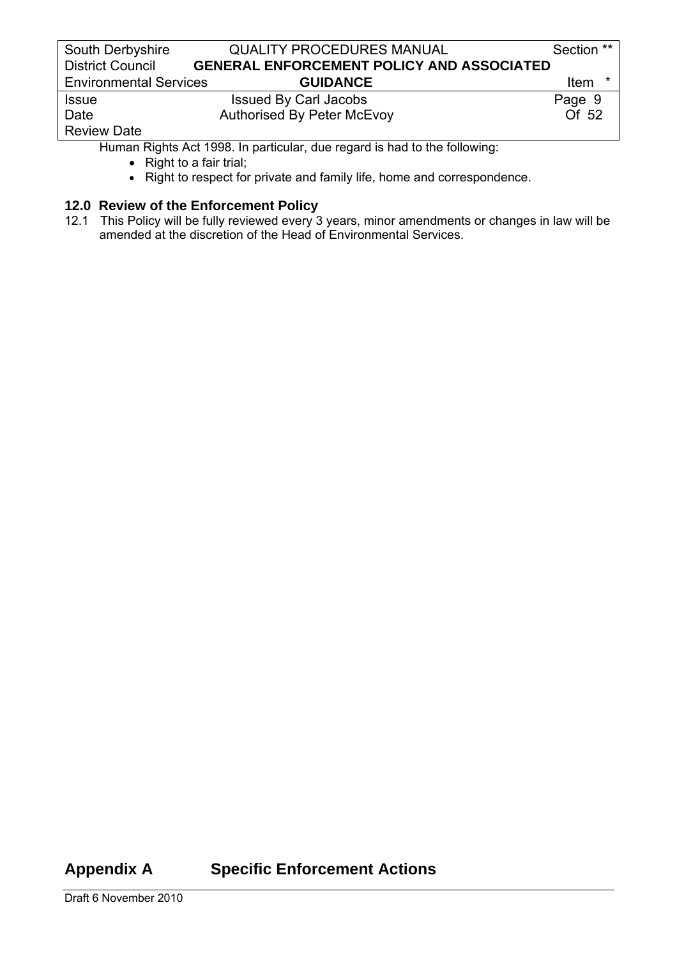| South Derbyshire              | <b>QUALITY PROCEDURES MANUAL</b>                 | Section ** |
|-------------------------------|--------------------------------------------------|------------|
| <b>District Council</b>       | <b>GENERAL ENFORCEMENT POLICY AND ASSOCIATED</b> |            |
| <b>Environmental Services</b> | <b>GUIDANCE</b>                                  | Item *     |
| <b>Issue</b>                  | <b>Issued By Carl Jacobs</b>                     | Page 9     |
| Date                          | <b>Authorised By Peter McEvoy</b>                | Of 52      |
| <b>Review Date</b>            |                                                  |            |

Human Rights Act 1998. In particular, due regard is had to the following:

- Right to a fair trial;
- Right to respect for private and family life, home and correspondence.

# **12.0 Review of the Enforcement Policy**

12.1 This Policy will be fully reviewed every 3 years, minor amendments or changes in law will be amended at the discretion of the Head of Environmental Services.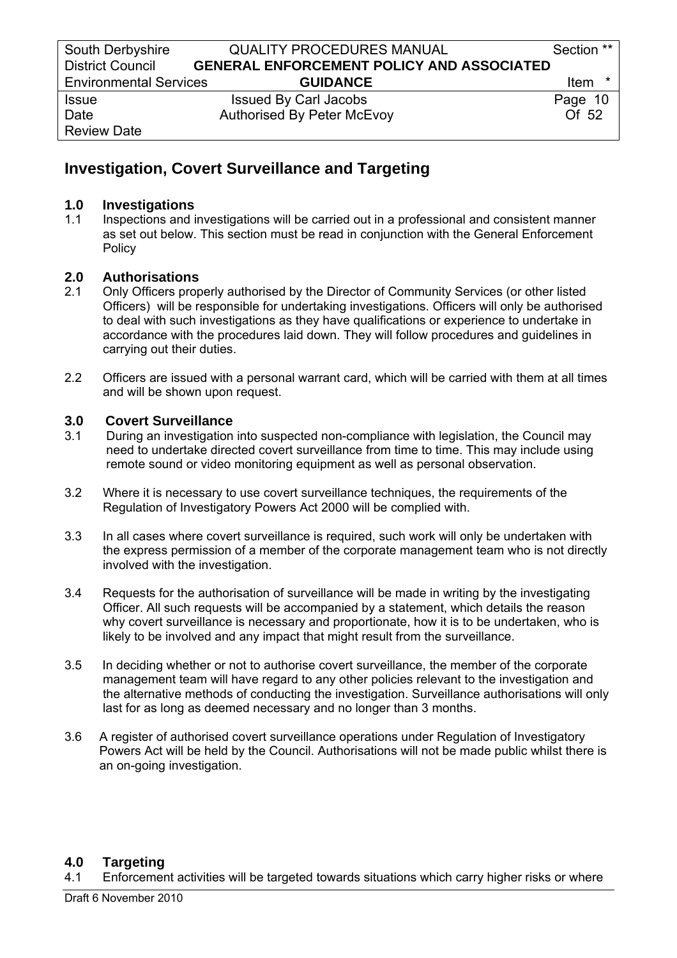# **Investigation, Covert Surveillance and Targeting**

### **1.0 Investigations**

1.1 Inspections and investigations will be carried out in a professional and consistent manner as set out below. This section must be read in conjunction with the General Enforcement Policy

# **2.0 Authorisations**

- 2.1 Only Officers properly authorised by the Director of Community Services (or other listed Officers) will be responsible for undertaking investigations. Officers will only be authorised to deal with such investigations as they have qualifications or experience to undertake in accordance with the procedures laid down. They will follow procedures and guidelines in carrying out their duties.
- 2.2 Officers are issued with a personal warrant card, which will be carried with them at all times and will be shown upon request.

# **3.0 Covert Surveillance**

- 3.1 During an investigation into suspected non-compliance with legislation, the Council may need to undertake directed covert surveillance from time to time. This may include using remote sound or video monitoring equipment as well as personal observation.
- 3.2 Where it is necessary to use covert surveillance techniques, the requirements of the Regulation of Investigatory Powers Act 2000 will be complied with.
- 3.3 In all cases where covert surveillance is required, such work will only be undertaken with the express permission of a member of the corporate management team who is not directly involved with the investigation.
- 3.4 Requests for the authorisation of surveillance will be made in writing by the investigating Officer. All such requests will be accompanied by a statement, which details the reason why covert surveillance is necessary and proportionate, how it is to be undertaken, who is likely to be involved and any impact that might result from the surveillance.
- 3.5 In deciding whether or not to authorise covert surveillance, the member of the corporate management team will have regard to any other policies relevant to the investigation and the alternative methods of conducting the investigation. Surveillance authorisations will only last for as long as deemed necessary and no longer than 3 months.
- 3.6 A register of authorised covert surveillance operations under Regulation of Investigatory Powers Act will be held by the Council. Authorisations will not be made public whilst there is an on-going investigation.

# **4.0 Targeting**

4.1 Enforcement activities will be targeted towards situations which carry higher risks or where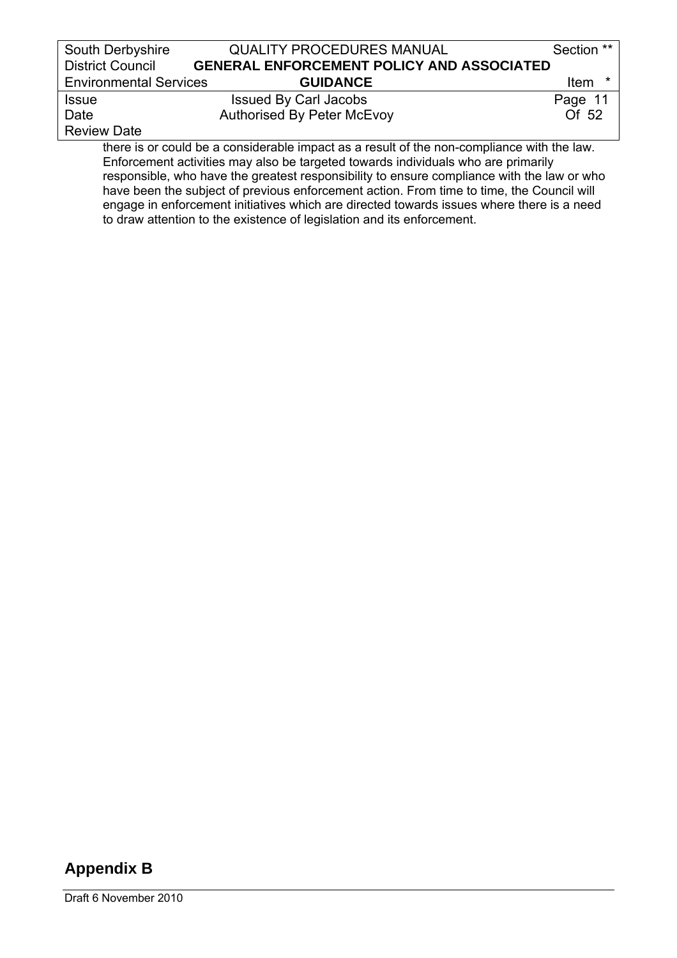| South Derbyshire                                                                          | <b>QUALITY PROCEDURES MANUAL</b>                 | Section **       |
|-------------------------------------------------------------------------------------------|--------------------------------------------------|------------------|
| <b>District Council</b>                                                                   | <b>GENERAL ENFORCEMENT POLICY AND ASSOCIATED</b> |                  |
| <b>Environmental Services</b>                                                             | <b>GUIDANCE</b>                                  | *<br><b>Item</b> |
| <b>Issue</b>                                                                              | <b>Issued By Carl Jacobs</b>                     | Page 11          |
| Date                                                                                      | <b>Authorised By Peter McEvoy</b>                | Of 52            |
| <b>Review Date</b>                                                                        |                                                  |                  |
| there is or could be a considerable impact as a result of the non-compliance with the law |                                                  |                  |

 there is or could be a considerable impact as a result of the non-compliance with the law. Enforcement activities may also be targeted towards individuals who are primarily responsible, who have the greatest responsibility to ensure compliance with the law or who have been the subject of previous enforcement action. From time to time, the Council will engage in enforcement initiatives which are directed towards issues where there is a need to draw attention to the existence of legislation and its enforcement.

# **Appendix B**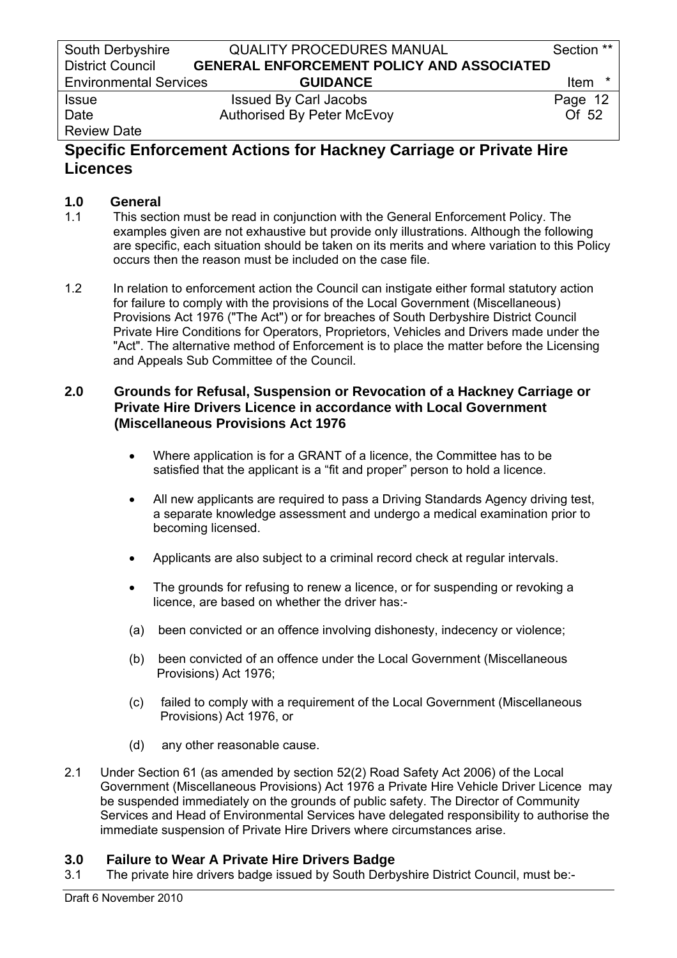# Review Date

# **Specific Enforcement Actions for Hackney Carriage or Private Hire Licences**

# **1.0 General**

- 1.1 This section must be read in conjunction with the General Enforcement Policy. The examples given are not exhaustive but provide only illustrations. Although the following are specific, each situation should be taken on its merits and where variation to this Policy occurs then the reason must be included on the case file.
- 1.2 In relation to enforcement action the Council can instigate either formal statutory action for failure to comply with the provisions of the Local Government (Miscellaneous) Provisions Act 1976 ("The Act") or for breaches of South Derbyshire District Council Private Hire Conditions for Operators, Proprietors, Vehicles and Drivers made under the "Act". The alternative method of Enforcement is to place the matter before the Licensing and Appeals Sub Committee of the Council.

# **2.0 Grounds for Refusal, Suspension or Revocation of a Hackney Carriage or Private Hire Drivers Licence in accordance with Local Government (Miscellaneous Provisions Act 1976**

- Where application is for a GRANT of a licence, the Committee has to be satisfied that the applicant is a "fit and proper" person to hold a licence.
- All new applicants are required to pass a Driving Standards Agency driving test, a separate knowledge assessment and undergo a medical examination prior to becoming licensed.
- Applicants are also subject to a criminal record check at regular intervals.
- The grounds for refusing to renew a licence, or for suspending or revoking a licence, are based on whether the driver has:-
- (a) been convicted or an offence involving dishonesty, indecency or violence;
- (b) been convicted of an offence under the Local Government (Miscellaneous Provisions) Act 1976;
- (c) failed to comply with a requirement of the Local Government (Miscellaneous Provisions) Act 1976, or
- (d) any other reasonable cause.
- 2.1 Under Section 61 (as amended by section 52(2) Road Safety Act 2006) of the Local Government (Miscellaneous Provisions) Act 1976 a Private Hire Vehicle Driver Licence may be suspended immediately on the grounds of public safety. The Director of Community Services and Head of Environmental Services have delegated responsibility to authorise the immediate suspension of Private Hire Drivers where circumstances arise.

# **3.0 Failure to Wear A Private Hire Drivers Badge**

3.1 The private hire drivers badge issued by South Derbyshire District Council, must be:-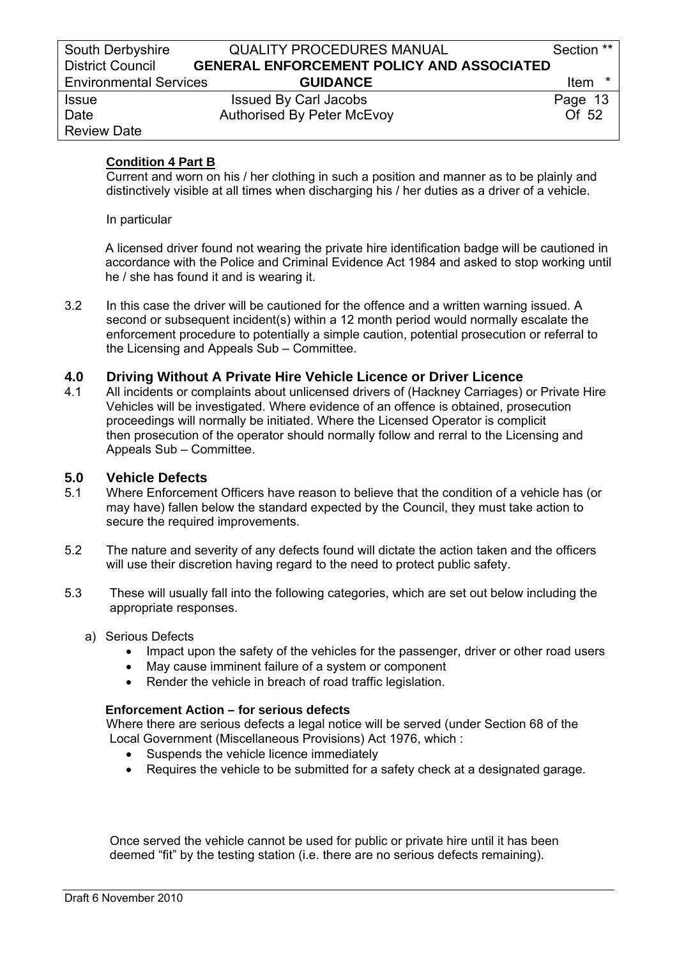### **Condition 4 Part B**

 Current and worn on his / her clothing in such a position and manner as to be plainly and distinctively visible at all times when discharging his / her duties as a driver of a vehicle.

In particular

A licensed driver found not wearing the private hire identification badge will be cautioned in accordance with the Police and Criminal Evidence Act 1984 and asked to stop working until he / she has found it and is wearing it.

3.2 In this case the driver will be cautioned for the offence and a written warning issued. A second or subsequent incident(s) within a 12 month period would normally escalate the enforcement procedure to potentially a simple caution, potential prosecution or referral to the Licensing and Appeals Sub – Committee.

#### **4.0 Driving Without A Private Hire Vehicle Licence or Driver Licence**

4.1 All incidents or complaints about unlicensed drivers of (Hackney Carriages) or Private Hire Vehicles will be investigated. Where evidence of an offence is obtained, prosecution proceedings will normally be initiated. Where the Licensed Operator is complicit then prosecution of the operator should normally follow and rerral to the Licensing and Appeals Sub – Committee.

#### **5.0 Vehicle Defects**

- 5.1 Where Enforcement Officers have reason to believe that the condition of a vehicle has (or may have) fallen below the standard expected by the Council, they must take action to secure the required improvements.
- 5.2 The nature and severity of any defects found will dictate the action taken and the officers will use their discretion having regard to the need to protect public safety.
- 5.3 These will usually fall into the following categories, which are set out below including the appropriate responses.
	- a) Serious Defects
		- Impact upon the safety of the vehicles for the passenger, driver or other road users
		- May cause imminent failure of a system or component
		- Render the vehicle in breach of road traffic legislation.

#### **Enforcement Action – for serious defects**

 Where there are serious defects a legal notice will be served (under Section 68 of the Local Government (Miscellaneous Provisions) Act 1976, which :

- Suspends the vehicle licence immediately
- Requires the vehicle to be submitted for a safety check at a designated garage.

 Once served the vehicle cannot be used for public or private hire until it has been deemed "fit" by the testing station (i.e. there are no serious defects remaining).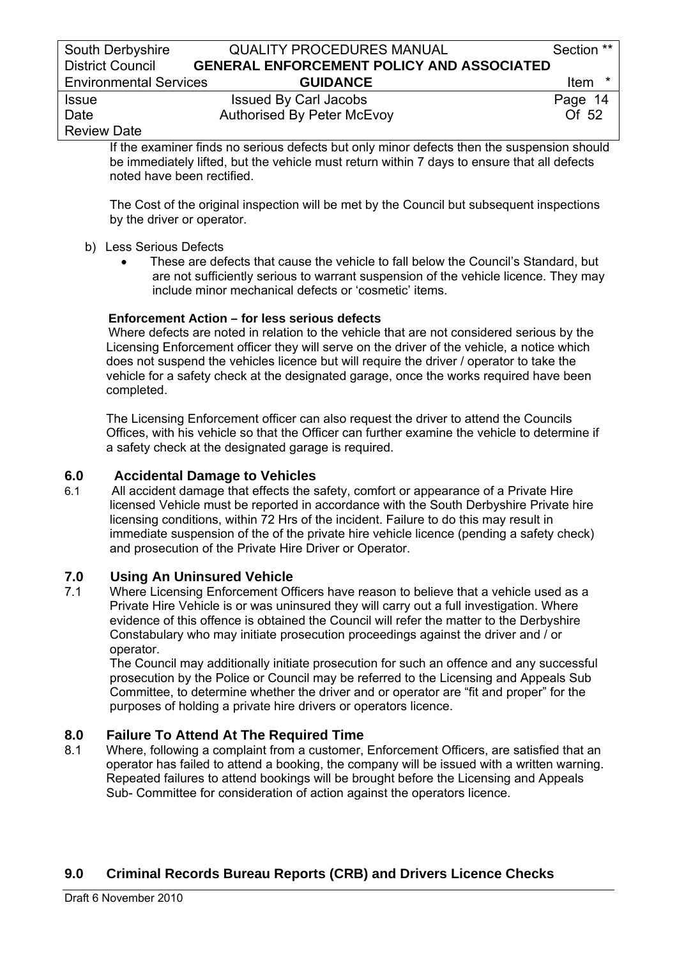# Review Date

 If the examiner finds no serious defects but only minor defects then the suspension should be immediately lifted, but the vehicle must return within 7 days to ensure that all defects noted have been rectified.

 The Cost of the original inspection will be met by the Council but subsequent inspections by the driver or operator.

### b) Less Serious Defects

• These are defects that cause the vehicle to fall below the Council's Standard, but are not sufficiently serious to warrant suspension of the vehicle licence. They may include minor mechanical defects or 'cosmetic' items.

### **Enforcement Action – for less serious defects**

 Where defects are noted in relation to the vehicle that are not considered serious by the Licensing Enforcement officer they will serve on the driver of the vehicle, a notice which does not suspend the vehicles licence but will require the driver / operator to take the vehicle for a safety check at the designated garage, once the works required have been completed.

 The Licensing Enforcement officer can also request the driver to attend the Councils Offices, with his vehicle so that the Officer can further examine the vehicle to determine if a safety check at the designated garage is required.

# **6.0 Accidental Damage to Vehicles**

6.1 All accident damage that effects the safety, comfort or appearance of a Private Hire licensed Vehicle must be reported in accordance with the South Derbyshire Private hire licensing conditions, within 72 Hrs of the incident. Failure to do this may result in immediate suspension of the of the private hire vehicle licence (pending a safety check) and prosecution of the Private Hire Driver or Operator.

# **7.0 Using An Uninsured Vehicle**

7.1 Where Licensing Enforcement Officers have reason to believe that a vehicle used as a Private Hire Vehicle is or was uninsured they will carry out a full investigation. Where evidence of this offence is obtained the Council will refer the matter to the Derbyshire Constabulary who may initiate prosecution proceedings against the driver and / or operator.

 The Council may additionally initiate prosecution for such an offence and any successful prosecution by the Police or Council may be referred to the Licensing and Appeals Sub Committee, to determine whether the driver and or operator are "fit and proper" for the purposes of holding a private hire drivers or operators licence.

# **8.0 Failure To Attend At The Required Time**

8.1 Where, following a complaint from a customer, Enforcement Officers, are satisfied that an operator has failed to attend a booking, the company will be issued with a written warning. Repeated failures to attend bookings will be brought before the Licensing and Appeals Sub- Committee for consideration of action against the operators licence.

# **9.0 Criminal Records Bureau Reports (CRB) and Drivers Licence Checks**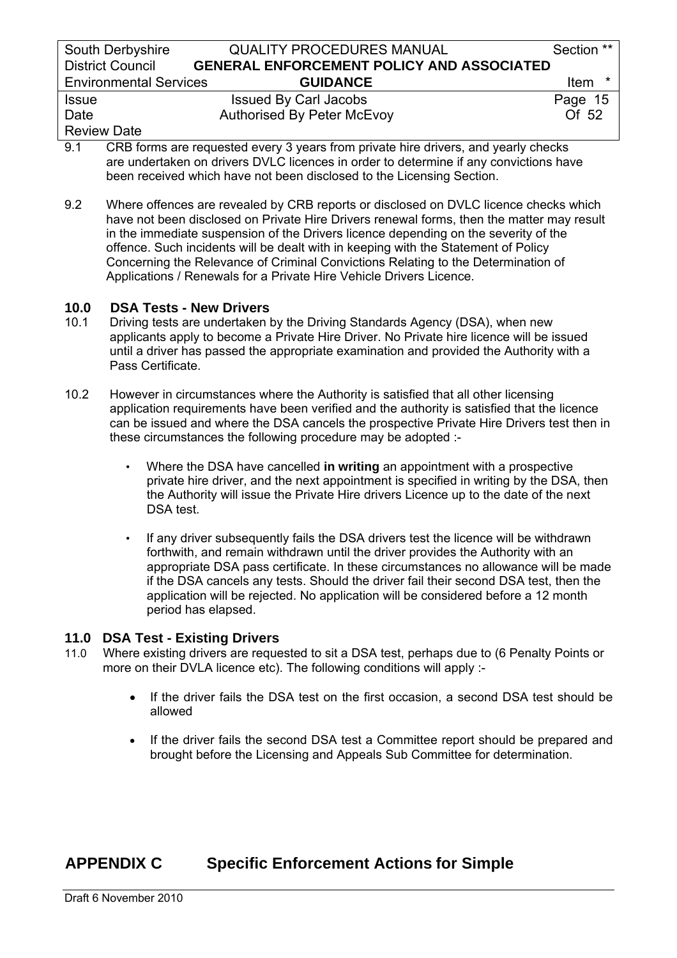| South Derbyshire              | <b>QUALITY PROCEDURES MANUAL</b>                 | Section **       |
|-------------------------------|--------------------------------------------------|------------------|
| <b>District Council</b>       | <b>GENERAL ENFORCEMENT POLICY AND ASSOCIATED</b> |                  |
| <b>Environmental Services</b> | <b>GUIDANCE</b>                                  | <b>Item</b><br>∗ |
| <b>Issue</b>                  | <b>Issued By Carl Jacobs</b>                     | Page 15          |
| Date                          | <b>Authorised By Peter McEvoy</b>                | Of 52            |
| <b>Review Date</b>            |                                                  |                  |

- 9.1 CRB forms are requested every 3 years from private hire drivers, and yearly checks are undertaken on drivers DVLC licences in order to determine if any convictions have been received which have not been disclosed to the Licensing Section.
- 9.2 Where offences are revealed by CRB reports or disclosed on DVLC licence checks which have not been disclosed on Private Hire Drivers renewal forms, then the matter may result in the immediate suspension of the Drivers licence depending on the severity of the offence. Such incidents will be dealt with in keeping with the Statement of Policy Concerning the Relevance of Criminal Convictions Relating to the Determination of Applications / Renewals for a Private Hire Vehicle Drivers Licence.

# **10.0 DSA Tests - New Drivers**<br>**10.1** Driving tests are undertaken **a**

- 10.1 Driving tests are undertaken by the Driving Standards Agency (DSA), when new applicants apply to become a Private Hire Driver. No Private hire licence will be issued until a driver has passed the appropriate examination and provided the Authority with a Pass Certificate.
- 10.2 However in circumstances where the Authority is satisfied that all other licensing application requirements have been verified and the authority is satisfied that the licence can be issued and where the DSA cancels the prospective Private Hire Drivers test then in these circumstances the following procedure may be adopted :-
	- Where the DSA have cancelled **in writing** an appointment with a prospective private hire driver, and the next appointment is specified in writing by the DSA, then the Authority will issue the Private Hire drivers Licence up to the date of the next DSA test.
	- If any driver subsequently fails the DSA drivers test the licence will be withdrawn forthwith, and remain withdrawn until the driver provides the Authority with an appropriate DSA pass certificate. In these circumstances no allowance will be made if the DSA cancels any tests. Should the driver fail their second DSA test, then the application will be rejected. No application will be considered before a 12 month period has elapsed.

# **11.0 DSA Test - Existing Drivers**

- 11.0 Where existing drivers are requested to sit a DSA test, perhaps due to (6 Penalty Points or more on their DVLA licence etc). The following conditions will apply :-
	- If the driver fails the DSA test on the first occasion, a second DSA test should be allowed
	- If the driver fails the second DSA test a Committee report should be prepared and brought before the Licensing and Appeals Sub Committee for determination.

# **APPENDIX C Specific Enforcement Actions for Simple**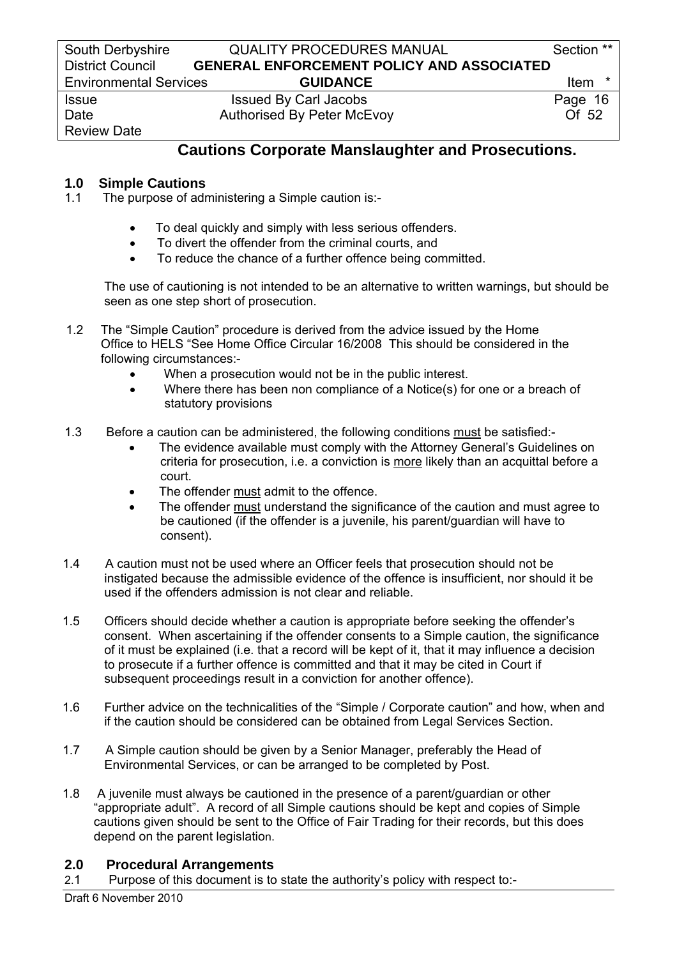Review Date

### South Derbyshire **QUALITY PROCEDURES MANUAL** Section \*\* District Council **GENERAL ENFORCEMENT POLICY AND ASSOCIATED**  Environmental Services **GUIDANCE** Item \*

Issue Issued By Carl Jacobs Page 16 Date **Authorised By Peter McEvoy COLLUST** 2

# **Cautions Corporate Manslaughter and Prosecutions.**

# **1.0 Simple Cautions**

- 1.1 The purpose of administering a Simple caution is:-
	- To deal quickly and simply with less serious offenders.
	- To divert the offender from the criminal courts, and
	- To reduce the chance of a further offence being committed.

 The use of cautioning is not intended to be an alternative to written warnings, but should be seen as one step short of prosecution.

- 1.2 The "Simple Caution" procedure is derived from the advice issued by the Home Office to HELS "See Home Office Circular 16/2008 This should be considered in the following circumstances:-
	- When a prosecution would not be in the public interest.
	- Where there has been non compliance of a Notice(s) for one or a breach of statutory provisions
- 1.3 Before a caution can be administered, the following conditions must be satisfied:-
	- The evidence available must comply with the Attorney General's Guidelines on criteria for prosecution, i.e. a conviction is more likely than an acquittal before a court.
	- The offender must admit to the offence.
	- The offender must understand the significance of the caution and must agree to be cautioned (if the offender is a juvenile, his parent/guardian will have to consent).
- 1.4 A caution must not be used where an Officer feels that prosecution should not be instigated because the admissible evidence of the offence is insufficient, nor should it be used if the offenders admission is not clear and reliable.
- 1.5 Officers should decide whether a caution is appropriate before seeking the offender's consent. When ascertaining if the offender consents to a Simple caution, the significance of it must be explained (i.e. that a record will be kept of it, that it may influence a decision to prosecute if a further offence is committed and that it may be cited in Court if subsequent proceedings result in a conviction for another offence).
- 1.6 Further advice on the technicalities of the "Simple / Corporate caution" and how, when and if the caution should be considered can be obtained from Legal Services Section.
- 1.7 A Simple caution should be given by a Senior Manager, preferably the Head of Environmental Services, or can be arranged to be completed by Post.
- 1.8 A juvenile must always be cautioned in the presence of a parent/guardian or other "appropriate adult". A record of all Simple cautions should be kept and copies of Simple cautions given should be sent to the Office of Fair Trading for their records, but this does depend on the parent legislation.

# **2.0 Procedural Arrangements**

2.1 Purpose of this document is to state the authority's policy with respect to:-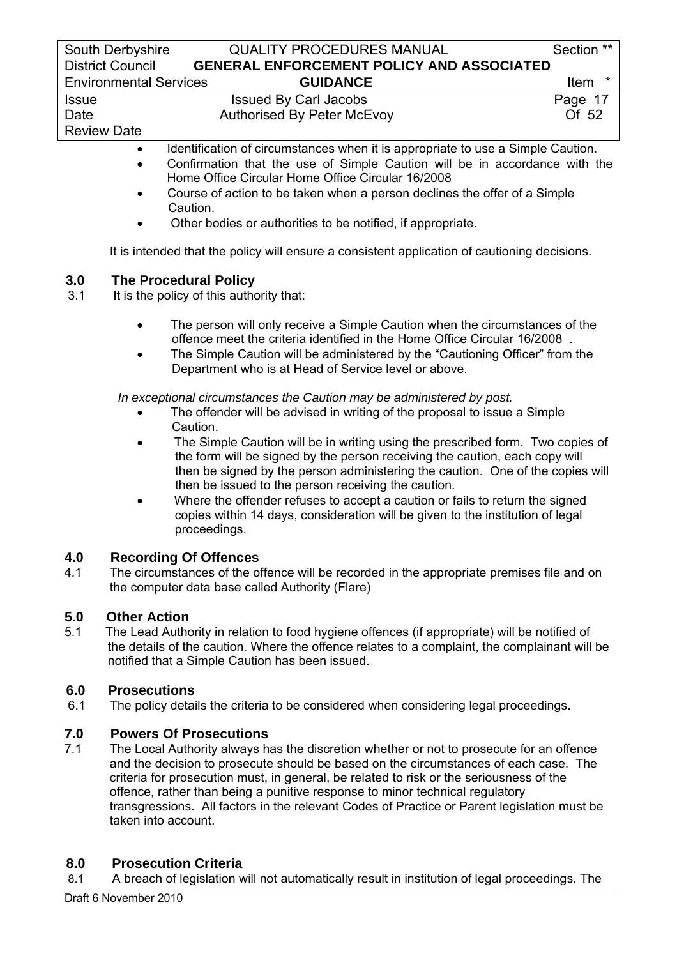| South Derbyshire              | <b>QUALITY PROCEDURES MANUAL</b>                 | Section ** |
|-------------------------------|--------------------------------------------------|------------|
| <b>District Council</b>       | <b>GENERAL ENFORCEMENT POLICY AND ASSOCIATED</b> |            |
| <b>Environmental Services</b> | <b>GUIDANCE</b>                                  | Item       |
| <b>Issue</b>                  | <b>Issued By Carl Jacobs</b>                     | Page 17    |
| Date                          | <b>Authorised By Peter McEvoy</b>                | Of 52      |
| <b>Review Date</b>            |                                                  |            |
|                               |                                                  | _______    |

- Identification of circumstances when it is appropriate to use a Simple Caution.
- Confirmation that the use of Simple Caution will be in accordance with the Home Office Circular Home Office Circular 16/2008
- Course of action to be taken when a person declines the offer of a Simple Caution.
- Other bodies or authorities to be notified, if appropriate.

It is intended that the policy will ensure a consistent application of cautioning decisions.

# **3.0 The Procedural Policy**<br>**3.1** It is the policy of this autho

- It is the policy of this authority that:
	- The person will only receive a Simple Caution when the circumstances of the offence meet the criteria identified in the Home Office Circular 16/2008 .
	- The Simple Caution will be administered by the "Cautioning Officer" from the Department who is at Head of Service level or above.

 *In exceptional circumstances the Caution may be administered by post.* 

- The offender will be advised in writing of the proposal to issue a Simple Caution.
- The Simple Caution will be in writing using the prescribed form. Two copies of the form will be signed by the person receiving the caution, each copy will then be signed by the person administering the caution. One of the copies will then be issued to the person receiving the caution.
- Where the offender refuses to accept a caution or fails to return the signed copies within 14 days, consideration will be given to the institution of legal proceedings.

# **4.0 Recording Of Offences**

4.1 The circumstances of the offence will be recorded in the appropriate premises file and on the computer data base called Authority (Flare)

# **5.0 Other Action**

5.1 The Lead Authority in relation to food hygiene offences (if appropriate) will be notified of the details of the caution. Where the offence relates to a complaint, the complainant will be notified that a Simple Caution has been issued.

# **6.0 Prosecutions**

6.1 The policy details the criteria to be considered when considering legal proceedings.

# **7.0 Powers Of Prosecutions**

7.1 The Local Authority always has the discretion whether or not to prosecute for an offence and the decision to prosecute should be based on the circumstances of each case. The criteria for prosecution must, in general, be related to risk or the seriousness of the offence, rather than being a punitive response to minor technical regulatory transgressions. All factors in the relevant Codes of Practice or Parent legislation must be taken into account.

# **8.0 Prosecution Criteria**

8.1 A breach of legislation will not automatically result in institution of legal proceedings. The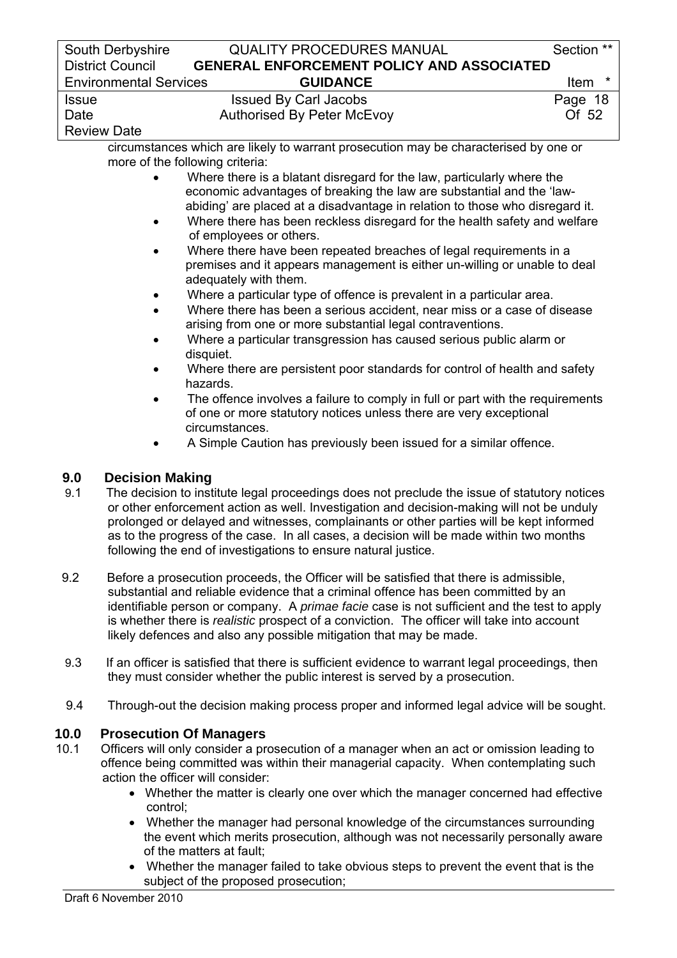|              | South Derbyshire<br><b>District Council</b> | <b>QUALITY PROCEDURES MANUAL</b><br><b>GENERAL ENFORCEMENT POLICY AND ASSOCIATED</b>                                                            | Section ** |
|--------------|---------------------------------------------|-------------------------------------------------------------------------------------------------------------------------------------------------|------------|
|              | <b>Environmental Services</b>               | <b>GUIDANCE</b>                                                                                                                                 | Item *     |
| <b>Issue</b> |                                             | <b>Issued By Carl Jacobs</b>                                                                                                                    | Page 18    |
| Date         |                                             | <b>Authorised By Peter McEvoy</b>                                                                                                               | Of 52      |
|              | <b>Review Date</b>                          |                                                                                                                                                 |            |
|              |                                             | circumstances which are likely to warrant prosecution may be characterised by one or                                                            |            |
|              |                                             | more of the following criteria:                                                                                                                 |            |
|              |                                             | Where there is a blatant disregard for the law, particularly where the<br>economic advantages of breaking the law are substantial and the 'law- |            |
|              |                                             | abiding' are placed at a disadvantage in relation to those who disregard it.                                                                    |            |
|              |                                             | Where there has been reckless disregard for the health safety and welfare                                                                       |            |
|              |                                             | of employees or others.                                                                                                                         |            |
|              | $\bullet$                                   | Where there have been repeated breaches of legal requirements in a                                                                              |            |
|              |                                             | premises and it appears management is either un-willing or unable to deal<br>adequately with them.                                              |            |
|              |                                             | Where a particular type of offence is prevalent in a particular area.                                                                           |            |
|              |                                             | Where there has been a serious accident, near miss or a case of disease                                                                         |            |
|              |                                             | arising from one or more substantial legal contraventions.                                                                                      |            |
|              | $\bullet$                                   | Where a particular transgression has caused serious public alarm or<br>disquiet.                                                                |            |
|              | $\bullet$                                   | Where there are persistent poor standards for control of health and safety                                                                      |            |
|              |                                             | hazards.                                                                                                                                        |            |
|              |                                             | The offence involves a failure to comply in full or part with the requirements                                                                  |            |
|              |                                             | of one or more statutory notices unless there are very exceptional                                                                              |            |
|              |                                             | circumstances.                                                                                                                                  |            |
|              | ٠                                           | A Simple Caution has previously been issued for a similar offence.                                                                              |            |
| 9.0          | <b>Decision Making</b>                      |                                                                                                                                                 |            |
| 9.1          |                                             | The decision to institute legal proceedings does not preclude the issue of statutory notices                                                    |            |
|              |                                             | or other enforcement action as well. Investigation and decision-making will not be unduly                                                       |            |
|              |                                             | prolonged or delayed and witnesses, complainants or other parties will be kept informed                                                         |            |
|              |                                             | as to the progress of the case. In all cases, a decision will be made within two months                                                         |            |
|              |                                             | following the end of investigations to ensure natural justice.                                                                                  |            |
| 9.2          |                                             | Before a prosecution proceeds, the Officer will be satisfied that there is admissible,                                                          |            |
|              |                                             | substantial and reliable evidence that a criminal offence has been committed by an                                                              |            |
|              |                                             | identifiable person or company. A primae facie case is not sufficient and the test to apply                                                     |            |
|              |                                             | is whether there is realistic prospect of a conviction. The officer will take into account                                                      |            |
|              |                                             | likely defences and also any possible mitigation that may be made.                                                                              |            |
| 9.3          |                                             | If an officer is satisfied that there is sufficient evidence to warrant legal proceedings, then                                                 |            |
|              |                                             | they must consider whether the public interest is served by a prosecution.                                                                      |            |
| 9.4          |                                             | Through-out the decision making process proper and informed legal advice will be sought.                                                        |            |
| 10.0         |                                             | <b>Prosecution Of Managers</b>                                                                                                                  |            |
| 10.1         |                                             | Officers will only consider a prosecution of a manager when an act or omission leading to                                                       |            |
|              |                                             | offence being committed was within their managerial capacity. When contemplating such                                                           |            |
|              |                                             | action the officer will consider:                                                                                                               |            |
|              |                                             | • Whether the matter is clearly one over which the manager concerned had effective                                                              |            |
|              | control;                                    |                                                                                                                                                 |            |

- Whether the manager had personal knowledge of the circumstances surrounding the event which merits prosecution, although was not necessarily personally aware of the matters at fault;
	- Whether the manager failed to take obvious steps to prevent the event that is the subject of the proposed prosecution;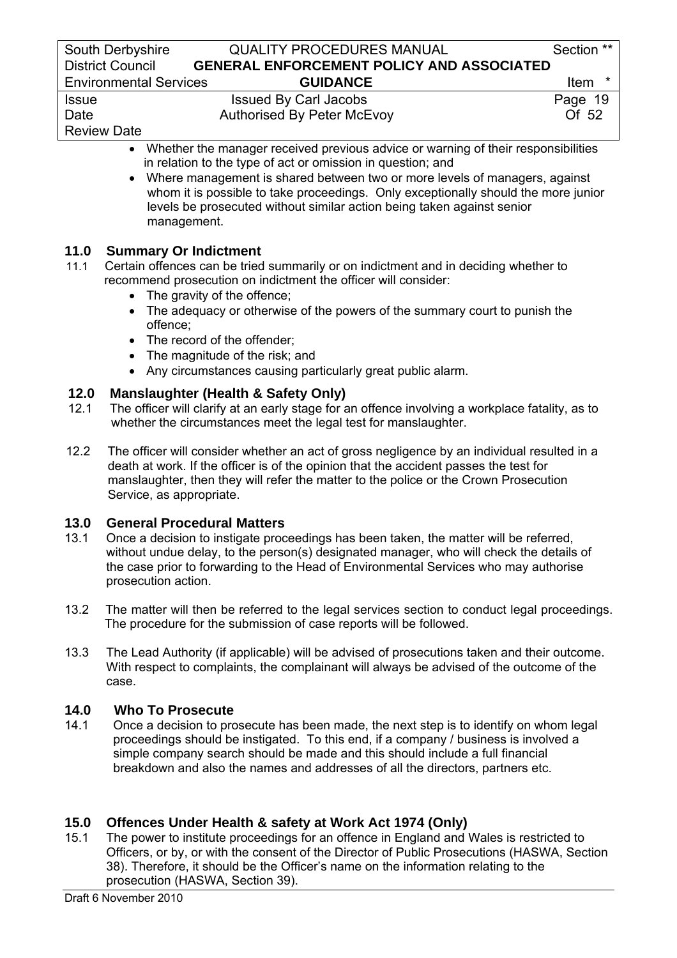| South Derbyshire                                                                               | <b>QUALITY PROCEDURES MANUAL</b>                            | Section **      |  |
|------------------------------------------------------------------------------------------------|-------------------------------------------------------------|-----------------|--|
| <b>District Council</b>                                                                        | <b>GENERAL ENFORCEMENT POLICY AND ASSOCIATED</b>            |                 |  |
| <b>Environmental Services</b>                                                                  | <b>GUIDANCE</b>                                             | $\star$<br>Item |  |
| <b>Issue</b>                                                                                   | <b>Issued By Carl Jacobs</b>                                | Page 19         |  |
| Date                                                                                           | <b>Authorised By Peter McEvoy</b>                           | Of 52           |  |
| <b>Review Date</b>                                                                             |                                                             |                 |  |
| Whether the manager received previous advice or warning of their responsibilities<br>$\bullet$ |                                                             |                 |  |
|                                                                                                | in relation to the type of act or omission in question; and |                 |  |

• Where management is shared between two or more levels of managers, against whom it is possible to take proceedings. Only exceptionally should the more junior levels be prosecuted without similar action being taken against senior management.

# **11.0 Summary Or Indictment**

- 11.1 Certain offences can be tried summarily or on indictment and in deciding whether to recommend prosecution on indictment the officer will consider:
	- The gravity of the offence:
	- The adequacy or otherwise of the powers of the summary court to punish the offence;
	- The record of the offender;
	- The magnitude of the risk; and
	- Any circumstances causing particularly great public alarm.

# **12.0 Manslaughter (Health & Safety Only)**

- 12.1 The officer will clarify at an early stage for an offence involving a workplace fatality, as to whether the circumstances meet the legal test for manslaughter.
- 12.2 The officer will consider whether an act of gross negligence by an individual resulted in a death at work. If the officer is of the opinion that the accident passes the test for manslaughter, then they will refer the matter to the police or the Crown Prosecution Service, as appropriate.

### **13.0 General Procedural Matters**

- 13.1 Once a decision to instigate proceedings has been taken, the matter will be referred, without undue delay, to the person(s) designated manager, who will check the details of the case prior to forwarding to the Head of Environmental Services who may authorise prosecution action.
- 13.2 The matter will then be referred to the legal services section to conduct legal proceedings. The procedure for the submission of case reports will be followed.
- 13.3 The Lead Authority (if applicable) will be advised of prosecutions taken and their outcome. With respect to complaints, the complainant will always be advised of the outcome of the case.

### **14.0 Who To Prosecute**

14.1 Once a decision to prosecute has been made, the next step is to identify on whom legal proceedings should be instigated. To this end, if a company / business is involved a simple company search should be made and this should include a full financial breakdown and also the names and addresses of all the directors, partners etc.

### **15.0 Offences Under Health & safety at Work Act 1974 (Only)**

15.1 The power to institute proceedings for an offence in England and Wales is restricted to Officers, or by, or with the consent of the Director of Public Prosecutions (HASWA, Section 38). Therefore, it should be the Officer's name on the information relating to the prosecution (HASWA, Section 39).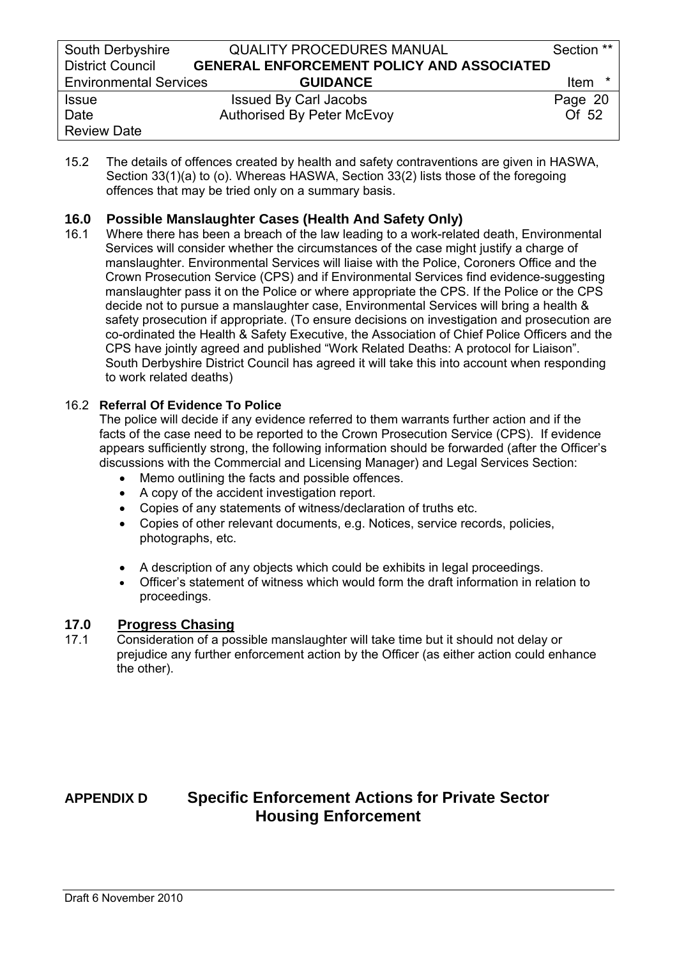| South Derbyshire              | <b>QUALITY PROCEDURES MANUAL</b>                 | Section **       |
|-------------------------------|--------------------------------------------------|------------------|
| <b>District Council</b>       | <b>GENERAL ENFORCEMENT POLICY AND ASSOCIATED</b> |                  |
| <b>Environmental Services</b> | <b>GUIDANCE</b>                                  | <b>Item</b><br>* |
| <b>Issue</b>                  | <b>Issued By Carl Jacobs</b>                     | Page 20          |
| Date                          | <b>Authorised By Peter McEvoy</b>                | Of 52            |
| <b>Review Date</b>            |                                                  |                  |

15.2 The details of offences created by health and safety contraventions are given in HASWA, Section 33(1)(a) to (o). Whereas HASWA, Section 33(2) lists those of the foregoing offences that may be tried only on a summary basis.

# **16.0 Possible Manslaughter Cases (Health And Safety Only)**

16.1 Where there has been a breach of the law leading to a work-related death, Environmental Services will consider whether the circumstances of the case might justify a charge of manslaughter. Environmental Services will liaise with the Police, Coroners Office and the Crown Prosecution Service (CPS) and if Environmental Services find evidence-suggesting manslaughter pass it on the Police or where appropriate the CPS. If the Police or the CPS decide not to pursue a manslaughter case, Environmental Services will bring a health & safety prosecution if appropriate. (To ensure decisions on investigation and prosecution are co-ordinated the Health & Safety Executive, the Association of Chief Police Officers and the CPS have jointly agreed and published "Work Related Deaths: A protocol for Liaison". South Derbyshire District Council has agreed it will take this into account when responding to work related deaths)

### 16.2 **Referral Of Evidence To Police**

 The police will decide if any evidence referred to them warrants further action and if the facts of the case need to be reported to the Crown Prosecution Service (CPS). If evidence appears sufficiently strong, the following information should be forwarded (after the Officer's discussions with the Commercial and Licensing Manager) and Legal Services Section:

- Memo outlining the facts and possible offences.
- A copy of the accident investigation report.
- Copies of any statements of witness/declaration of truths etc.
- Copies of other relevant documents, e.g. Notices, service records, policies, photographs, etc.
- A description of any objects which could be exhibits in legal proceedings.
- Officer's statement of witness which would form the draft information in relation to proceedings.

### **17.0 Progress Chasing**

17.1 Consideration of a possible manslaughter will take time but it should not delay or prejudice any further enforcement action by the Officer (as either action could enhance the other).

# **APPENDIX D Specific Enforcement Actions for Private Sector Housing Enforcement**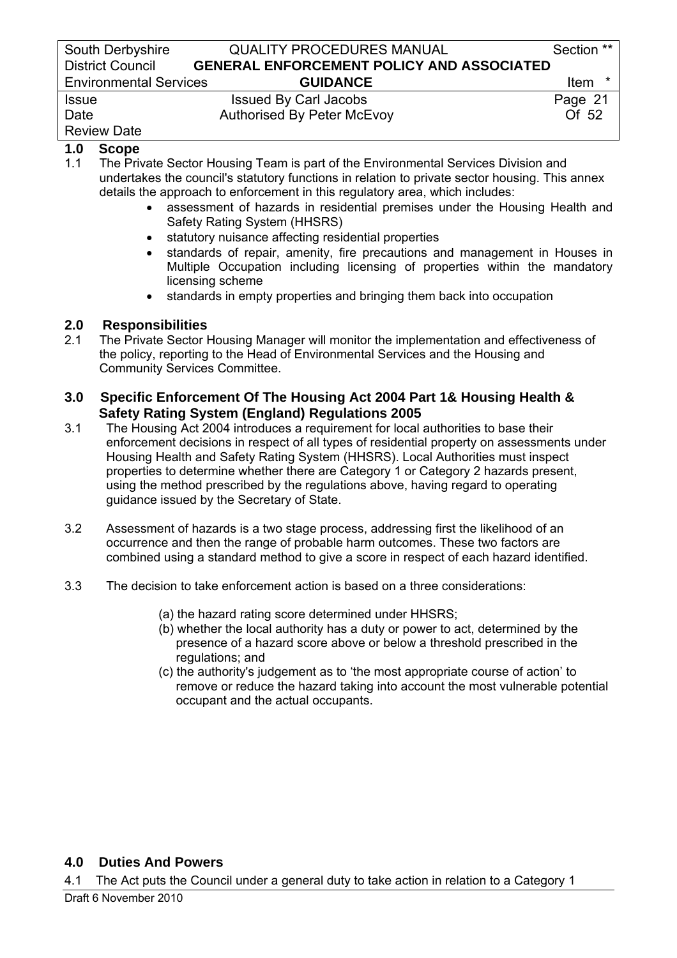| South Derbyshire              | <b>QUALITY PROCEDURES MANUAL</b>                 | Section **  |
|-------------------------------|--------------------------------------------------|-------------|
| <b>District Council</b>       | <b>GENERAL ENFORCEMENT POLICY AND ASSOCIATED</b> |             |
| <b>Environmental Services</b> | <b>GUIDANCE</b>                                  | <b>Item</b> |
| <b>Issue</b>                  | <b>Issued By Carl Jacobs</b>                     | Page 21     |
| Date                          | <b>Authorised By Peter McEvoy</b>                | Of 52       |
| <b>Review Date</b>            |                                                  |             |

# **1.0 Scope**

1.1 The Private Sector Housing Team is part of the Environmental Services Division and undertakes the council's statutory functions in relation to private sector housing. This annex details the approach to enforcement in this regulatory area, which includes:

- assessment of hazards in residential premises under the Housing Health and Safety Rating System (HHSRS)
- statutory nuisance affecting residential properties
- standards of repair, amenity, fire precautions and management in Houses in Multiple Occupation including licensing of properties within the mandatory licensing scheme
- standards in empty properties and bringing them back into occupation

# **2.0 Responsibilities**

2.1 The Private Sector Housing Manager will monitor the implementation and effectiveness of the policy, reporting to the Head of Environmental Services and the Housing and Community Services Committee.

### **3.0 Specific Enforcement Of The Housing Act 2004 Part 1& Housing Health & Safety Rating System (England) Regulations 2005**

- 3.1 The Housing Act 2004 introduces a requirement for local authorities to base their enforcement decisions in respect of all types of residential property on assessments under Housing Health and Safety Rating System (HHSRS). Local Authorities must inspect properties to determine whether there are Category 1 or Category 2 hazards present, using the method prescribed by the regulations above, having regard to operating guidance issued by the Secretary of State.
- 3.2 Assessment of hazards is a two stage process, addressing first the likelihood of an occurrence and then the range of probable harm outcomes. These two factors are combined using a standard method to give a score in respect of each hazard identified.
- 3.3 The decision to take enforcement action is based on a three considerations:
	- (a) the hazard rating score determined under HHSRS;
	- (b) whether the local authority has a duty or power to act, determined by the presence of a hazard score above or below a threshold prescribed in the regulations; and
	- (c) the authority's judgement as to 'the most appropriate course of action' to remove or reduce the hazard taking into account the most vulnerable potential occupant and the actual occupants.

# **4.0 Duties And Powers**

4.1 The Act puts the Council under a general duty to take action in relation to a Category 1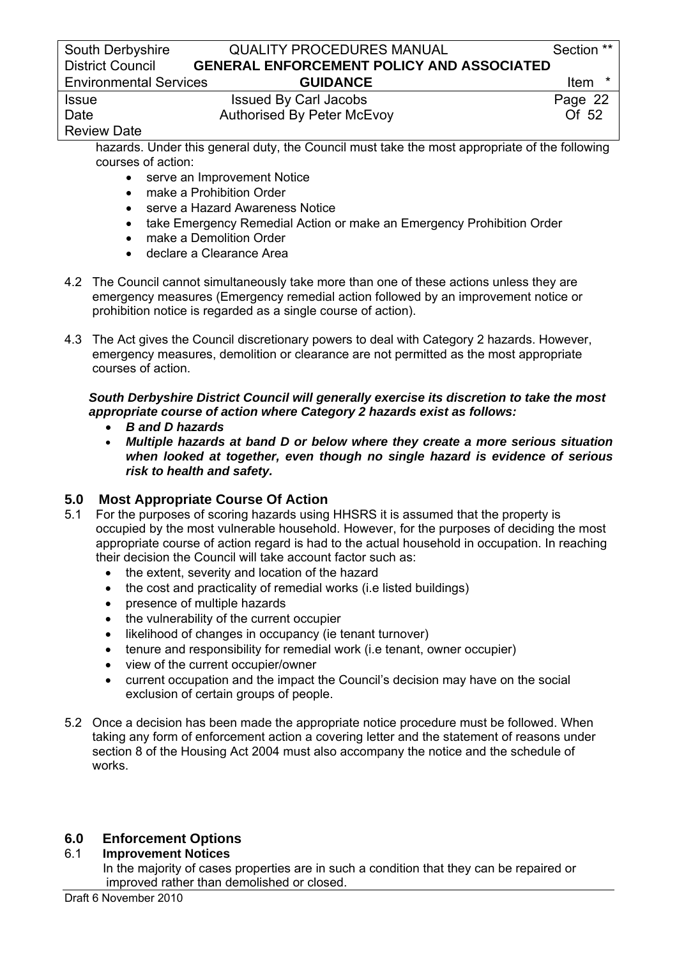| South Derbyshire              | <b>QUALITY PROCEDURES MANUAL</b>                 | Section **       |
|-------------------------------|--------------------------------------------------|------------------|
| <b>District Council</b>       | <b>GENERAL ENFORCEMENT POLICY AND ASSOCIATED</b> |                  |
| <b>Environmental Services</b> | <b>GUIDANCE</b>                                  | <b>Item</b><br>* |
| <b>Issue</b>                  | <b>Issued By Carl Jacobs</b>                     | Page 22          |
| Date                          | <b>Authorised By Peter McEvoy</b>                | Of 52            |
| <b>Review Date</b>            |                                                  |                  |

 hazards. Under this general duty, the Council must take the most appropriate of the following courses of action:

- serve an Improvement Notice
- make a Prohibition Order
- serve a Hazard Awareness Notice
- take Emergency Remedial Action or make an Emergency Prohibition Order
- make a Demolition Order
- declare a Clearance Area
- 4.2 The Council cannot simultaneously take more than one of these actions unless they are emergency measures (Emergency remedial action followed by an improvement notice or prohibition notice is regarded as a single course of action).
- 4.3 The Act gives the Council discretionary powers to deal with Category 2 hazards. However, emergency measures, demolition or clearance are not permitted as the most appropriate courses of action.

### *South Derbyshire District Council will generally exercise its discretion to take the most appropriate course of action where Category 2 hazards exist as follows:*

- *B and D hazards*
- *Multiple hazards at band D or below where they create a more serious situation when looked at together, even though no single hazard is evidence of serious risk to health and safety.*

# **5.0 Most Appropriate Course Of Action**

- 5.1 For the purposes of scoring hazards using HHSRS it is assumed that the property is occupied by the most vulnerable household. However, for the purposes of deciding the most appropriate course of action regard is had to the actual household in occupation. In reaching their decision the Council will take account factor such as:
	- the extent, severity and location of the hazard
	- the cost and practicality of remedial works (i.e listed buildings)
	- presence of multiple hazards
	- the vulnerability of the current occupier
	- likelihood of changes in occupancy (ie tenant turnover)
	- tenure and responsibility for remedial work (i.e tenant, owner occupier)
	- view of the current occupier/owner
	- current occupation and the impact the Council's decision may have on the social exclusion of certain groups of people.
- 5.2 Once a decision has been made the appropriate notice procedure must be followed. When taking any form of enforcement action a covering letter and the statement of reasons under section 8 of the Housing Act 2004 must also accompany the notice and the schedule of works.

# **6.0 Enforcement Options**

### 6.1 **Improvement Notices**

 In the majority of cases properties are in such a condition that they can be repaired or improved rather than demolished or closed.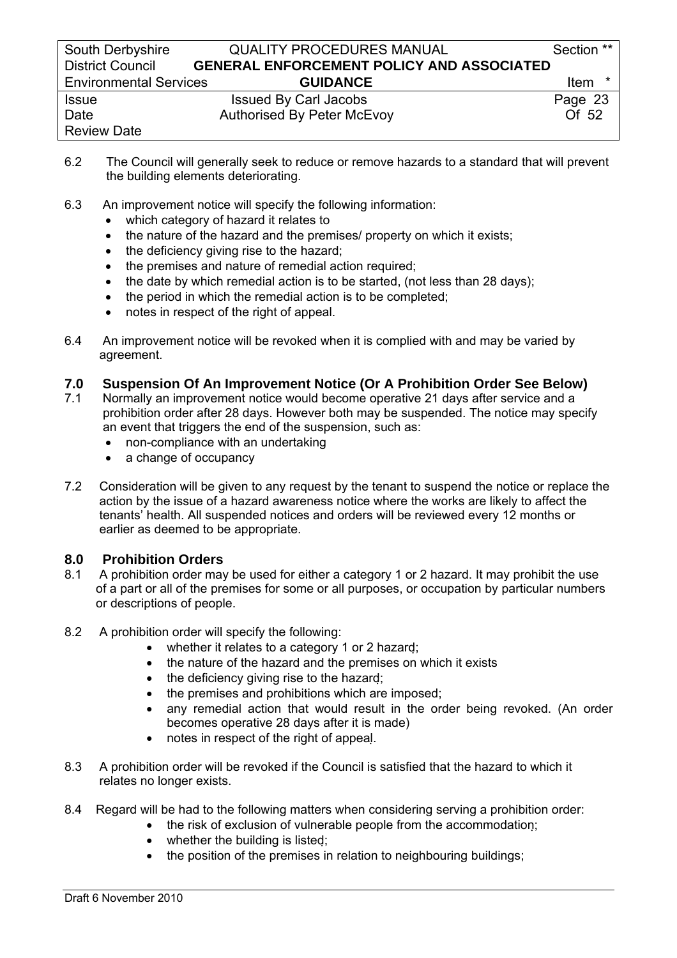| South Derbyshire              | <b>QUALITY PROCEDURES MANUAL</b>                 | Section **       |
|-------------------------------|--------------------------------------------------|------------------|
| <b>District Council</b>       | <b>GENERAL ENFORCEMENT POLICY AND ASSOCIATED</b> |                  |
| <b>Environmental Services</b> | <b>GUIDANCE</b>                                  | <b>Item</b><br>* |
| <b>Issue</b>                  | <b>Issued By Carl Jacobs</b>                     | Page 23          |
| Date                          | <b>Authorised By Peter McEvoy</b>                | Of 52            |
| <b>Review Date</b>            |                                                  |                  |

- 6.2 The Council will generally seek to reduce or remove hazards to a standard that will prevent the building elements deteriorating.
- 6.3 An improvement notice will specify the following information:
	- which category of hazard it relates to
	- the nature of the hazard and the premises/ property on which it exists;
	- the deficiency giving rise to the hazard;
	- the premises and nature of remedial action required;
	- the date by which remedial action is to be started, (not less than 28 days);
	- the period in which the remedial action is to be completed;
	- notes in respect of the right of appeal.
- 6.4 An improvement notice will be revoked when it is complied with and may be varied by agreement.

### **7.0 Suspension Of An Improvement Notice (Or A Prohibition Order See Below)**

- 7.1 Normally an improvement notice would become operative 21 days after service and a prohibition order after 28 days. However both may be suspended. The notice may specify an event that triggers the end of the suspension, such as:
	- non-compliance with an undertaking
	- a change of occupancy
- 7.2 Consideration will be given to any request by the tenant to suspend the notice or replace the action by the issue of a hazard awareness notice where the works are likely to affect the tenants' health. All suspended notices and orders will be reviewed every 12 months or earlier as deemed to be appropriate.

# **8.0 Prohibition Orders**

- 8.1 A prohibition order may be used for either a category 1 or 2 hazard. It may prohibit the use of a part or all of the premises for some or all purposes, or occupation by particular numbers or descriptions of people.
- 8.2 A prohibition order will specify the following:
	- whether it relates to a category 1 or 2 hazard;
	- the nature of the hazard and the premises on which it exists
	- the deficiency giving rise to the hazard;
	- the premises and prohibitions which are imposed;
	- any remedial action that would result in the order being revoked. (An order becomes operative 28 days after it is made)
	- notes in respect of the right of appeal.
- 8.3 A prohibition order will be revoked if the Council is satisfied that the hazard to which it relates no longer exists.
- 8.4 Regard will be had to the following matters when considering serving a prohibition order:
	- the risk of exclusion of vulnerable people from the accommodation;
	- whether the building is listed;
	- the position of the premises in relation to neighbouring buildings;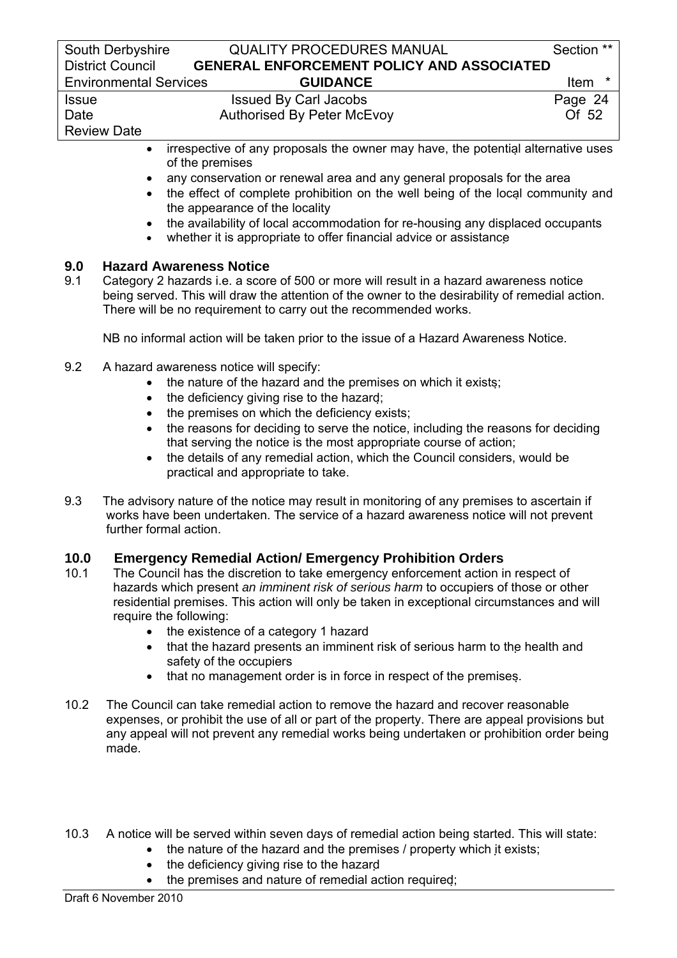| South Derbyshire              | <b>QUALITY PROCEDURES MANUAL</b>                                                                    | Section **      |
|-------------------------------|-----------------------------------------------------------------------------------------------------|-----------------|
| <b>District Council</b>       | <b>GENERAL ENFORCEMENT POLICY AND ASSOCIATED</b>                                                    |                 |
| <b>Environmental Services</b> | <b>GUIDANCE</b>                                                                                     | $\star$<br>Item |
| <b>Issue</b>                  | <b>Issued By Carl Jacobs</b>                                                                        | Page 24         |
| Date                          | <b>Authorised By Peter McEvoy</b>                                                                   | Of 52           |
| <b>Review Date</b>            |                                                                                                     |                 |
| $\bullet$                     | irrespective of any proposals the owner may have, the potential alternative uses<br>of the premises |                 |

- any conservation or renewal area and any general proposals for the area
- the effect of complete prohibition on the well being of the local community and the appearance of the locality
- the availability of local accommodation for re-housing any displaced occupants
- whether it is appropriate to offer financial advice or assistance

### **9.0 Hazard Awareness Notice**

9.1 Category 2 hazards i.e. a score of 500 or more will result in a hazard awareness notice being served. This will draw the attention of the owner to the desirability of remedial action. There will be no requirement to carry out the recommended works.

NB no informal action will be taken prior to the issue of a Hazard Awareness Notice.

- 9.2 A hazard awareness notice will specify:
	- the nature of the hazard and the premises on which it exists:
	- the deficiency giving rise to the hazard;
	- the premises on which the deficiency exists;
	- the reasons for deciding to serve the notice, including the reasons for deciding that serving the notice is the most appropriate course of action;
	- the details of any remedial action, which the Council considers, would be practical and appropriate to take.
- 9.3 The advisory nature of the notice may result in monitoring of any premises to ascertain if works have been undertaken. The service of a hazard awareness notice will not prevent further formal action.

# **10.0 Emergency Remedial Action/ Emergency Prohibition Orders**

- 10.1 The Council has the discretion to take emergency enforcement action in respect of hazards which present *an imminent risk of serious harm* to occupiers of those or other residential premises. This action will only be taken in exceptional circumstances and will require the following:
	- the existence of a category 1 hazard
	- that the hazard presents an imminent risk of serious harm to the health and safety of the occupiers
	- that no management order is in force in respect of the premises.
- 10.2 The Council can take remedial action to remove the hazard and recover reasonable expenses, or prohibit the use of all or part of the property. There are appeal provisions but any appeal will not prevent any remedial works being undertaken or prohibition order being made.
- 10.3 A notice will be served within seven days of remedial action being started. This will state:
	- the nature of the hazard and the premises / property which it exists;
	- the deficiency giving rise to the hazard
	- the premises and nature of remedial action required;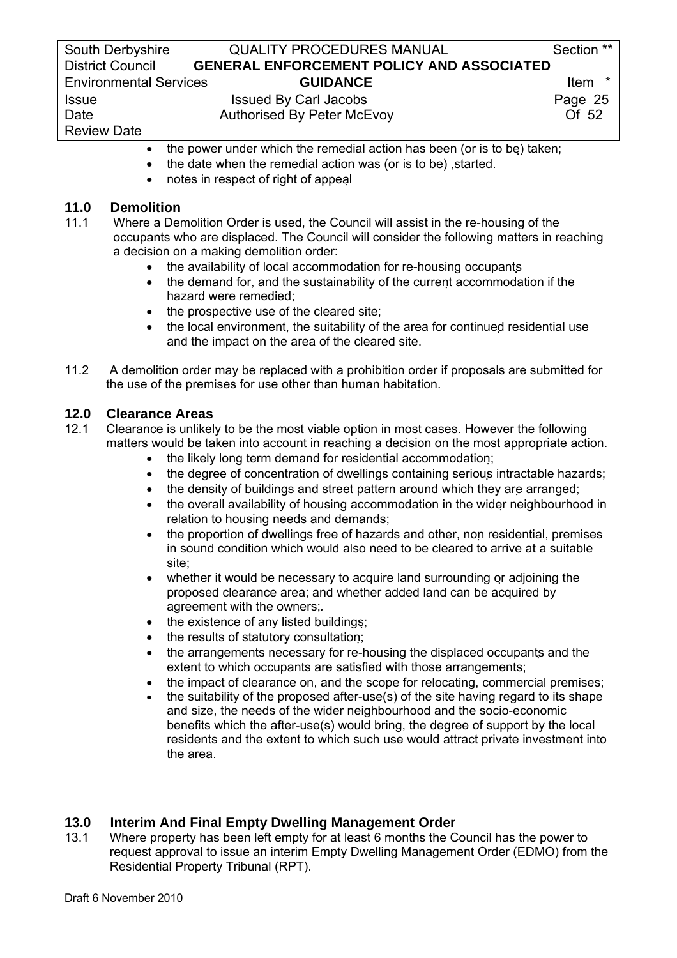# Review Date

- the power under which the remedial action has been (or is to be) taken;
- the date when the remedial action was (or is to be) ,started.
- notes in respect of right of appeal

# **11.0 Demolition**<br>**11.1** Where a Der

- Where a Demolition Order is used, the Council will assist in the re-housing of the occupants who are displaced. The Council will consider the following matters in reaching a decision on a making demolition order:
	- the availability of local accommodation for re-housing occupants
	- the demand for, and the sustainability of the current accommodation if the hazard were remedied;
	- the prospective use of the cleared site;
	- the local environment, the suitability of the area for continued residential use and the impact on the area of the cleared site.
- 11.2 A demolition order may be replaced with a prohibition order if proposals are submitted for the use of the premises for use other than human habitation.

# **12.0 Clearance Areas**

- 12.1 Clearance is unlikely to be the most viable option in most cases. However the following matters would be taken into account in reaching a decision on the most appropriate action.
	- the likely long term demand for residential accommodation;
	- the degree of concentration of dwellings containing serious intractable hazards;
	- the density of buildings and street pattern around which they are arranged;
	- the overall availability of housing accommodation in the wider neighbourhood in relation to housing needs and demands;
	- the proportion of dwellings free of hazards and other, non residential, premises in sound condition which would also need to be cleared to arrive at a suitable site;
	- whether it would be necessary to acquire land surrounding or adjoining the proposed clearance area; and whether added land can be acquired by agreement with the owners;*.*
	- the existence of any listed buildings:
	- the results of statutory consultation;
	- the arrangements necessary for re-housing the displaced occupants and the extent to which occupants are satisfied with those arrangements:
	- the impact of clearance on, and the scope for relocating, commercial premises;
	- the suitability of the proposed after-use(s) of the site having regard to its shape and size, the needs of the wider neighbourhood and the socio-economic benefits which the after-use(s) would bring, the degree of support by the local residents and the extent to which such use would attract private investment into the area.

# **13.0 Interim And Final Empty Dwelling Management Order**

13.1 Where property has been left empty for at least 6 months the Council has the power to request approval to issue an interim Empty Dwelling Management Order (EDMO) from the Residential Property Tribunal (RPT).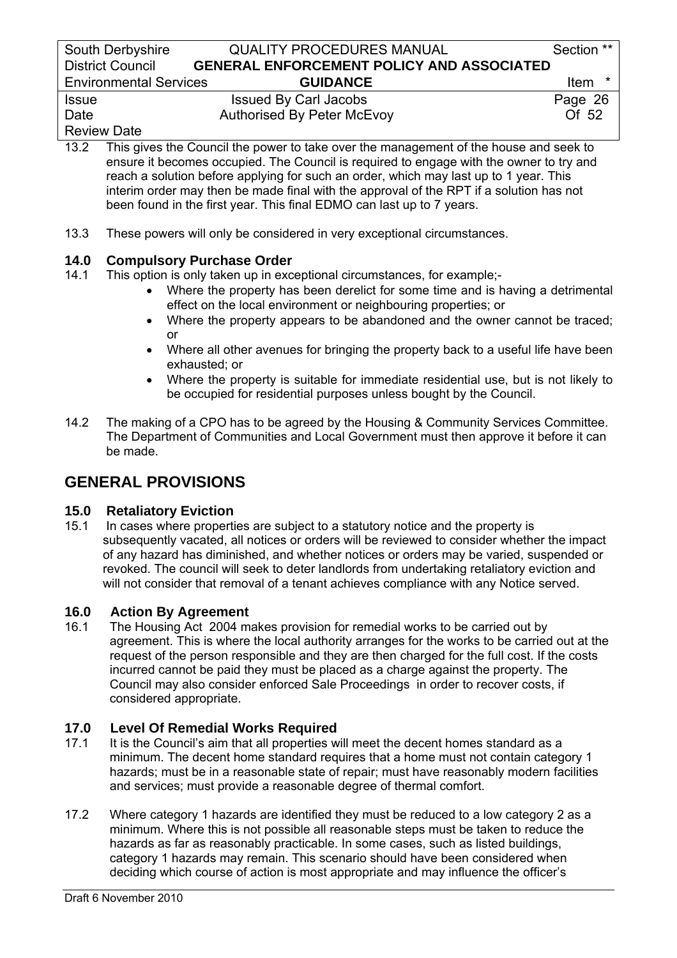South Derbyshire **QUALITY PROCEDURES MANUAL** Section \*\* District Council **GENERAL ENFORCEMENT POLICY AND ASSOCIATED**  Environmental Services **GUIDANCE** Item \* Issue Issued By Carl Jacobs Page 26

Review Date

Date Authorised By Peter McEvoy Of 52

13.2 This gives the Council the power to take over the management of the house and seek to ensure it becomes occupied. The Council is required to engage with the owner to try and reach a solution before applying for such an order, which may last up to 1 year. This interim order may then be made final with the approval of the RPT if a solution has not been found in the first year. This final EDMO can last up to 7 years.

13.3 These powers will only be considered in very exceptional circumstances.

# **14.0 Compulsory Purchase Order**

- 14.1 This option is only taken up in exceptional circumstances, for example;-
	- Where the property has been derelict for some time and is having a detrimental effect on the local environment or neighbouring properties; or
	- Where the property appears to be abandoned and the owner cannot be traced; or
	- Where all other avenues for bringing the property back to a useful life have been exhausted; or
	- Where the property is suitable for immediate residential use, but is not likely to be occupied for residential purposes unless bought by the Council.
- 14.2 The making of a CPO has to be agreed by the Housing & Community Services Committee. The Department of Communities and Local Government must then approve it before it can be made.

# **GENERAL PROVISIONS**

# **15.0 Retaliatory Eviction**

15.1 In cases where properties are subject to a statutory notice and the property is subsequently vacated, all notices or orders will be reviewed to consider whether the impact of any hazard has diminished, and whether notices or orders may be varied, suspended or revoked. The council will seek to deter landlords from undertaking retaliatory eviction and will not consider that removal of a tenant achieves compliance with any Notice served.

# **16.0 Action By Agreement**

16.1 The Housing Act 2004 makes provision for remedial works to be carried out by agreement. This is where the local authority arranges for the works to be carried out at the request of the person responsible and they are then charged for the full cost. If the costs incurred cannot be paid they must be placed as a charge against the property. The Council may also consider enforced Sale Proceedings in order to recover costs, if considered appropriate.

# **17.0 Level Of Remedial Works Required**<br>**17.1** It is the Council's aim that all properties w

- It is the Council's aim that all properties will meet the decent homes standard as a minimum. The decent home standard requires that a home must not contain category 1 hazards; must be in a reasonable state of repair; must have reasonably modern facilities and services; must provide a reasonable degree of thermal comfort.
- 17.2 Where category 1 hazards are identified they must be reduced to a low category 2 as a minimum. Where this is not possible all reasonable steps must be taken to reduce the hazards as far as reasonably practicable. In some cases, such as listed buildings, category 1 hazards may remain. This scenario should have been considered when deciding which course of action is most appropriate and may influence the officer's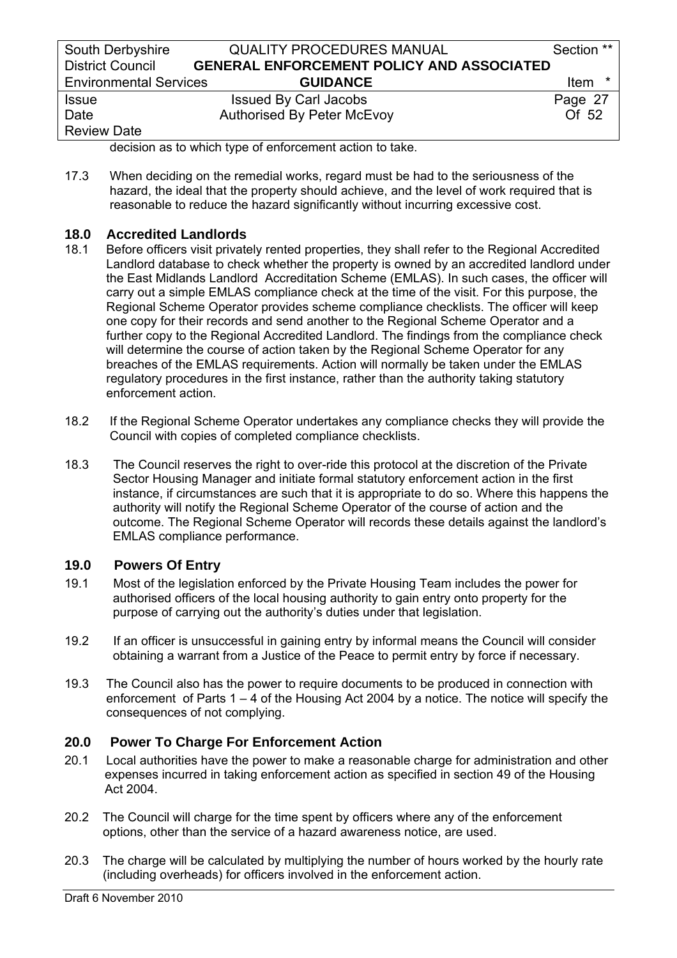| South Derbyshire              | <b>QUALITY PROCEDURES MANUAL</b>                 | Section ** |
|-------------------------------|--------------------------------------------------|------------|
| <b>District Council</b>       | <b>GENERAL ENFORCEMENT POLICY AND ASSOCIATED</b> |            |
| <b>Environmental Services</b> | <b>GUIDANCE</b>                                  | Item<br>*  |
| <b>Issue</b>                  | <b>Issued By Carl Jacobs</b>                     | Page 27    |
| Date                          | <b>Authorised By Peter McEvoy</b>                | Of 52      |
| <b>Review Date</b>            |                                                  |            |

decision as to which type of enforcement action to take.

17.3 When deciding on the remedial works, regard must be had to the seriousness of the hazard, the ideal that the property should achieve, and the level of work required that is reasonable to reduce the hazard significantly without incurring excessive cost.

# **18.0 Accredited Landlords**

- 18.1 Before officers visit privately rented properties, they shall refer to the Regional Accredited Landlord database to check whether the property is owned by an accredited landlord under the East Midlands Landlord Accreditation Scheme (EMLAS). In such cases, the officer will carry out a simple EMLAS compliance check at the time of the visit. For this purpose, the Regional Scheme Operator provides scheme compliance checklists. The officer will keep one copy for their records and send another to the Regional Scheme Operator and a further copy to the Regional Accredited Landlord. The findings from the compliance check will determine the course of action taken by the Regional Scheme Operator for any breaches of the EMLAS requirements. Action will normally be taken under the EMLAS regulatory procedures in the first instance, rather than the authority taking statutory enforcement action.
- 18.2 If the Regional Scheme Operator undertakes any compliance checks they will provide the Council with copies of completed compliance checklists.
- 18.3 The Council reserves the right to over-ride this protocol at the discretion of the Private Sector Housing Manager and initiate formal statutory enforcement action in the first instance, if circumstances are such that it is appropriate to do so. Where this happens the authority will notify the Regional Scheme Operator of the course of action and the outcome. The Regional Scheme Operator will records these details against the landlord's EMLAS compliance performance.

# **19.0 Powers Of Entry**

- 19.1 Most of the legislation enforced by the Private Housing Team includes the power for authorised officers of the local housing authority to gain entry onto property for the purpose of carrying out the authority's duties under that legislation.
- 19.2 If an officer is unsuccessful in gaining entry by informal means the Council will consider obtaining a warrant from a Justice of the Peace to permit entry by force if necessary.
- 19.3 The Council also has the power to require documents to be produced in connection with enforcement of Parts 1 – 4 of the Housing Act 2004 by a notice. The notice will specify the consequences of not complying.

# **20.0 Power To Charge For Enforcement Action**

- 20.1 Local authorities have the power to make a reasonable charge for administration and other expenses incurred in taking enforcement action as specified in section 49 of the Housing Act 2004.
- 20.2 The Council will charge for the time spent by officers where any of the enforcement options, other than the service of a hazard awareness notice, are used.
- 20.3 The charge will be calculated by multiplying the number of hours worked by the hourly rate (including overheads) for officers involved in the enforcement action.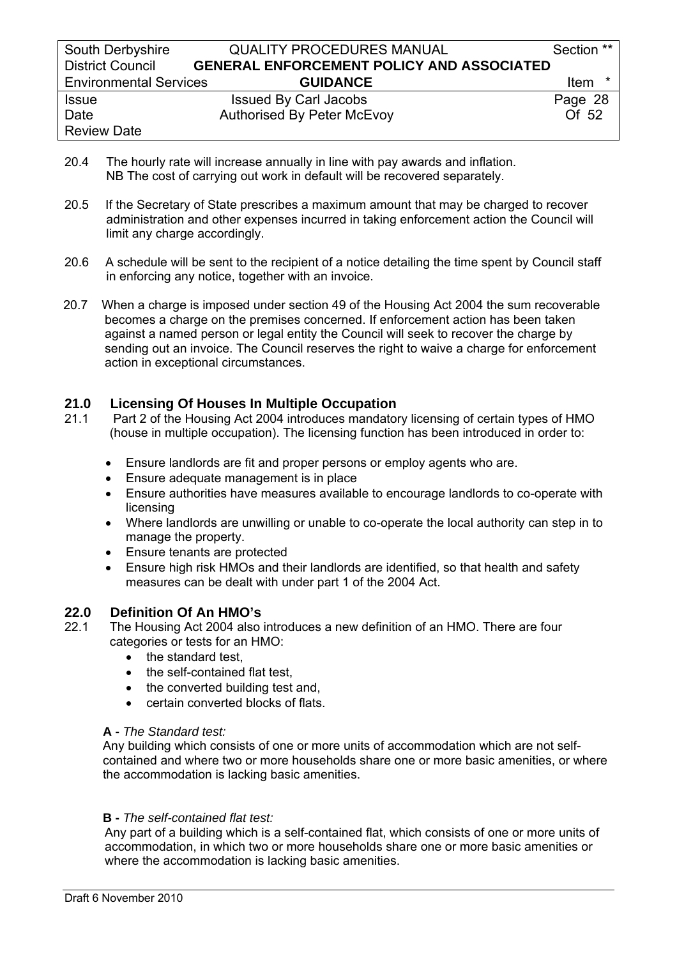- 20.4 The hourly rate will increase annually in line with pay awards and inflation. NB The cost of carrying out work in default will be recovered separately.
- 20.5 If the Secretary of State prescribes a maximum amount that may be charged to recover administration and other expenses incurred in taking enforcement action the Council will limit any charge accordingly.
- 20.6 A schedule will be sent to the recipient of a notice detailing the time spent by Council staff in enforcing any notice, together with an invoice.
- 20.7 When a charge is imposed under section 49 of the Housing Act 2004 the sum recoverable becomes a charge on the premises concerned. If enforcement action has been taken against a named person or legal entity the Council will seek to recover the charge by sending out an invoice. The Council reserves the right to waive a charge for enforcement action in exceptional circumstances.

# **21.0 Licensing Of Houses In Multiple Occupation**

- 21.1 Part 2 of the Housing Act 2004 introduces mandatory licensing of certain types of HMO (house in multiple occupation). The licensing function has been introduced in order to:
	- Ensure landlords are fit and proper persons or employ agents who are.
	- Ensure adequate management is in place
	- Ensure authorities have measures available to encourage landlords to co-operate with licensing
	- Where landlords are unwilling or unable to co-operate the local authority can step in to manage the property.
	- Ensure tenants are protected
	- Ensure high risk HMOs and their landlords are identified, so that health and safety measures can be dealt with under part 1 of the 2004 Act.

# **22.0 Definition Of An HMO's**

- 22.1 The Housing Act 2004 also introduces a new definition of an HMO. There are four categories or tests for an HMO:
	- the standard test,
	- the self-contained flat test.
	- the converted building test and,
	- certain converted blocks of flats.

### **A -** *The Standard test:*

 Any building which consists of one or more units of accommodation which are not self contained and where two or more households share one or more basic amenities, or where the accommodation is lacking basic amenities.

### **B -** *The self-contained flat test:*

Any part of a building which is a self-contained flat, which consists of one or more units of accommodation, in which two or more households share one or more basic amenities or where the accommodation is lacking basic amenities.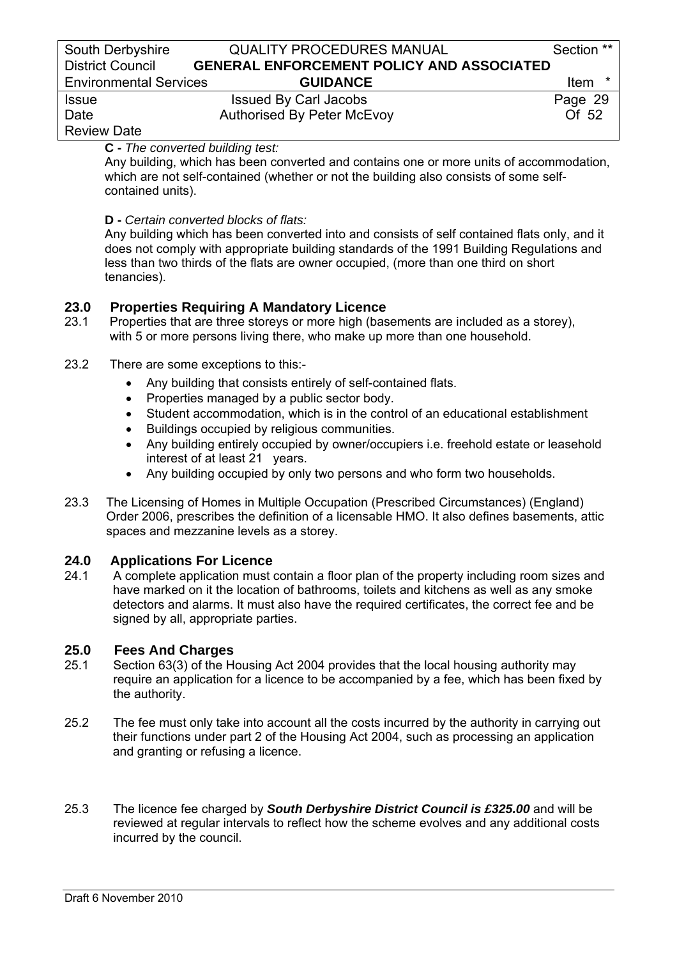| South Derbyshire              | <b>QUALITY PROCEDURES MANUAL</b>                 | Section ** |
|-------------------------------|--------------------------------------------------|------------|
| <b>District Council</b>       | <b>GENERAL ENFORCEMENT POLICY AND ASSOCIATED</b> |            |
| <b>Environmental Services</b> | <b>GUIDANCE</b>                                  | ltem       |
| <b>Issue</b>                  | <b>Issued By Carl Jacobs</b>                     | Page 29    |
| Date                          | Authorised By Peter McEvoy                       | Of $52$    |
|                               |                                                  |            |

# Review Date

**C -** *The converted building test:* 

Any building, which has been converted and contains one or more units of accommodation, which are not self-contained (whether or not the building also consists of some selfcontained units).

### **D -** *Certain converted blocks of flats:*

Any building which has been converted into and consists of self contained flats only, and it does not comply with appropriate building standards of the 1991 Building Regulations and less than two thirds of the flats are owner occupied, (more than one third on short tenancies).

# **23.0 Properties Requiring A Mandatory Licence**

- 23.1Properties that are three storeys or more high (basements are included as a storey), with 5 or more persons living there, who make up more than one household.
- 23.2 There are some exceptions to this:-
	- Any building that consists entirely of self-contained flats.
	- Properties managed by a public sector body.
	- Student accommodation, which is in the control of an educational establishment
	- Buildings occupied by religious communities.
	- Any building entirely occupied by owner/occupiers i.e. freehold estate or leasehold interest of at least 21 years.
	- Any building occupied by only two persons and who form two households.
- 23.3 The Licensing of Homes in Multiple Occupation (Prescribed Circumstances) (England) Order 2006, prescribes the definition of a licensable HMO. It also defines basements, attic spaces and mezzanine levels as a storey.

# **24.0 Applications For Licence**

24.1 A complete application must contain a floor plan of the property including room sizes and have marked on it the location of bathrooms, toilets and kitchens as well as any smoke detectors and alarms. It must also have the required certificates, the correct fee and be signed by all, appropriate parties.

# **25.0 Fees And Charges**

- 25.1 Section 63(3) of the Housing Act 2004 provides that the local housing authority may require an application for a licence to be accompanied by a fee, which has been fixed by the authority.
- 25.2 The fee must only take into account all the costs incurred by the authority in carrying out their functions under part 2 of the Housing Act 2004, such as processing an application and granting or refusing a licence.
- 25.3 The licence fee charged by *South Derbyshire District Council is £325.00* and will be reviewed at regular intervals to reflect how the scheme evolves and any additional costs incurred by the council.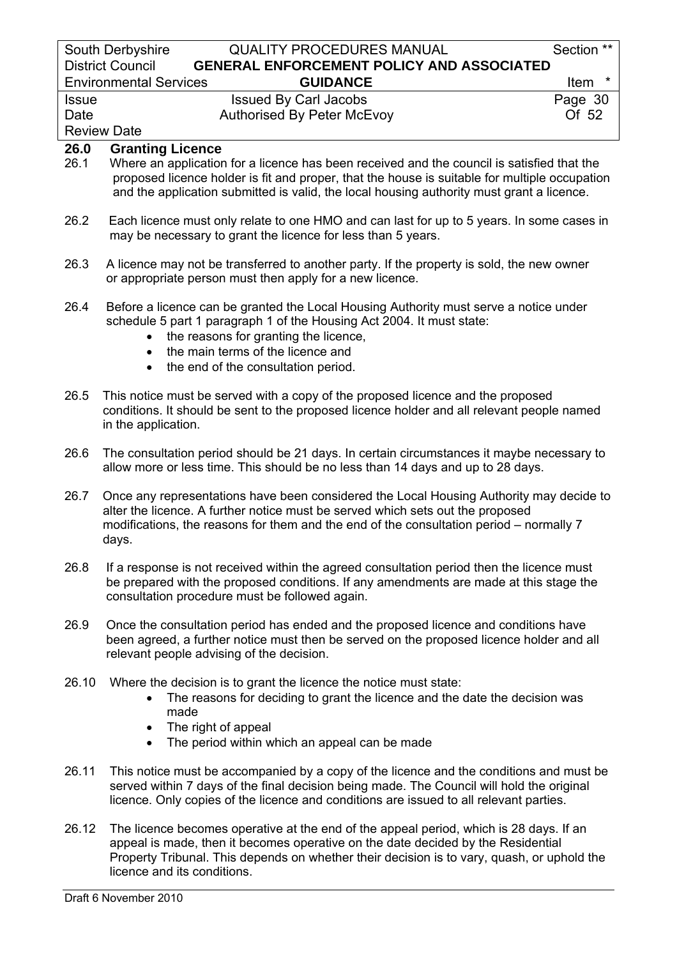|              | South Derbyshire<br><b>QUALITY PROCEDURES MANUAL</b>                                                                                                                                                                                                                                                                       | Section ** |
|--------------|----------------------------------------------------------------------------------------------------------------------------------------------------------------------------------------------------------------------------------------------------------------------------------------------------------------------------|------------|
|              | <b>District Council</b><br><b>GENERAL ENFORCEMENT POLICY AND ASSOCIATED</b>                                                                                                                                                                                                                                                |            |
|              | <b>Environmental Services</b><br><b>GUIDANCE</b>                                                                                                                                                                                                                                                                           | Item       |
| <b>Issue</b> | <b>Issued By Carl Jacobs</b>                                                                                                                                                                                                                                                                                               | Page 30    |
| Date         | <b>Authorised By Peter McEvoy</b>                                                                                                                                                                                                                                                                                          | Of 52      |
|              | <b>Review Date</b>                                                                                                                                                                                                                                                                                                         |            |
| 26.0<br>26.1 | <b>Granting Licence</b><br>Where an application for a licence has been received and the council is satisfied that the<br>proposed licence holder is fit and proper, that the house is suitable for multiple occupation<br>and the application submitted is valid, the local housing authority must grant a licence.        |            |
| 26.2         | Each licence must only relate to one HMO and can last for up to 5 years. In some cases in<br>may be necessary to grant the licence for less than 5 years.                                                                                                                                                                  |            |
| 26.3         | A licence may not be transferred to another party. If the property is sold, the new owner<br>or appropriate person must then apply for a new licence.                                                                                                                                                                      |            |
| 26.4         | Before a licence can be granted the Local Housing Authority must serve a notice under<br>schedule 5 part 1 paragraph 1 of the Housing Act 2004. It must state:<br>the reasons for granting the licence,<br>$\bullet$<br>the main terms of the licence and<br>$\bullet$<br>the end of the consultation period.<br>$\bullet$ |            |
| 26.5         | This notice must be served with a copy of the proposed licence and the proposed<br>conditions. It should be sent to the proposed licence holder and all relevant people named<br>in the application.                                                                                                                       |            |
| 26.6         | The consultation period should be 21 days. In certain circumstances it maybe necessary to<br>allow more or less time. This should be no less than 14 days and up to 28 days.                                                                                                                                               |            |
| 26.7         | Once any representations have been considered the Local Housing Authority may decide to<br>alter the licence. A further notice must be served which sets out the proposed<br>modifications, the reasons for them and the end of the consultation period – normally 7<br>days.                                              |            |
| 26.8         | If a response is not received within the agreed consultation period then the licence must<br>be prepared with the proposed conditions. If any amendments are made at this stage the<br>consultation procedure must be followed again.                                                                                      |            |
| 26.9         | Once the consultation period has ended and the proposed licence and conditions have                                                                                                                                                                                                                                        |            |

- been agreed, a further notice must then be served on the proposed licence holder and all relevant people advising of the decision.
- 26.10 Where the decision is to grant the licence the notice must state:
	- The reasons for deciding to grant the licence and the date the decision was made
	- The right of appeal
	- The period within which an appeal can be made
- 26.11 This notice must be accompanied by a copy of the licence and the conditions and must be served within 7 days of the final decision being made. The Council will hold the original licence. Only copies of the licence and conditions are issued to all relevant parties.
- 26.12 The licence becomes operative at the end of the appeal period, which is 28 days. If an appeal is made, then it becomes operative on the date decided by the Residential Property Tribunal. This depends on whether their decision is to vary, quash, or uphold the licence and its conditions.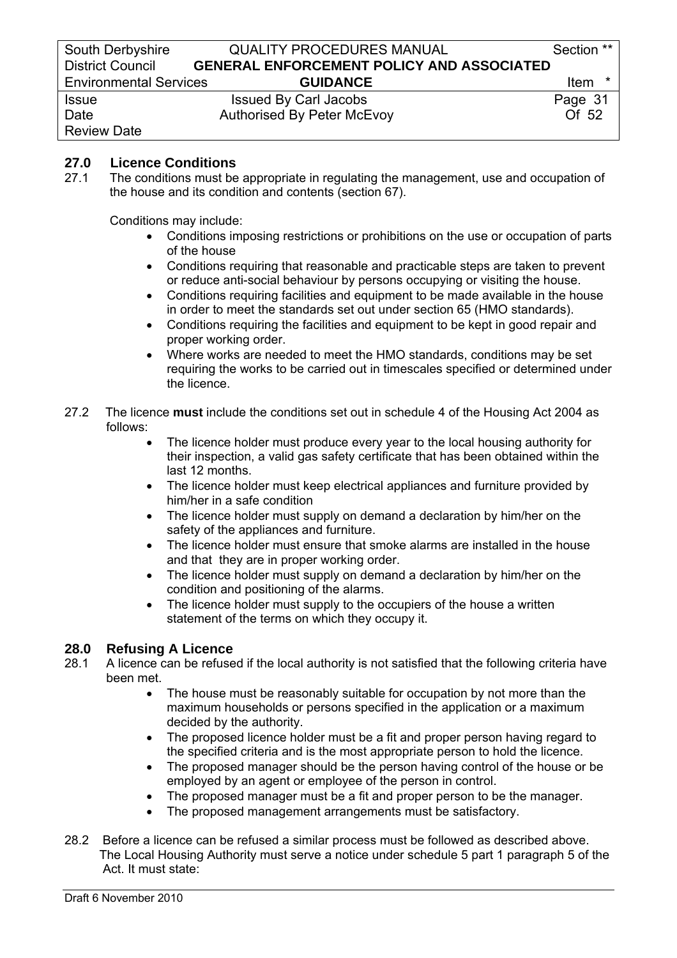# **27.0 Licence Conditions**

27.1 The conditions must be appropriate in regulating the management, use and occupation of the house and its condition and contents (section 67).

Conditions may include:

- Conditions imposing restrictions or prohibitions on the use or occupation of parts of the house
- Conditions requiring that reasonable and practicable steps are taken to prevent or reduce anti-social behaviour by persons occupying or visiting the house.
- Conditions requiring facilities and equipment to be made available in the house in order to meet the standards set out under section 65 (HMO standards).
- Conditions requiring the facilities and equipment to be kept in good repair and proper working order.
- Where works are needed to meet the HMO standards, conditions may be set requiring the works to be carried out in timescales specified or determined under the licence.
- 27.2 The licence **must** include the conditions set out in schedule 4 of the Housing Act 2004 as follows:
	- The licence holder must produce every year to the local housing authority for their inspection, a valid gas safety certificate that has been obtained within the last 12 months.
	- The licence holder must keep electrical appliances and furniture provided by him/her in a safe condition
	- The licence holder must supply on demand a declaration by him/her on the safety of the appliances and furniture.
	- The licence holder must ensure that smoke alarms are installed in the house and that they are in proper working order.
	- The licence holder must supply on demand a declaration by him/her on the condition and positioning of the alarms.
	- The licence holder must supply to the occupiers of the house a written statement of the terms on which they occupy it.

# **28.0 Refusing A Licence**

- 28.1 A licence can be refused if the local authority is not satisfied that the following criteria have been met.
	- The house must be reasonably suitable for occupation by not more than the maximum households or persons specified in the application or a maximum decided by the authority.
	- The proposed licence holder must be a fit and proper person having regard to the specified criteria and is the most appropriate person to hold the licence.
	- The proposed manager should be the person having control of the house or be employed by an agent or employee of the person in control.
	- The proposed manager must be a fit and proper person to be the manager.
	- The proposed management arrangements must be satisfactory.
- 28.2 Before a licence can be refused a similar process must be followed as described above. The Local Housing Authority must serve a notice under schedule 5 part 1 paragraph 5 of the Act. It must state: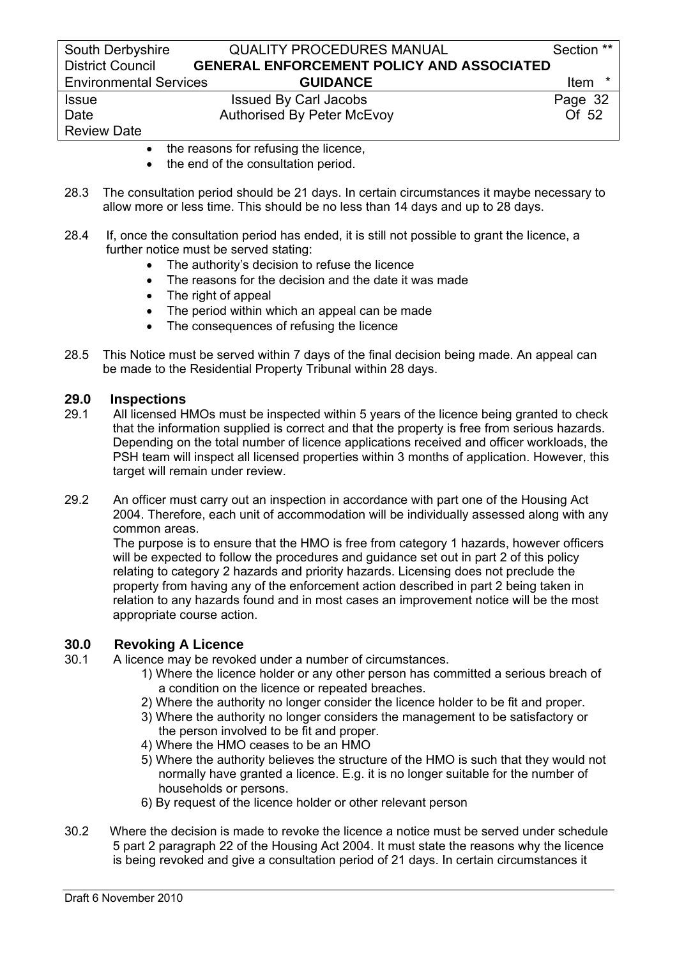| South Derbyshire              | <b>QUALITY PROCEDURES MANUAL</b>                 | Section ** |
|-------------------------------|--------------------------------------------------|------------|
| <b>District Council</b>       | <b>GENERAL ENFORCEMENT POLICY AND ASSOCIATED</b> |            |
| <b>Environmental Services</b> | <b>GUIDANCE</b>                                  | Item *     |
| <b>Issue</b>                  | <b>Issued By Carl Jacobs</b>                     | Page 32    |
| Date                          | <b>Authorised By Peter McEvoy</b>                | Of 52      |
| <b>Review Date</b>            |                                                  |            |

- the reasons for refusing the licence,
- the end of the consultation period.
- 28.3 The consultation period should be 21 days. In certain circumstances it maybe necessary to allow more or less time. This should be no less than 14 days and up to 28 days.
- 28.4 If, once the consultation period has ended, it is still not possible to grant the licence, a further notice must be served stating:
	- The authority's decision to refuse the licence
	- The reasons for the decision and the date it was made
	- The right of appeal
	- The period within which an appeal can be made
	- The consequences of refusing the licence
- 28.5 This Notice must be served within 7 days of the final decision being made. An appeal can be made to the Residential Property Tribunal within 28 days.

### **29.0 Inspections**

- 29.1 All licensed HMOs must be inspected within 5 years of the licence being granted to check that the information supplied is correct and that the property is free from serious hazards. Depending on the total number of licence applications received and officer workloads, the PSH team will inspect all licensed properties within 3 months of application. However, this target will remain under review.
- 29.2 An officer must carry out an inspection in accordance with part one of the Housing Act 2004. Therefore, each unit of accommodation will be individually assessed along with any common areas.

 The purpose is to ensure that the HMO is free from category 1 hazards, however officers will be expected to follow the procedures and guidance set out in part 2 of this policy relating to category 2 hazards and priority hazards. Licensing does not preclude the property from having any of the enforcement action described in part 2 being taken in relation to any hazards found and in most cases an improvement notice will be the most appropriate course action.

### **30.0 Revoking A Licence**

- 30.1 A licence may be revoked under a number of circumstances.
	- 1) Where the licence holder or any other person has committed a serious breach of a condition on the licence or repeated breaches.
	- 2) Where the authority no longer consider the licence holder to be fit and proper.
	- 3) Where the authority no longer considers the management to be satisfactory or the person involved to be fit and proper.
	- 4) Where the HMO ceases to be an HMO
	- 5) Where the authority believes the structure of the HMO is such that they would not normally have granted a licence. E.g. it is no longer suitable for the number of households or persons.
	- 6) By request of the licence holder or other relevant person
- 30.2 Where the decision is made to revoke the licence a notice must be served under schedule 5 part 2 paragraph 22 of the Housing Act 2004. It must state the reasons why the licence is being revoked and give a consultation period of 21 days. In certain circumstances it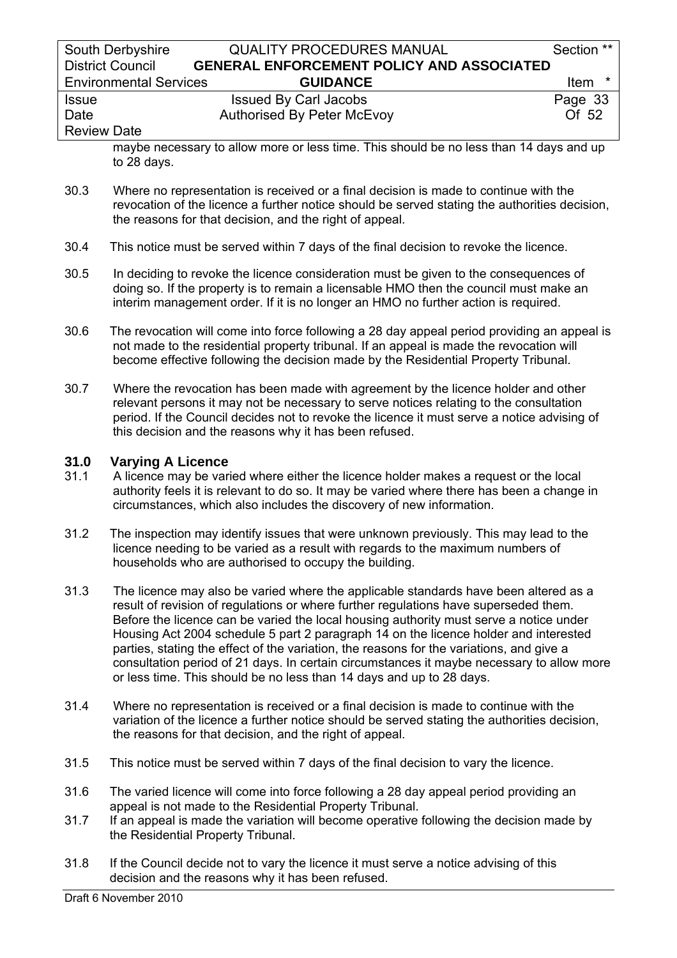| South Derbyshire              | <b>QUALITY PROCEDURES MANUAL</b>                 | Section ** |
|-------------------------------|--------------------------------------------------|------------|
| <b>District Council</b>       | <b>GENERAL ENFORCEMENT POLICY AND ASSOCIATED</b> |            |
| <b>Environmental Services</b> | <b>GUIDANCE</b>                                  | Item<br>*  |
| <b>Issue</b>                  | <b>Issued By Carl Jacobs</b>                     | Page 33    |
| Date                          | <b>Authorised By Peter McEvoy</b>                | Of 52      |
| <b>Review Date</b>            |                                                  |            |

maybe necessary to allow more or less time. This should be no less than 14 days and up to 28 days.

- 30.3 Where no representation is received or a final decision is made to continue with the revocation of the licence a further notice should be served stating the authorities decision, the reasons for that decision, and the right of appeal.
- 30.4 This notice must be served within 7 days of the final decision to revoke the licence.
- 30.5 In deciding to revoke the licence consideration must be given to the consequences of doing so. If the property is to remain a licensable HMO then the council must make an interim management order. If it is no longer an HMO no further action is required.
- 30.6 The revocation will come into force following a 28 day appeal period providing an appeal is not made to the residential property tribunal. If an appeal is made the revocation will become effective following the decision made by the Residential Property Tribunal.
- 30.7 Where the revocation has been made with agreement by the licence holder and other relevant persons it may not be necessary to serve notices relating to the consultation period. If the Council decides not to revoke the licence it must serve a notice advising of this decision and the reasons why it has been refused.

### **31.0 Varying A Licence**

- 31.1 A licence may be varied where either the licence holder makes a request or the local authority feels it is relevant to do so. It may be varied where there has been a change in circumstances, which also includes the discovery of new information.
- 31.2 The inspection may identify issues that were unknown previously. This may lead to the licence needing to be varied as a result with regards to the maximum numbers of households who are authorised to occupy the building.
- 31.3 The licence may also be varied where the applicable standards have been altered as a result of revision of regulations or where further regulations have superseded them. Before the licence can be varied the local housing authority must serve a notice under Housing Act 2004 schedule 5 part 2 paragraph 14 on the licence holder and interested parties, stating the effect of the variation, the reasons for the variations, and give a consultation period of 21 days. In certain circumstances it maybe necessary to allow more or less time. This should be no less than 14 days and up to 28 days.
- 31.4 Where no representation is received or a final decision is made to continue with the variation of the licence a further notice should be served stating the authorities decision, the reasons for that decision, and the right of appeal.
- 31.5 This notice must be served within 7 days of the final decision to vary the licence.
- 31.6 The varied licence will come into force following a 28 day appeal period providing an appeal is not made to the Residential Property Tribunal.
- 31.7 If an appeal is made the variation will become operative following the decision made by the Residential Property Tribunal.
- 31.8 If the Council decide not to vary the licence it must serve a notice advising of this decision and the reasons why it has been refused.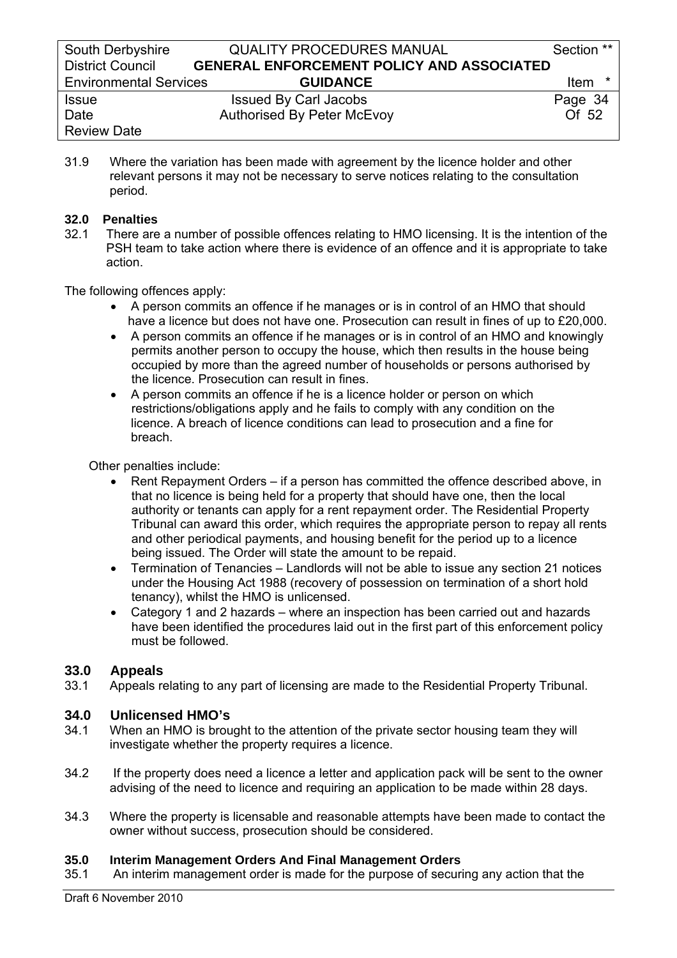31.9 Where the variation has been made with agreement by the licence holder and other relevant persons it may not be necessary to serve notices relating to the consultation period.

### **32.0 Penalties**

32.1 There are a number of possible offences relating to HMO licensing. It is the intention of the PSH team to take action where there is evidence of an offence and it is appropriate to take action.

The following offences apply:

- A person commits an offence if he manages or is in control of an HMO that should have a licence but does not have one. Prosecution can result in fines of up to £20,000.
- A person commits an offence if he manages or is in control of an HMO and knowingly permits another person to occupy the house, which then results in the house being occupied by more than the agreed number of households or persons authorised by the licence. Prosecution can result in fines.
- A person commits an offence if he is a licence holder or person on which restrictions/obligations apply and he fails to comply with any condition on the licence. A breach of licence conditions can lead to prosecution and a fine for breach.

Other penalties include:

- Rent Repayment Orders if a person has committed the offence described above, in that no licence is being held for a property that should have one, then the local authority or tenants can apply for a rent repayment order. The Residential Property Tribunal can award this order, which requires the appropriate person to repay all rents and other periodical payments, and housing benefit for the period up to a licence being issued. The Order will state the amount to be repaid.
- Termination of Tenancies Landlords will not be able to issue any section 21 notices under the Housing Act 1988 (recovery of possession on termination of a short hold tenancy), whilst the HMO is unlicensed.
- Category 1 and 2 hazards where an inspection has been carried out and hazards have been identified the procedures laid out in the first part of this enforcement policy must be followed.

# **33.0 Appeals**

33.1 Appeals relating to any part of licensing are made to the Residential Property Tribunal.

# **34.0 Unlicensed HMO's**

- When an HMO is brought to the attention of the private sector housing team they will investigate whether the property requires a licence.
- 34.2 If the property does need a licence a letter and application pack will be sent to the owner advising of the need to licence and requiring an application to be made within 28 days.
- 34.3 Where the property is licensable and reasonable attempts have been made to contact the owner without success, prosecution should be considered.

### **35.0 Interim Management Orders And Final Management Orders**

35.1 An interim management order is made for the purpose of securing any action that the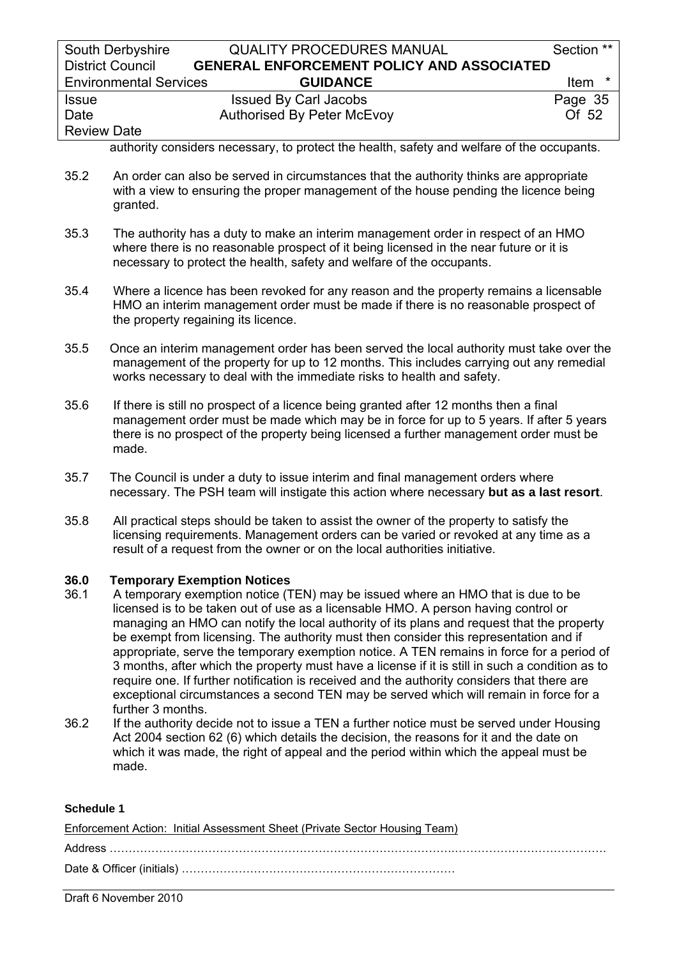| South Derbyshire              | <b>QUALITY PROCEDURES MANUAL</b>                 | Section **       |
|-------------------------------|--------------------------------------------------|------------------|
| <b>District Council</b>       | <b>GENERAL ENFORCEMENT POLICY AND ASSOCIATED</b> |                  |
| <b>Environmental Services</b> | <b>GUIDANCE</b>                                  | <b>Item</b><br>∗ |
| <b>Issue</b>                  | <b>Issued By Carl Jacobs</b>                     | Page 35          |
| Date                          | <b>Authorised By Peter McEvoy</b>                | Of 52            |
| <b>Review Date</b>            |                                                  |                  |

authority considers necessary, to protect the health, safety and welfare of the occupants.

- 35.2 An order can also be served in circumstances that the authority thinks are appropriate with a view to ensuring the proper management of the house pending the licence being granted.
- 35.3 The authority has a duty to make an interim management order in respect of an HMO where there is no reasonable prospect of it being licensed in the near future or it is necessary to protect the health, safety and welfare of the occupants.
- 35.4 Where a licence has been revoked for any reason and the property remains a licensable HMO an interim management order must be made if there is no reasonable prospect of the property regaining its licence.
- 35.5 Once an interim management order has been served the local authority must take over the management of the property for up to 12 months. This includes carrying out any remedial works necessary to deal with the immediate risks to health and safety.
- 35.6 If there is still no prospect of a licence being granted after 12 months then a final management order must be made which may be in force for up to 5 years. If after 5 years there is no prospect of the property being licensed a further management order must be made.
- 35.7 The Council is under a duty to issue interim and final management orders where necessary. The PSH team will instigate this action where necessary **but as a last resort**.
- 35.8 All practical steps should be taken to assist the owner of the property to satisfy the licensing requirements. Management orders can be varied or revoked at any time as a result of a request from the owner or on the local authorities initiative.

### **36.0 Temporary Exemption Notices**

- 36.1 A temporary exemption notice (TEN) may be issued where an HMO that is due to be licensed is to be taken out of use as a licensable HMO. A person having control or managing an HMO can notify the local authority of its plans and request that the property be exempt from licensing. The authority must then consider this representation and if appropriate, serve the temporary exemption notice. A TEN remains in force for a period of 3 months, after which the property must have a license if it is still in such a condition as to require one. If further notification is received and the authority considers that there are exceptional circumstances a second TEN may be served which will remain in force for a further 3 months.
- 36.2 If the authority decide not to issue a TEN a further notice must be served under Housing Act 2004 section 62 (6) which details the decision, the reasons for it and the date on which it was made, the right of appeal and the period within which the appeal must be made.

#### **Schedule 1**

| Enforcement Action: Initial Assessment Sheet (Private Sector Housing Team) |
|----------------------------------------------------------------------------|
|                                                                            |
|                                                                            |

Draft 6 November 2010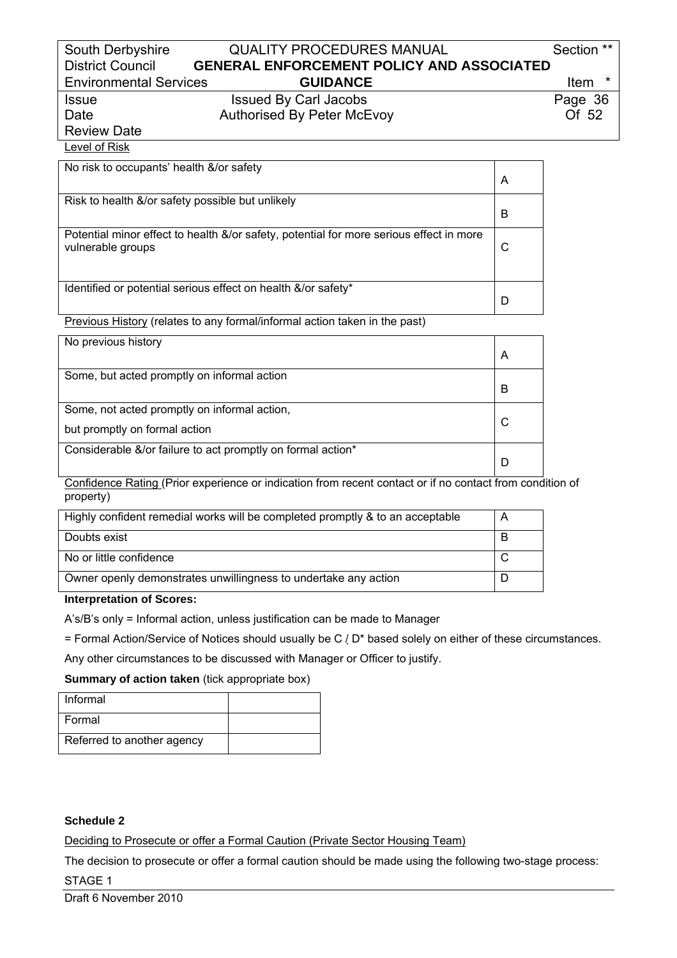| South Derbyshire              | <b>QUALITY PROCEDURES MANUAL</b>                 | Section ** |
|-------------------------------|--------------------------------------------------|------------|
| <b>District Council</b>       | <b>GENERAL ENFORCEMENT POLICY AND ASSOCIATED</b> |            |
| <b>Environmental Services</b> | <b>GUIDANCE</b>                                  | Item       |
| <b>Issue</b>                  | <b>Issued By Carl Jacobs</b>                     | Page 36    |
| Date                          | <b>Authorised By Peter McEvoy</b>                | Of 52      |
| <b>Review Date</b>            |                                                  |            |

# Level of Risk

| No risk to occupants' health &/or safety                                                                     | Α |
|--------------------------------------------------------------------------------------------------------------|---|
| Risk to health &/or safety possible but unlikely                                                             | B |
| Potential minor effect to health &/or safety, potential for more serious effect in more<br>vulnerable groups | C |
| Identified or potential serious effect on health &/or safety*                                                | D |

Previous History (relates to any formal/informal action taken in the past)

| No previous history                                         | A |
|-------------------------------------------------------------|---|
| Some, but acted promptly on informal action                 | В |
| Some, not acted promptly on informal action,                |   |
| but promptly on formal action                               |   |
| Considerable &/or failure to act promptly on formal action* |   |

Confidence Rating (Prior experience or indication from recent contact or if no contact from condition of property)

| Highly confident remedial works will be completed promptly & to an acceptable | A |
|-------------------------------------------------------------------------------|---|
| Doubts exist                                                                  |   |
| No or little confidence                                                       |   |
| Owner openly demonstrates unwillingness to undertake any action               |   |

### **Interpretation of Scores:**

A's/B's only = Informal action, unless justification can be made to Manager

= Formal Action/Service of Notices should usually be C / D\* based solely on either of these circumstances.

Any other circumstances to be discussed with Manager or Officer to justify.

#### **Summary of action taken** (tick appropriate box)

| Informal                   |  |
|----------------------------|--|
| Formal                     |  |
| Referred to another agency |  |

### **Schedule 2**

Deciding to Prosecute or offer a Formal Caution (Private Sector Housing Team)

The decision to prosecute or offer a formal caution should be made using the following two-stage process: STAGE 1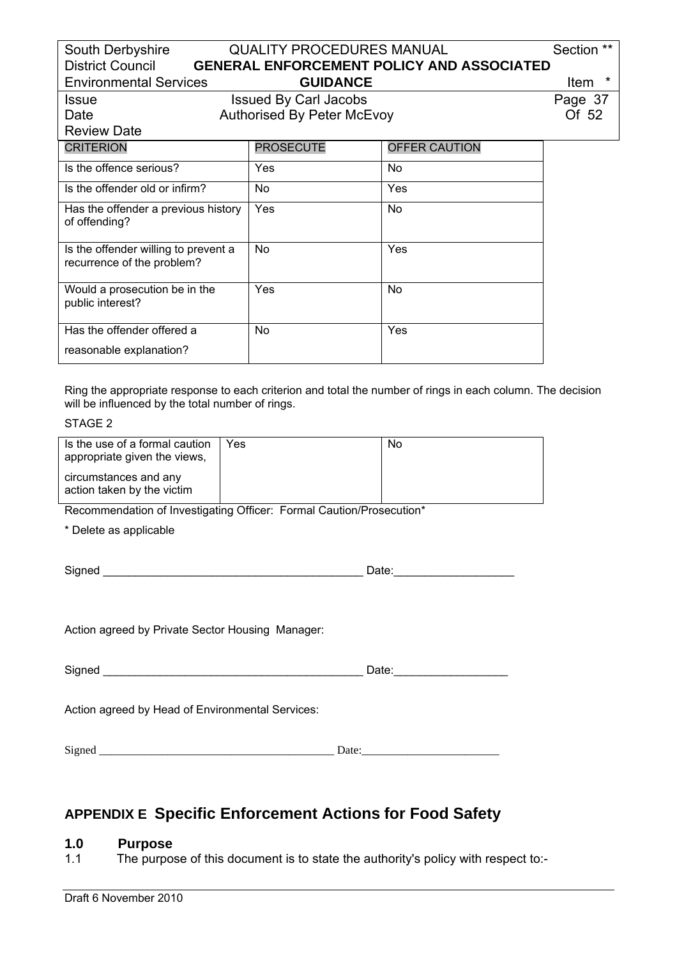| South Derbyshire                                                   | <b>QUALITY PROCEDURES MANUAL</b>  |                                                  | Section **      |
|--------------------------------------------------------------------|-----------------------------------|--------------------------------------------------|-----------------|
| <b>District Council</b>                                            |                                   | <b>GENERAL ENFORCEMENT POLICY AND ASSOCIATED</b> |                 |
| <b>Environmental Services</b>                                      | <b>GUIDANCE</b>                   |                                                  | $\star$<br>Item |
| <b>Issue</b>                                                       | <b>Issued By Carl Jacobs</b>      |                                                  | Page 37         |
| Date                                                               | <b>Authorised By Peter McEvoy</b> |                                                  | Of 52           |
| <b>Review Date</b>                                                 |                                   |                                                  |                 |
| <b>CRITERION</b>                                                   | <b>PROSECUTE</b>                  | OFFER CAUTION                                    |                 |
| Is the offence serious?                                            | Yes                               | No                                               |                 |
| Is the offender old or infirm?                                     | No                                | Yes                                              |                 |
| Has the offender a previous history<br>of offending?               | <b>Yes</b>                        | No                                               |                 |
| Is the offender willing to prevent a<br>recurrence of the problem? | No                                | Yes                                              |                 |
| Would a prosecution be in the<br>public interest?                  | Yes                               | No                                               |                 |
| Has the offender offered a<br>reasonable explanation?              | No                                | Yes                                              |                 |

Ring the appropriate response to each criterion and total the number of rings in each column. The decision will be influenced by the total number of rings.

### STAGE 2

| Is the use of a formal caution<br>appropriate given the views, | Yes. | No |
|----------------------------------------------------------------|------|----|
| circumstances and any<br>action taken by the victim            |      |    |

Recommendation of Investigating Officer: Formal Caution/Prosecution\*

\* Delete as applicable

| Signed | Date: |  |
|--------|-------|--|
|        |       |  |

Action agreed by Private Sector Housing Manager:

| Signed | ate. |
|--------|------|
|--------|------|

Action agreed by Head of Environmental Services:

Signed \_\_\_\_\_\_\_\_\_\_\_\_\_\_\_\_\_\_\_\_\_\_\_\_\_\_\_\_\_\_\_\_\_\_\_\_\_\_\_\_\_ Date:\_\_\_\_\_\_\_\_\_\_\_\_\_\_\_\_\_\_\_\_\_\_\_\_

# **APPENDIX E Specific Enforcement Actions for Food Safety**

#### **1.0 Purpose**

1.1 The purpose of this document is to state the authority's policy with respect to:-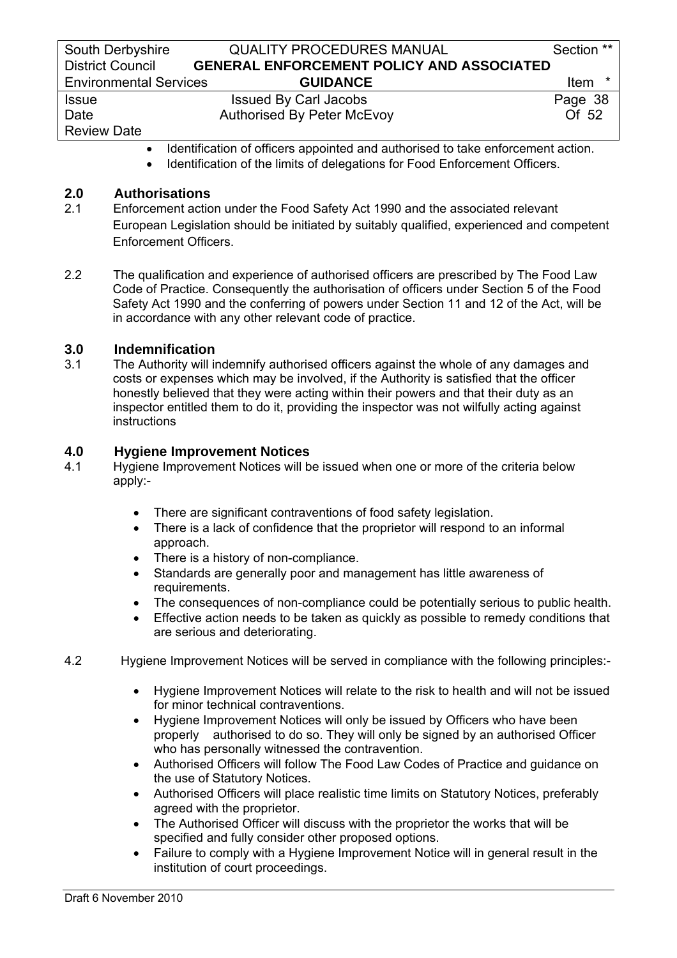# • Identification of officers appointed and authorised to take enforcement action.

• Identification of the limits of delegations for Food Enforcement Officers.

# **2.0 Authorisations**

- 2.1 Enforcement action under the Food Safety Act 1990 and the associated relevant European Legislation should be initiated by suitably qualified, experienced and competent Enforcement Officers.
- 2.2 The qualification and experience of authorised officers are prescribed by The Food Law Code of Practice. Consequently the authorisation of officers under Section 5 of the Food Safety Act 1990 and the conferring of powers under Section 11 and 12 of the Act, will be in accordance with any other relevant code of practice.

### **3.0 Indemnification**

3.1 The Authority will indemnify authorised officers against the whole of any damages and costs or expenses which may be involved, if the Authority is satisfied that the officer honestly believed that they were acting within their powers and that their duty as an inspector entitled them to do it, providing the inspector was not wilfully acting against instructions

### **4.0 Hygiene Improvement Notices**

- 4.1 Hygiene Improvement Notices will be issued when one or more of the criteria below apply:-
	- There are significant contraventions of food safety legislation.
	- There is a lack of confidence that the proprietor will respond to an informal approach.
	- There is a history of non-compliance.
	- Standards are generally poor and management has little awareness of requirements.
	- The consequences of non-compliance could be potentially serious to public health.
	- Effective action needs to be taken as quickly as possible to remedy conditions that are serious and deteriorating.
- 4.2 Hygiene Improvement Notices will be served in compliance with the following principles:-
	- Hygiene Improvement Notices will relate to the risk to health and will not be issued for minor technical contraventions.
	- Hygiene Improvement Notices will only be issued by Officers who have been properly authorised to do so. They will only be signed by an authorised Officer who has personally witnessed the contravention.
	- Authorised Officers will follow The Food Law Codes of Practice and guidance on the use of Statutory Notices.
	- Authorised Officers will place realistic time limits on Statutory Notices, preferably agreed with the proprietor.
	- The Authorised Officer will discuss with the proprietor the works that will be specified and fully consider other proposed options.
	- Failure to comply with a Hygiene Improvement Notice will in general result in the institution of court proceedings.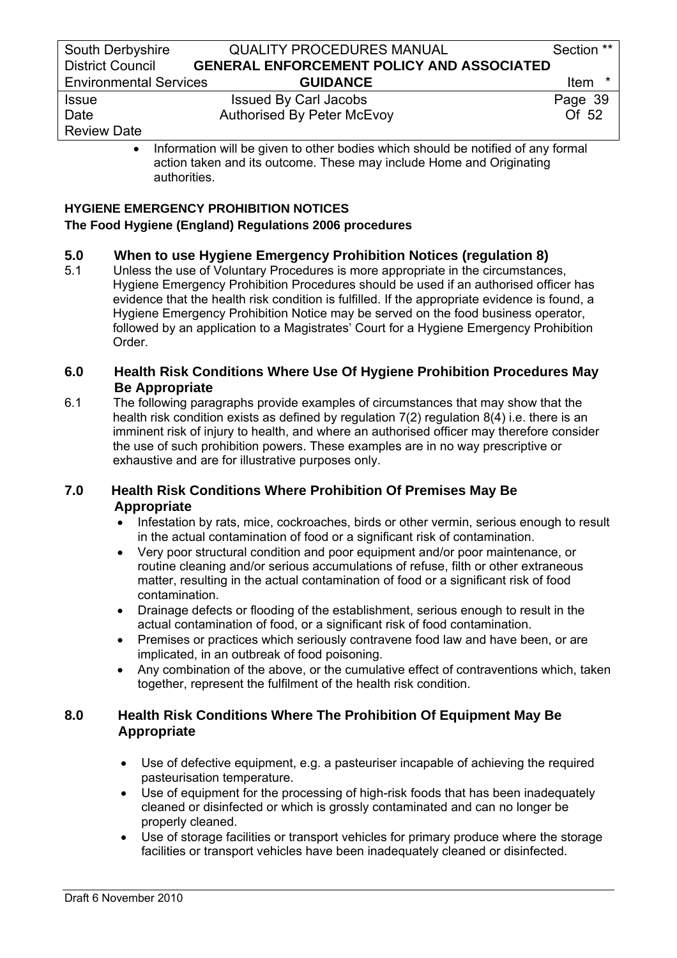Review Date

• Information will be given to other bodies which should be notified of any formal action taken and its outcome. These may include Home and Originating authorities.

### **HYGIENE EMERGENCY PROHIBITION NOTICES The Food Hygiene (England) Regulations 2006 procedures**

# **5.0 When to use Hygiene Emergency Prohibition Notices (regulation 8)**<br>5.1 Unless the use of Voluntary Procedures is more appropriate in the circumstance

Unless the use of Voluntary Procedures is more appropriate in the circumstances, Hygiene Emergency Prohibition Procedures should be used if an authorised officer has evidence that the health risk condition is fulfilled. If the appropriate evidence is found, a Hygiene Emergency Prohibition Notice may be served on the food business operator, followed by an application to a Magistrates' Court for a Hygiene Emergency Prohibition Order.

# **6.0 Health Risk Conditions Where Use Of Hygiene Prohibition Procedures May Be Appropriate**

6.1 The following paragraphs provide examples of circumstances that may show that the health risk condition exists as defined by regulation 7(2) regulation 8(4) i.e. there is an imminent risk of injury to health, and where an authorised officer may therefore consider the use of such prohibition powers. These examples are in no way prescriptive or exhaustive and are for illustrative purposes only.

# **7.0 Health Risk Conditions Where Prohibition Of Premises May Be Appropriate**

- Infestation by rats, mice, cockroaches, birds or other vermin, serious enough to result in the actual contamination of food or a significant risk of contamination.
- Very poor structural condition and poor equipment and/or poor maintenance, or routine cleaning and/or serious accumulations of refuse, filth or other extraneous matter, resulting in the actual contamination of food or a significant risk of food contamination.
- Drainage defects or flooding of the establishment, serious enough to result in the actual contamination of food, or a significant risk of food contamination.
- Premises or practices which seriously contravene food law and have been, or are implicated, in an outbreak of food poisoning.
- Any combination of the above, or the cumulative effect of contraventions which, taken together, represent the fulfilment of the health risk condition.

# **8.0 Health Risk Conditions Where The Prohibition Of Equipment May Be Appropriate**

- Use of defective equipment, e.g. a pasteuriser incapable of achieving the required pasteurisation temperature.
- Use of equipment for the processing of high-risk foods that has been inadequately cleaned or disinfected or which is grossly contaminated and can no longer be properly cleaned.
- Use of storage facilities or transport vehicles for primary produce where the storage facilities or transport vehicles have been inadequately cleaned or disinfected.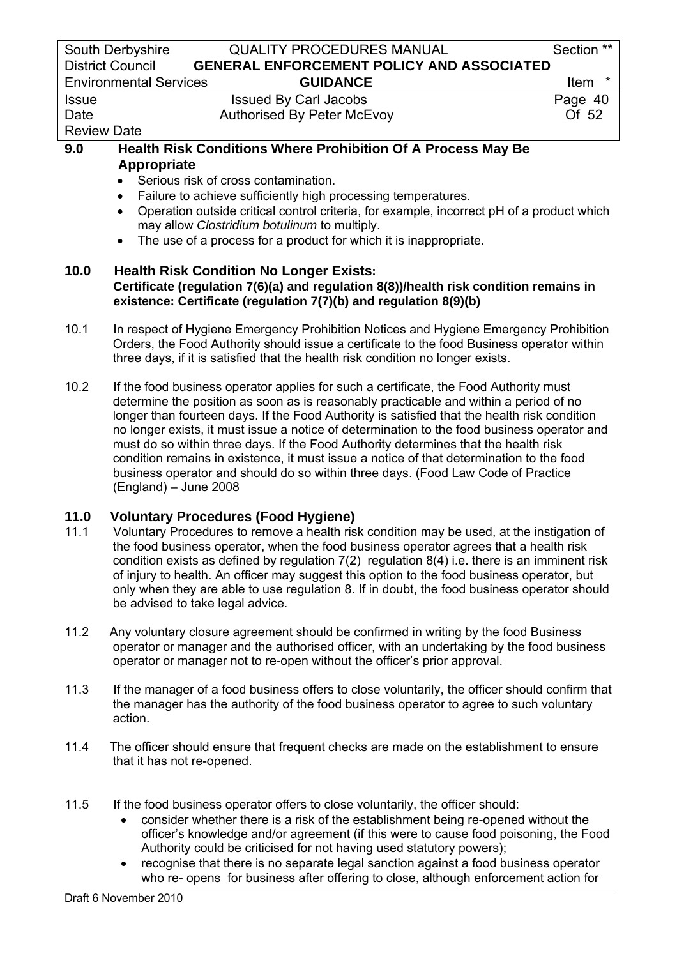|                                                                                                                                                                                                                                                                                                                                                                               | South Derbyshire<br><b>QUALITY PROCEDURES MANUAL</b>                                                                                                                                                                                                                   | Section **      |
|-------------------------------------------------------------------------------------------------------------------------------------------------------------------------------------------------------------------------------------------------------------------------------------------------------------------------------------------------------------------------------|------------------------------------------------------------------------------------------------------------------------------------------------------------------------------------------------------------------------------------------------------------------------|-----------------|
|                                                                                                                                                                                                                                                                                                                                                                               | <b>District Council</b><br><b>GENERAL ENFORCEMENT POLICY AND ASSOCIATED</b>                                                                                                                                                                                            |                 |
|                                                                                                                                                                                                                                                                                                                                                                               | <b>GUIDANCE</b><br><b>Environmental Services</b>                                                                                                                                                                                                                       | $\star$<br>Item |
| <b>Issue</b>                                                                                                                                                                                                                                                                                                                                                                  | <b>Issued By Carl Jacobs</b>                                                                                                                                                                                                                                           | Page 40         |
| Date                                                                                                                                                                                                                                                                                                                                                                          | <b>Authorised By Peter McEvoy</b>                                                                                                                                                                                                                                      | Of 52           |
| <b>Review Date</b>                                                                                                                                                                                                                                                                                                                                                            |                                                                                                                                                                                                                                                                        |                 |
| 9.0                                                                                                                                                                                                                                                                                                                                                                           | <b>Health Risk Conditions Where Prohibition Of A Process May Be</b>                                                                                                                                                                                                    |                 |
| Appropriate<br>Serious risk of cross contamination.<br>Failure to achieve sufficiently high processing temperatures.<br>$\bullet$<br>Operation outside critical control criteria, for example, incorrect pH of a product which<br>$\bullet$<br>may allow Clostridium botulinum to multiply.<br>The use of a process for a product for which it is inappropriate.<br>$\bullet$ |                                                                                                                                                                                                                                                                        |                 |
| 10.0<br><b>Health Risk Condition No Longer Exists:</b><br>Certificate (regulation 7(6)(a) and regulation 8(8))/health risk condition remains in<br>existence: Certificate (regulation 7(7)(b) and regulation 8(9)(b)                                                                                                                                                          |                                                                                                                                                                                                                                                                        |                 |
| 10.1                                                                                                                                                                                                                                                                                                                                                                          | In respect of Hygiene Emergency Prohibition Notices and Hygiene Emergency Prohibition<br>Orders, the Food Authority should issue a certificate to the food Business operator within<br>three days, if it is satisfied that the health risk condition no longer exists. |                 |
| 10.2                                                                                                                                                                                                                                                                                                                                                                          | If the food business operator applies for such a certificate, the Food Authority must<br>determine the position as soon as is reasonably practicable and within a period of no                                                                                         |                 |

longer than fourteen days. If the Food Authority is satisfied that the health risk condition no longer exists, it must issue a notice of determination to the food business operator and must do so within three days. If the Food Authority determines that the health risk condition remains in existence, it must issue a notice of that determination to the food business operator and should do so within three days. (Food Law Code of Practice (England) – June 2008

### **11.0 Voluntary Procedures (Food Hygiene)**

- 11.1 Voluntary Procedures to remove a health risk condition may be used, at the instigation of the food business operator, when the food business operator agrees that a health risk condition exists as defined by regulation 7(2) regulation 8(4) i.e. there is an imminent risk of injury to health. An officer may suggest this option to the food business operator, but only when they are able to use regulation 8. If in doubt, the food business operator should be advised to take legal advice.
- 11.2 Any voluntary closure agreement should be confirmed in writing by the food Business operator or manager and the authorised officer, with an undertaking by the food business operator or manager not to re-open without the officer's prior approval.
- 11.3 If the manager of a food business offers to close voluntarily, the officer should confirm that the manager has the authority of the food business operator to agree to such voluntary action.
- 11.4 The officer should ensure that frequent checks are made on the establishment to ensure that it has not re-opened.
- 11.5 If the food business operator offers to close voluntarily, the officer should:
	- consider whether there is a risk of the establishment being re-opened without the officer's knowledge and/or agreement (if this were to cause food poisoning, the Food Authority could be criticised for not having used statutory powers);
	- recognise that there is no separate legal sanction against a food business operator who re- opens for business after offering to close, although enforcement action for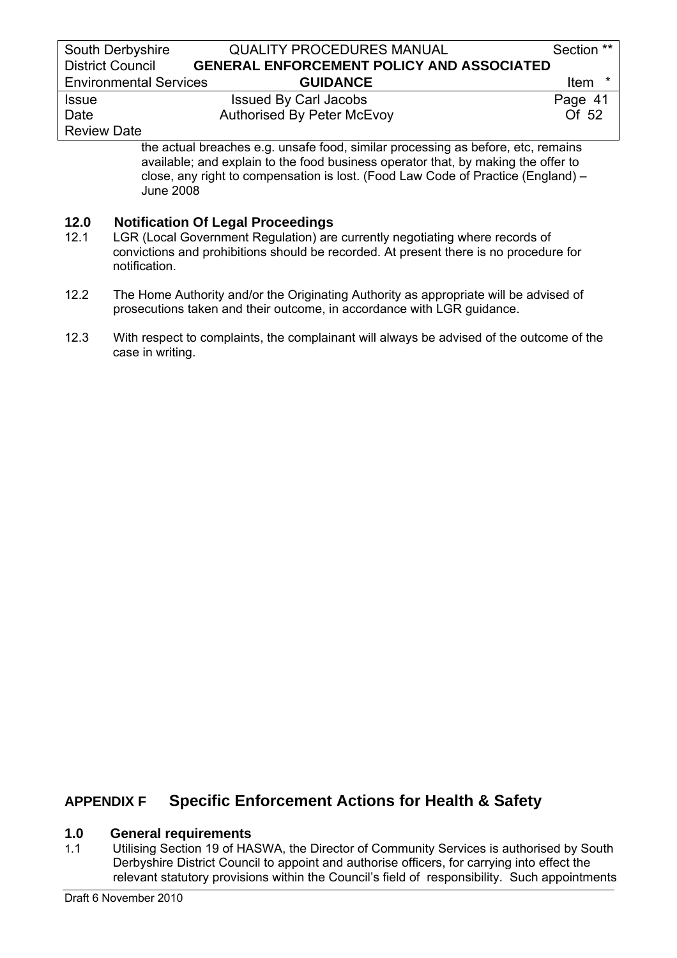| South Derbyshire              | <b>QUALITY PROCEDURES MANUAL</b>                 | Section **  |
|-------------------------------|--------------------------------------------------|-------------|
| <b>District Council</b>       | <b>GENERAL ENFORCEMENT POLICY AND ASSOCIATED</b> |             |
| <b>Environmental Services</b> | <b>GUIDANCE</b>                                  | <b>Item</b> |
| <b>Issue</b>                  | <b>Issued By Carl Jacobs</b>                     | Page 41     |
| Date                          | <b>Authorised By Peter McEvoy</b>                | Of 52       |
| <b>Review Date</b>            |                                                  |             |

the actual breaches e.g. unsafe food, similar processing as before, etc, remains available; and explain to the food business operator that, by making the offer to close, any right to compensation is lost. (Food Law Code of Practice (England) – June 2008

### **12.0 Notification Of Legal Proceedings**

- 12.1 LGR (Local Government Regulation) are currently negotiating where records of convictions and prohibitions should be recorded. At present there is no procedure for notification.
- 12.2 The Home Authority and/or the Originating Authority as appropriate will be advised of prosecutions taken and their outcome, in accordance with LGR guidance.
- 12.3 With respect to complaints, the complainant will always be advised of the outcome of the case in writing.

# **APPENDIX F Specific Enforcement Actions for Health & Safety**

### **1.0 General requirements**

1.1 Utilising Section 19 of HASWA, the Director of Community Services is authorised by South Derbyshire District Council to appoint and authorise officers, for carrying into effect the relevant statutory provisions within the Council's field of responsibility. Such appointments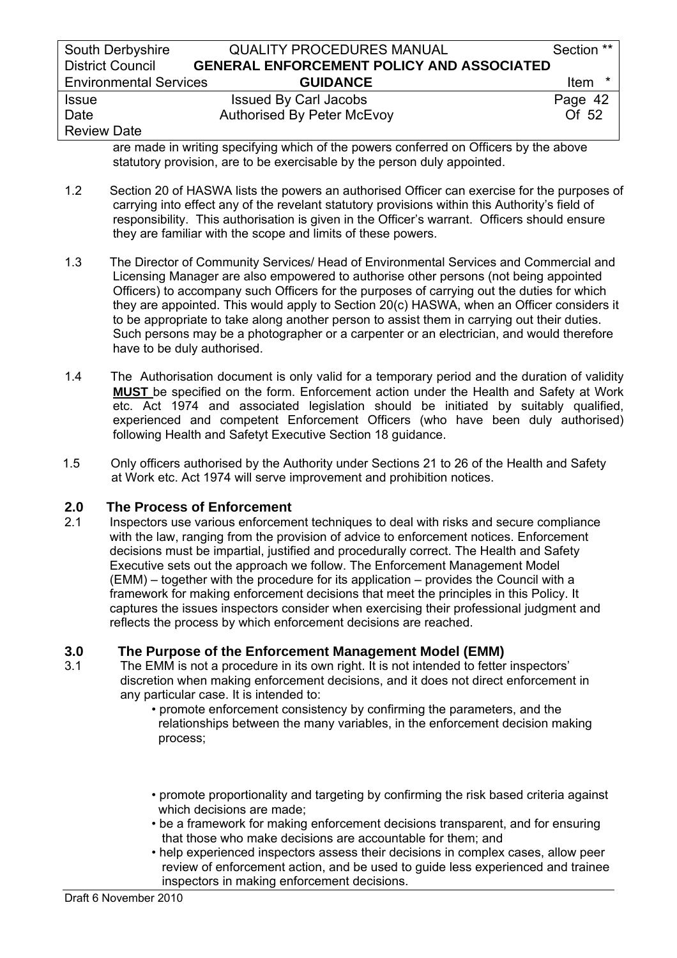| South Derbyshire              | <b>QUALITY PROCEDURES MANUAL</b>                 | Section **       |
|-------------------------------|--------------------------------------------------|------------------|
| <b>District Council</b>       | <b>GENERAL ENFORCEMENT POLICY AND ASSOCIATED</b> |                  |
| <b>Environmental Services</b> | <b>GUIDANCE</b>                                  | <b>Item</b><br>* |
| <b>Issue</b>                  | <b>Issued By Carl Jacobs</b>                     | Page 42          |
| Date                          | <b>Authorised By Peter McEvoy</b>                | Of 52            |
| <b>Review Date</b>            |                                                  |                  |

are made in writing specifying which of the powers conferred on Officers by the above statutory provision, are to be exercisable by the person duly appointed.

- 1.2 Section 20 of HASWA lists the powers an authorised Officer can exercise for the purposes of carrying into effect any of the revelant statutory provisions within this Authority's field of responsibility. This authorisation is given in the Officer's warrant. Officers should ensure they are familiar with the scope and limits of these powers.
- 1.3 The Director of Community Services/ Head of Environmental Services and Commercial and Licensing Manager are also empowered to authorise other persons (not being appointed Officers) to accompany such Officers for the purposes of carrying out the duties for which they are appointed. This would apply to Section 20(c) HASWA, when an Officer considers it to be appropriate to take along another person to assist them in carrying out their duties. Such persons may be a photographer or a carpenter or an electrician, and would therefore have to be duly authorised.
- 1.4 The Authorisation document is only valid for a temporary period and the duration of validity **MUST** be specified on the form. Enforcement action under the Health and Safety at Work etc. Act 1974 and associated legislation should be initiated by suitably qualified, experienced and competent Enforcement Officers (who have been duly authorised) following Health and Safetyt Executive Section 18 guidance.
- 1.5 Only officers authorised by the Authority under Sections 21 to 26 of the Health and Safety at Work etc. Act 1974 will serve improvement and prohibition notices.

# **2.0 The Process of Enforcement**

2.1 Inspectors use various enforcement techniques to deal with risks and secure compliance with the law, ranging from the provision of advice to enforcement notices. Enforcement decisions must be impartial, justified and procedurally correct. The Health and Safety Executive sets out the approach we follow. The Enforcement Management Model (EMM) – together with the procedure for its application – provides the Council with a framework for making enforcement decisions that meet the principles in this Policy. It captures the issues inspectors consider when exercising their professional judgment and reflects the process by which enforcement decisions are reached.

# **3.0 The Purpose of the Enforcement Management Model (EMM)**<br>3.1 The EMM is not a procedure in its own right. It is not intended to fetter

- The EMM is not a procedure in its own right. It is not intended to fetter inspectors' discretion when making enforcement decisions, and it does not direct enforcement in any particular case. It is intended to:
	- promote enforcement consistency by confirming the parameters, and the relationships between the many variables, in the enforcement decision making process;
	- promote proportionality and targeting by confirming the risk based criteria against which decisions are made;
	- be a framework for making enforcement decisions transparent, and for ensuring that those who make decisions are accountable for them; and
	- help experienced inspectors assess their decisions in complex cases, allow peer review of enforcement action, and be used to guide less experienced and trainee inspectors in making enforcement decisions.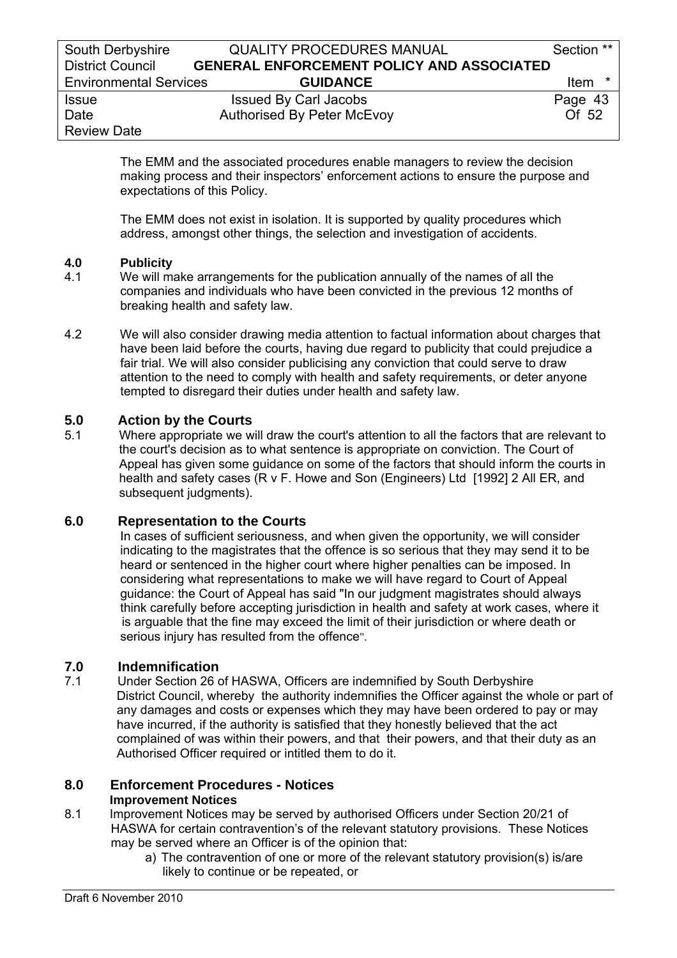The EMM and the associated procedures enable managers to review the decision making process and their inspectors' enforcement actions to ensure the purpose and expectations of this Policy.

 The EMM does not exist in isolation. It is supported by quality procedures which address, amongst other things, the selection and investigation of accidents.

### **4.0 Publicity**

- 4.1 We will make arrangements for the publication annually of the names of all the companies and individuals who have been convicted in the previous 12 months of breaking health and safety law.
- 4.2 We will also consider drawing media attention to factual information about charges that have been laid before the courts, having due regard to publicity that could prejudice a fair trial. We will also consider publicising any conviction that could serve to draw attention to the need to comply with health and safety requirements, or deter anyone tempted to disregard their duties under health and safety law.

# **5.0 Action by the Courts**

5.1 Where appropriate we will draw the court's attention to all the factors that are relevant to the court's decision as to what sentence is appropriate on conviction. The Court of Appeal has given some guidance on some of the factors that should inform the courts in health and safety cases (R v F. Howe and Son (Engineers) Ltd [1992] 2 All ER, and subsequent judgments).

# **6.0 Representation to the Courts**

 In cases of sufficient seriousness, and when given the opportunity, we will consider indicating to the magistrates that the offence is so serious that they may send it to be heard or sentenced in the higher court where higher penalties can be imposed. In considering what representations to make we will have regard to Court of Appeal guidance: the Court of Appeal has said "In our judgment magistrates should always think carefully before accepting jurisdiction in health and safety at work cases, where it is arguable that the fine may exceed the limit of their jurisdiction or where death or serious injury has resulted from the offence".

# **7.0 Indemnification**

7.1 Under Section 26 of HASWA, Officers are indemnified by South Derbyshire District Council, whereby the authority indemnifies the Officer against the whole or part of any damages and costs or expenses which they may have been ordered to pay or may have incurred, if the authority is satisfied that they honestly believed that the act complained of was within their powers, and that their powers, and that their duty as an Authorised Officer required or intitled them to do it.

### **8.0 Enforcement Procedures - Notices Improvement Notices**

- 8.1 Improvement Notices may be served by authorised Officers under Section 20/21 of HASWA for certain contravention's of the relevant statutory provisions. These Notices may be served where an Officer is of the opinion that:
	- a) The contravention of one or more of the relevant statutory provision(s) is/are likely to continue or be repeated, or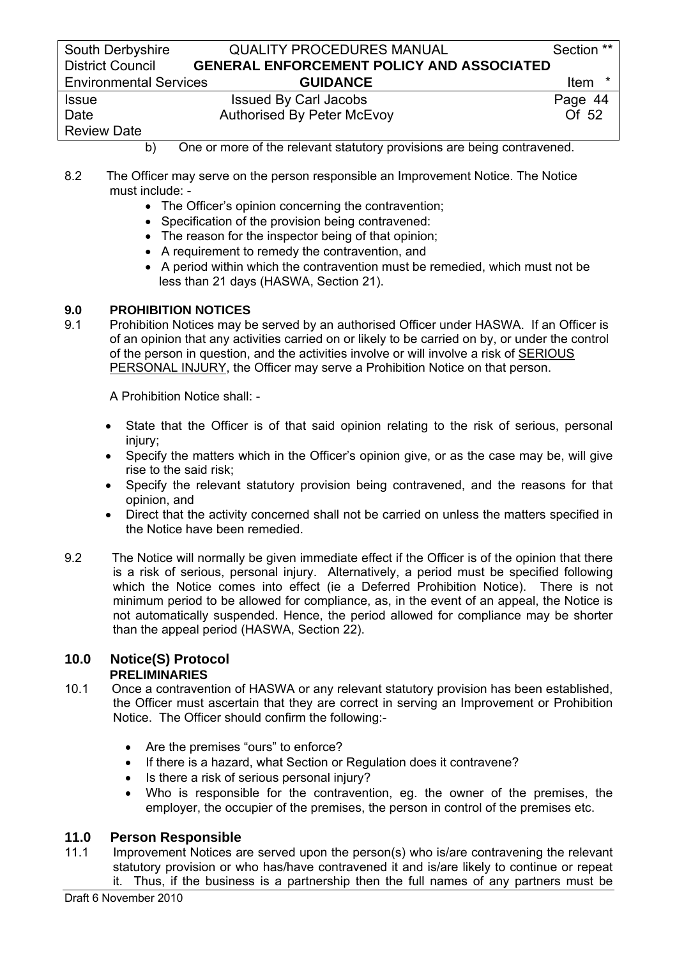| South Derbyshire              | <b>QUALITY PROCEDURES MANUAL</b>                 | Section **       |
|-------------------------------|--------------------------------------------------|------------------|
| <b>District Council</b>       | <b>GENERAL ENFORCEMENT POLICY AND ASSOCIATED</b> |                  |
| <b>Environmental Services</b> | <b>GUIDANCE</b>                                  | <b>Item</b><br>∗ |
| <b>Issue</b>                  | <b>Issued By Carl Jacobs</b>                     | Page 44          |
| Date                          | <b>Authorised By Peter McEvoy</b>                | Of 52            |
| <b>Review Date</b>            |                                                  |                  |

### b) One or more of the relevant statutory provisions are being contravened.

- 8.2 The Officer may serve on the person responsible an Improvement Notice. The Notice must include: -
	- The Officer's opinion concerning the contravention:
	- Specification of the provision being contravened:
	- The reason for the inspector being of that opinion;
	- A requirement to remedy the contravention, and
	- A period within which the contravention must be remedied, which must not be less than 21 days (HASWA, Section 21).

### **9.0 PROHIBITION NOTICES**

9.1 Prohibition Notices may be served by an authorised Officer under HASWA. If an Officer is of an opinion that any activities carried on or likely to be carried on by, or under the control of the person in question, and the activities involve or will involve a risk of SERIOUS PERSONAL INJURY, the Officer may serve a Prohibition Notice on that person.

A Prohibition Notice shall: -

- State that the Officer is of that said opinion relating to the risk of serious, personal injury;
- Specify the matters which in the Officer's opinion give, or as the case may be, will give rise to the said risk;
- Specify the relevant statutory provision being contravened, and the reasons for that opinion, and
- Direct that the activity concerned shall not be carried on unless the matters specified in the Notice have been remedied.
- 9.2 The Notice will normally be given immediate effect if the Officer is of the opinion that there is a risk of serious, personal injury. Alternatively, a period must be specified following which the Notice comes into effect (ie a Deferred Prohibition Notice). There is not minimum period to be allowed for compliance, as, in the event of an appeal, the Notice is not automatically suspended. Hence, the period allowed for compliance may be shorter than the appeal period (HASWA, Section 22).

#### **10.0 Notice(S) Protocol PRELIMINARIES**

- 10.1 Once a contravention of HASWA or any relevant statutory provision has been established, the Officer must ascertain that they are correct in serving an Improvement or Prohibition Notice. The Officer should confirm the following:-
	- Are the premises "ours" to enforce?
	- If there is a hazard, what Section or Regulation does it contravene?
	- Is there a risk of serious personal injury?
	- Who is responsible for the contravention, eg. the owner of the premises, the employer, the occupier of the premises, the person in control of the premises etc.

# **11.0 Person Responsible**

Improvement Notices are served upon the person(s) who is/are contravening the relevant statutory provision or who has/have contravened it and is/are likely to continue or repeat it. Thus, if the business is a partnership then the full names of any partners must be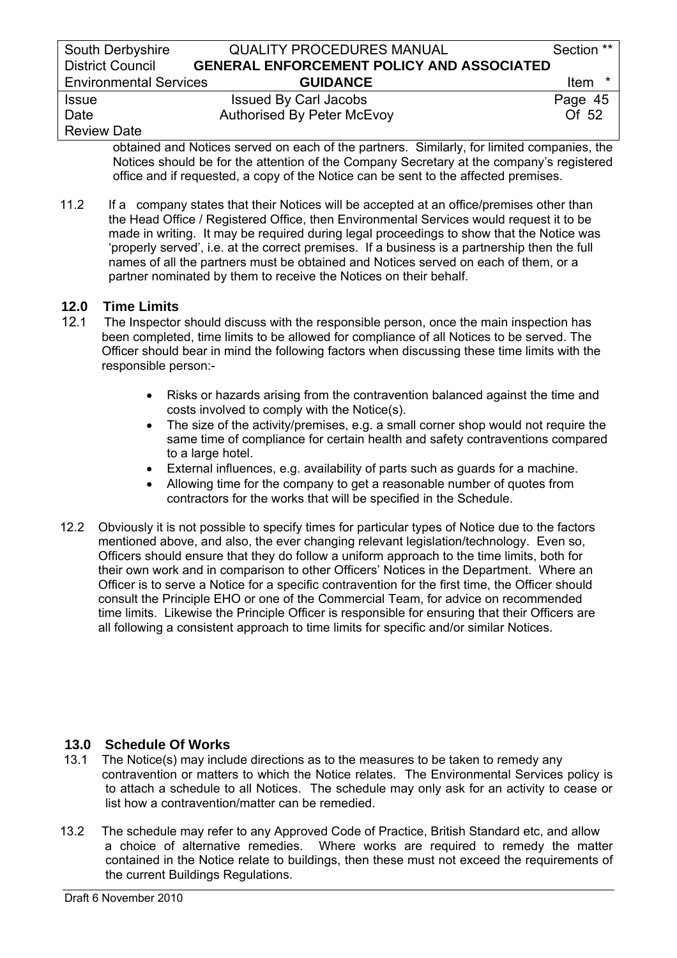| South Derbyshire              | <b>QUALITY PROCEDURES MANUAL</b>                 | Section **             |
|-------------------------------|--------------------------------------------------|------------------------|
| <b>District Council</b>       | <b>GENERAL ENFORCEMENT POLICY AND ASSOCIATED</b> |                        |
| <b>Environmental Services</b> | <b>GUIDANCE</b>                                  | <b>Item</b><br>$\star$ |
| <b>Issue</b>                  | <b>Issued By Carl Jacobs</b>                     | Page 45                |
| Date                          | <b>Authorised By Peter McEvoy</b>                | Of 52                  |
| <b>Review Date</b>            |                                                  |                        |

obtained and Notices served on each of the partners. Similarly, for limited companies, the Notices should be for the attention of the Company Secretary at the company's registered office and if requested, a copy of the Notice can be sent to the affected premises.

 11.2 If a company states that their Notices will be accepted at an office/premises other than the Head Office / Registered Office, then Environmental Services would request it to be made in writing. It may be required during legal proceedings to show that the Notice was 'properly served', i.e. at the correct premises. If a business is a partnership then the full names of all the partners must be obtained and Notices served on each of them, or a partner nominated by them to receive the Notices on their behalf.

# **12.0 Time Limits**

- 12.1 The Inspector should discuss with the responsible person, once the main inspection has been completed, time limits to be allowed for compliance of all Notices to be served. The Officer should bear in mind the following factors when discussing these time limits with the responsible person:-
	- Risks or hazards arising from the contravention balanced against the time and costs involved to comply with the Notice(s).
	- The size of the activity/premises, e.g. a small corner shop would not require the same time of compliance for certain health and safety contraventions compared to a large hotel.
	- External influences, e.g. availability of parts such as guards for a machine.
	- Allowing time for the company to get a reasonable number of quotes from contractors for the works that will be specified in the Schedule.
- 12.2 Obviously it is not possible to specify times for particular types of Notice due to the factors mentioned above, and also, the ever changing relevant legislation/technology. Even so, Officers should ensure that they do follow a uniform approach to the time limits, both for their own work and in comparison to other Officers' Notices in the Department. Where an Officer is to serve a Notice for a specific contravention for the first time, the Officer should consult the Principle EHO or one of the Commercial Team, for advice on recommended time limits. Likewise the Principle Officer is responsible for ensuring that their Officers are all following a consistent approach to time limits for specific and/or similar Notices.

# **13.0 Schedule Of Works**

- 13.1 The Notice(s) may include directions as to the measures to be taken to remedy any contravention or matters to which the Notice relates. The Environmental Services policy is to attach a schedule to all Notices. The schedule may only ask for an activity to cease or list how a contravention/matter can be remedied.
- 13.2 The schedule may refer to any Approved Code of Practice, British Standard etc, and allow a choice of alternative remedies. Where works are required to remedy the matter contained in the Notice relate to buildings, then these must not exceed the requirements of the current Buildings Regulations.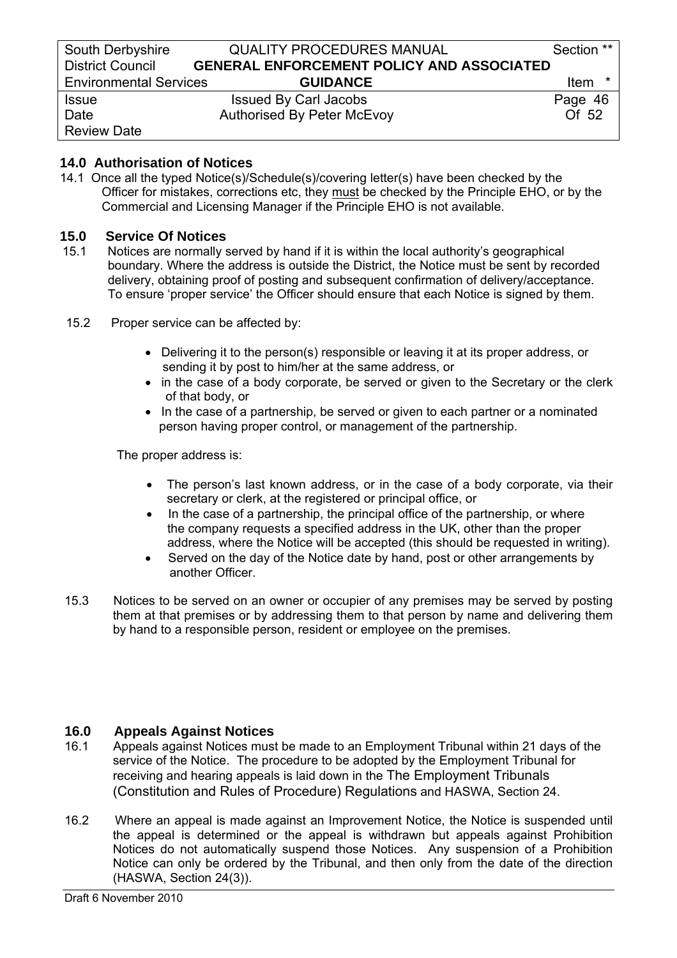### **14.0 Authorisation of Notices**

 14.1 Once all the typed Notice(s)/Schedule(s)/covering letter(s) have been checked by the Officer for mistakes, corrections etc, they must be checked by the Principle EHO, or by the Commercial and Licensing Manager if the Principle EHO is not available.

### **15.0 Service Of Notices**

- 15.1 Notices are normally served by hand if it is within the local authority's geographical boundary. Where the address is outside the District, the Notice must be sent by recorded delivery, obtaining proof of posting and subsequent confirmation of delivery/acceptance. To ensure 'proper service' the Officer should ensure that each Notice is signed by them.
- 15.2 Proper service can be affected by:
	- Delivering it to the person(s) responsible or leaving it at its proper address, or sending it by post to him/her at the same address, or
	- in the case of a body corporate, be served or given to the Secretary or the clerk of that body, or
	- In the case of a partnership, be served or given to each partner or a nominated person having proper control, or management of the partnership.

The proper address is:

- The person's last known address, or in the case of a body corporate, via their secretary or clerk, at the registered or principal office, or
- In the case of a partnership, the principal office of the partnership, or where the company requests a specified address in the UK, other than the proper address, where the Notice will be accepted (this should be requested in writing).
- Served on the day of the Notice date by hand, post or other arrangements by another Officer.
- 15.3 Notices to be served on an owner or occupier of any premises may be served by posting them at that premises or by addressing them to that person by name and delivering them by hand to a responsible person, resident or employee on the premises.

### **16.0 Appeals Against Notices**

- 16.1 Appeals against Notices must be made to an Employment Tribunal within 21 days of the service of the Notice. The procedure to be adopted by the Employment Tribunal for receiving and hearing appeals is laid down in the The Employment Tribunals (Constitution and Rules of Procedure) Regulations and HASWA, Section 24.
- 16.2 Where an appeal is made against an Improvement Notice, the Notice is suspended until the appeal is determined or the appeal is withdrawn but appeals against Prohibition Notices do not automatically suspend those Notices. Any suspension of a Prohibition Notice can only be ordered by the Tribunal, and then only from the date of the direction (HASWA, Section 24(3)).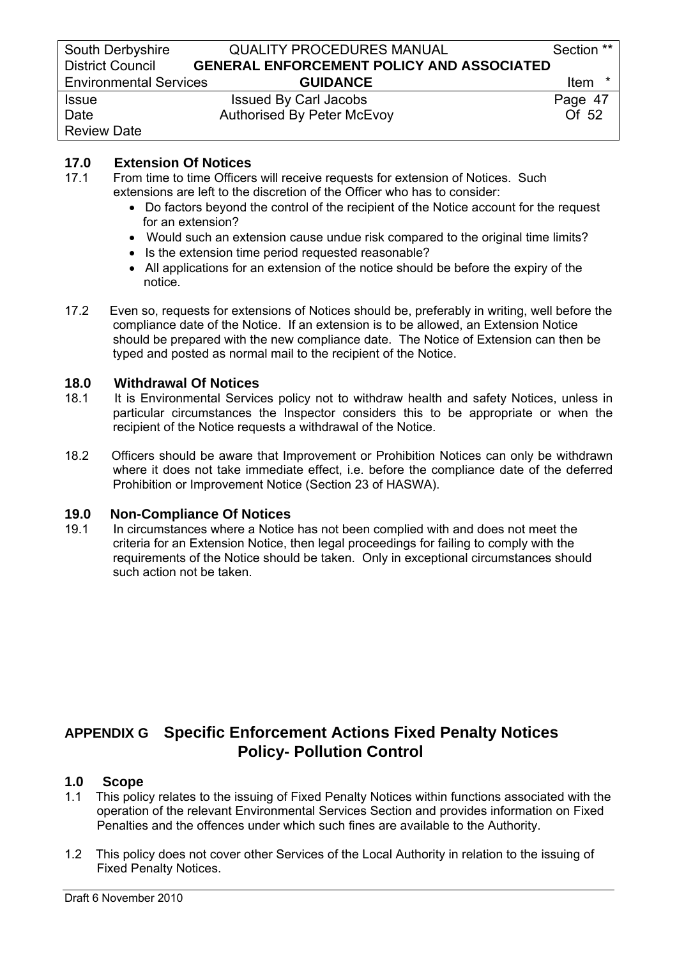# **17.0 Extension Of Notices**

- 17.1 From time to time Officers will receive requests for extension of Notices. Such extensions are left to the discretion of the Officer who has to consider:
	- Do factors beyond the control of the recipient of the Notice account for the request for an extension?
	- Would such an extension cause undue risk compared to the original time limits?
	- Is the extension time period requested reasonable?
	- All applications for an extension of the notice should be before the expiry of the notice.
- 17.2 Even so, requests for extensions of Notices should be, preferably in writing, well before the compliance date of the Notice. If an extension is to be allowed, an Extension Notice should be prepared with the new compliance date. The Notice of Extension can then be typed and posted as normal mail to the recipient of the Notice.

# **18.0 Withdrawal Of Notices**<br>**18.1** It is Environmental Service

- It is Environmental Services policy not to withdraw health and safety Notices, unless in particular circumstances the Inspector considers this to be appropriate or when the recipient of the Notice requests a withdrawal of the Notice.
- 18.2 Officers should be aware that Improvement or Prohibition Notices can only be withdrawn where it does not take immediate effect, i.e. before the compliance date of the deferred Prohibition or Improvement Notice (Section 23 of HASWA).

# **19.0 Non-Compliance Of Notices**<br> **19.1** In circumstances where a Notice

In circumstances where a Notice has not been complied with and does not meet the criteria for an Extension Notice, then legal proceedings for failing to comply with the requirements of the Notice should be taken. Only in exceptional circumstances should such action not be taken.

# **APPENDIX G Specific Enforcement Actions Fixed Penalty Notices Policy- Pollution Control**

### **1.0 Scope**

- 1.1 This policy relates to the issuing of Fixed Penalty Notices within functions associated with the operation of the relevant Environmental Services Section and provides information on Fixed Penalties and the offences under which such fines are available to the Authority.
- 1.2 This policy does not cover other Services of the Local Authority in relation to the issuing of Fixed Penalty Notices.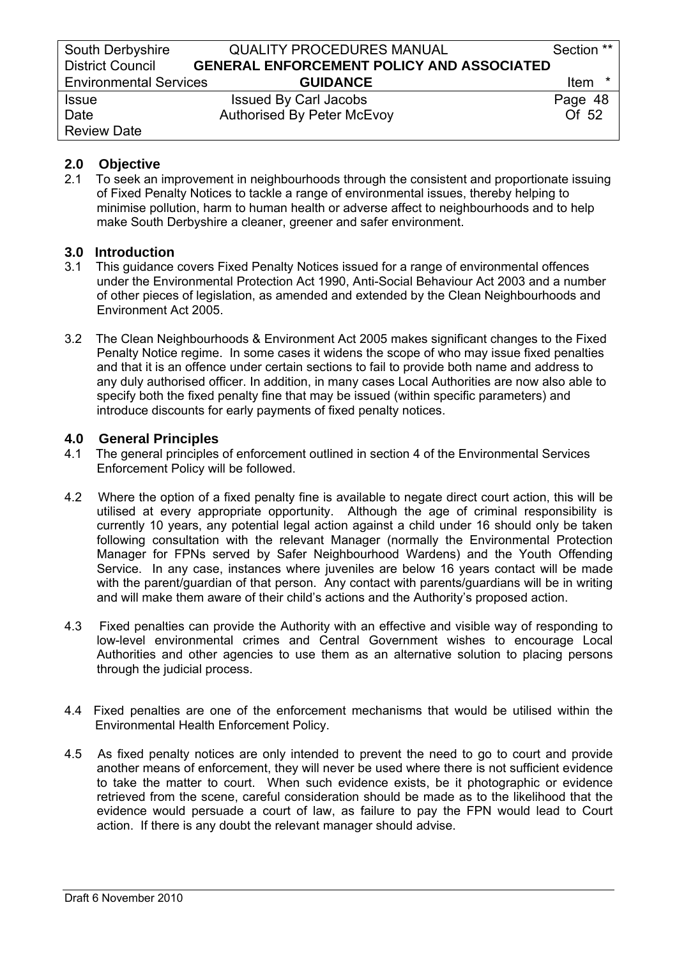# **2.0 Objective**

2.1 To seek an improvement in neighbourhoods through the consistent and proportionate issuing of Fixed Penalty Notices to tackle a range of environmental issues, thereby helping to minimise pollution, harm to human health or adverse affect to neighbourhoods and to help make South Derbyshire a cleaner, greener and safer environment.

### **3.0 Introduction**

- 3.1 This guidance covers Fixed Penalty Notices issued for a range of environmental offences under the Environmental Protection Act 1990, Anti-Social Behaviour Act 2003 and a number of other pieces of legislation, as amended and extended by the Clean Neighbourhoods and Environment Act 2005.
- 3.2 The Clean Neighbourhoods & Environment Act 2005 makes significant changes to the Fixed Penalty Notice regime. In some cases it widens the scope of who may issue fixed penalties and that it is an offence under certain sections to fail to provide both name and address to any duly authorised officer. In addition, in many cases Local Authorities are now also able to specify both the fixed penalty fine that may be issued (within specific parameters) and introduce discounts for early payments of fixed penalty notices.

### **4.0 General Principles**

- 4.1 The general principles of enforcement outlined in section 4 of the Environmental Services Enforcement Policy will be followed.
- 4.2 Where the option of a fixed penalty fine is available to negate direct court action, this will be utilised at every appropriate opportunity. Although the age of criminal responsibility is currently 10 years, any potential legal action against a child under 16 should only be taken following consultation with the relevant Manager (normally the Environmental Protection Manager for FPNs served by Safer Neighbourhood Wardens) and the Youth Offending Service. In any case, instances where juveniles are below 16 years contact will be made with the parent/guardian of that person. Any contact with parents/guardians will be in writing and will make them aware of their child's actions and the Authority's proposed action.
- 4.3 Fixed penalties can provide the Authority with an effective and visible way of responding to low-level environmental crimes and Central Government wishes to encourage Local Authorities and other agencies to use them as an alternative solution to placing persons through the judicial process.
- 4.4 Fixed penalties are one of the enforcement mechanisms that would be utilised within the Environmental Health Enforcement Policy.
- 4.5 As fixed penalty notices are only intended to prevent the need to go to court and provide another means of enforcement, they will never be used where there is not sufficient evidence to take the matter to court. When such evidence exists, be it photographic or evidence retrieved from the scene, careful consideration should be made as to the likelihood that the evidence would persuade a court of law, as failure to pay the FPN would lead to Court action. If there is any doubt the relevant manager should advise.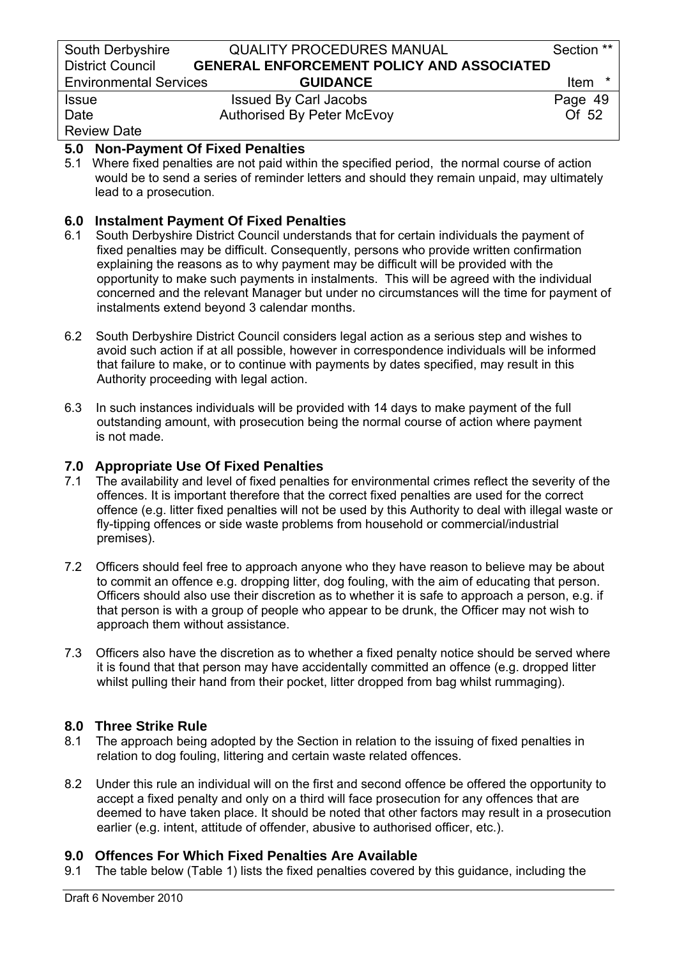| South Derbyshire              | <b>QUALITY PROCEDURES MANUAL</b>                 | Section **      |
|-------------------------------|--------------------------------------------------|-----------------|
| <b>District Council</b>       | <b>GENERAL ENFORCEMENT POLICY AND ASSOCIATED</b> |                 |
| <b>Environmental Services</b> | <b>GUIDANCE</b>                                  | $\star$<br>Item |
| <b>Issue</b>                  | <b>Issued By Carl Jacobs</b>                     | Page 49         |
| Date                          | <b>Authorised By Peter McEvoy</b>                | Of 52           |
| <b>Review Date</b>            |                                                  |                 |

# **5.0 Non-Payment Of Fixed Penalties**

5.1 Where fixed penalties are not paid within the specified period, the normal course of action would be to send a series of reminder letters and should they remain unpaid, may ultimately lead to a prosecution.

# **6.0 Instalment Payment Of Fixed Penalties**

- 6.1 South Derbyshire District Council understands that for certain individuals the payment of fixed penalties may be difficult. Consequently, persons who provide written confirmation explaining the reasons as to why payment may be difficult will be provided with the opportunity to make such payments in instalments. This will be agreed with the individual concerned and the relevant Manager but under no circumstances will the time for payment of instalments extend beyond 3 calendar months.
- 6.2 South Derbyshire District Council considers legal action as a serious step and wishes to avoid such action if at all possible, however in correspondence individuals will be informed that failure to make, or to continue with payments by dates specified, may result in this Authority proceeding with legal action.
- 6.3 In such instances individuals will be provided with 14 days to make payment of the full outstanding amount, with prosecution being the normal course of action where payment is not made.

# **7.0 Appropriate Use Of Fixed Penalties**

- 7.1 The availability and level of fixed penalties for environmental crimes reflect the severity of the offences. It is important therefore that the correct fixed penalties are used for the correct offence (e.g. litter fixed penalties will not be used by this Authority to deal with illegal waste or fly-tipping offences or side waste problems from household or commercial/industrial premises).
- 7.2 Officers should feel free to approach anyone who they have reason to believe may be about to commit an offence e.g. dropping litter, dog fouling, with the aim of educating that person. Officers should also use their discretion as to whether it is safe to approach a person, e.g. if that person is with a group of people who appear to be drunk, the Officer may not wish to approach them without assistance.
- 7.3 Officers also have the discretion as to whether a fixed penalty notice should be served where it is found that that person may have accidentally committed an offence (e.g. dropped litter whilst pulling their hand from their pocket, litter dropped from bag whilst rummaging).

# **8.0 Three Strike Rule**

- 8.1 The approach being adopted by the Section in relation to the issuing of fixed penalties in relation to dog fouling, littering and certain waste related offences.
- 8.2 Under this rule an individual will on the first and second offence be offered the opportunity to accept a fixed penalty and only on a third will face prosecution for any offences that are deemed to have taken place. It should be noted that other factors may result in a prosecution earlier (e.g. intent, attitude of offender, abusive to authorised officer, etc.).

# **9.0 Offences For Which Fixed Penalties Are Available**

9.1 The table below (Table 1) lists the fixed penalties covered by this guidance, including the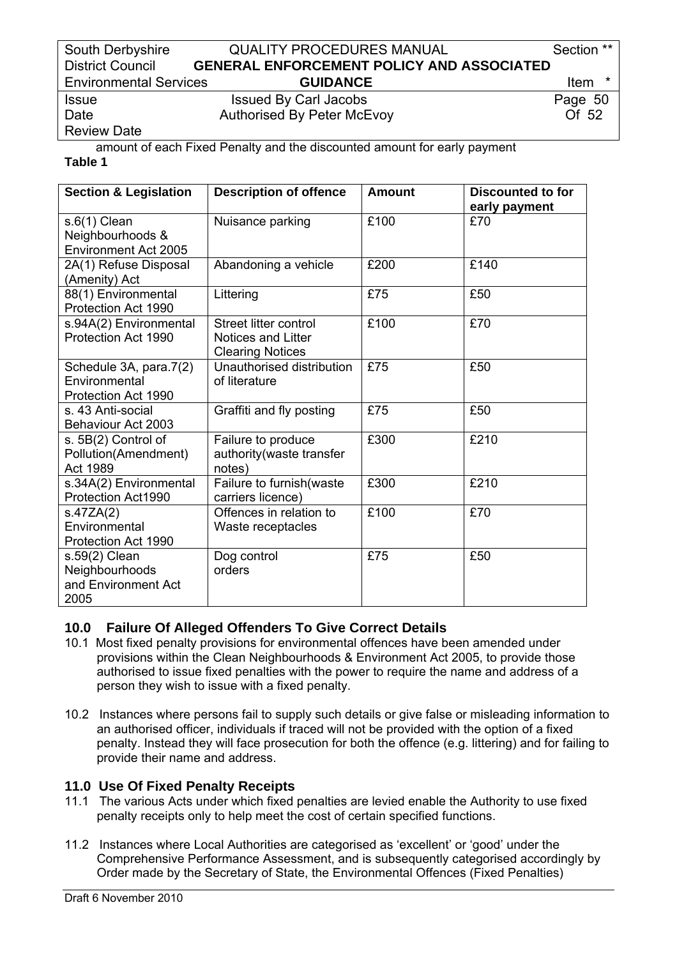### South Derbyshire **QUALITY PROCEDURES MANUAL** Section \*\* District Council **GENERAL ENFORCEMENT POLICY AND ASSOCIATED**  Environmental Services **GUIDANCE** Item \*

Issue Issued By Carl Jacobs Page 50 Date **Authorised By Peter McEvoy COLLUST** 2

Review Date

 amount of each Fixed Penalty and the discounted amount for early payment **Table 1** 

| <b>Section &amp; Legislation</b>                               | <b>Description of offence</b>                                                 | <b>Amount</b> | <b>Discounted to for</b><br>early payment |
|----------------------------------------------------------------|-------------------------------------------------------------------------------|---------------|-------------------------------------------|
| $s.6(1)$ Clean<br>Neighbourhoods &<br>Environment Act 2005     | Nuisance parking                                                              | £100          | £70                                       |
| 2A(1) Refuse Disposal<br>(Amenity) Act                         | Abandoning a vehicle                                                          | £200          | £140                                      |
| 88(1) Environmental<br>Protection Act 1990                     | Littering                                                                     | £75           | £50                                       |
| s.94A(2) Environmental<br>Protection Act 1990                  | Street litter control<br><b>Notices and Litter</b><br><b>Clearing Notices</b> | £100          | £70                                       |
| Schedule 3A, para.7(2)<br>Environmental<br>Protection Act 1990 | Unauthorised distribution<br>of literature                                    | £75           | £50                                       |
| s. 43 Anti-social<br>Behaviour Act 2003                        | Graffiti and fly posting                                                      | £75           | £50                                       |
| s. 5B(2) Control of<br>Pollution(Amendment)<br>Act 1989        | Failure to produce<br>authority (waste transfer<br>notes)                     | £300          | £210                                      |
| s.34A(2) Environmental<br>Protection Act1990                   | Failure to furnish(waste<br>carriers licence)                                 | £300          | £210                                      |
| s.47ZA(2)<br>Environmental<br>Protection Act 1990              | Offences in relation to<br>Waste receptacles                                  | £100          | £70                                       |
| s.59(2) Clean<br>Neighbourhoods<br>and Environment Act<br>2005 | Dog control<br>orders                                                         | £75           | £50                                       |

# **10.0 Failure Of Alleged Offenders To Give Correct Details**

- 10.1 Most fixed penalty provisions for environmental offences have been amended under provisions within the Clean Neighbourhoods & Environment Act 2005, to provide those authorised to issue fixed penalties with the power to require the name and address of a person they wish to issue with a fixed penalty.
- 10.2 Instances where persons fail to supply such details or give false or misleading information to an authorised officer, individuals if traced will not be provided with the option of a fixed penalty. Instead they will face prosecution for both the offence (e.g. littering) and for failing to provide their name and address.

# **11.0 Use Of Fixed Penalty Receipts**

- 11.1 The various Acts under which fixed penalties are levied enable the Authority to use fixed penalty receipts only to help meet the cost of certain specified functions.
- 11.2 Instances where Local Authorities are categorised as 'excellent' or 'good' under the Comprehensive Performance Assessment, and is subsequently categorised accordingly by Order made by the Secretary of State, the Environmental Offences (Fixed Penalties)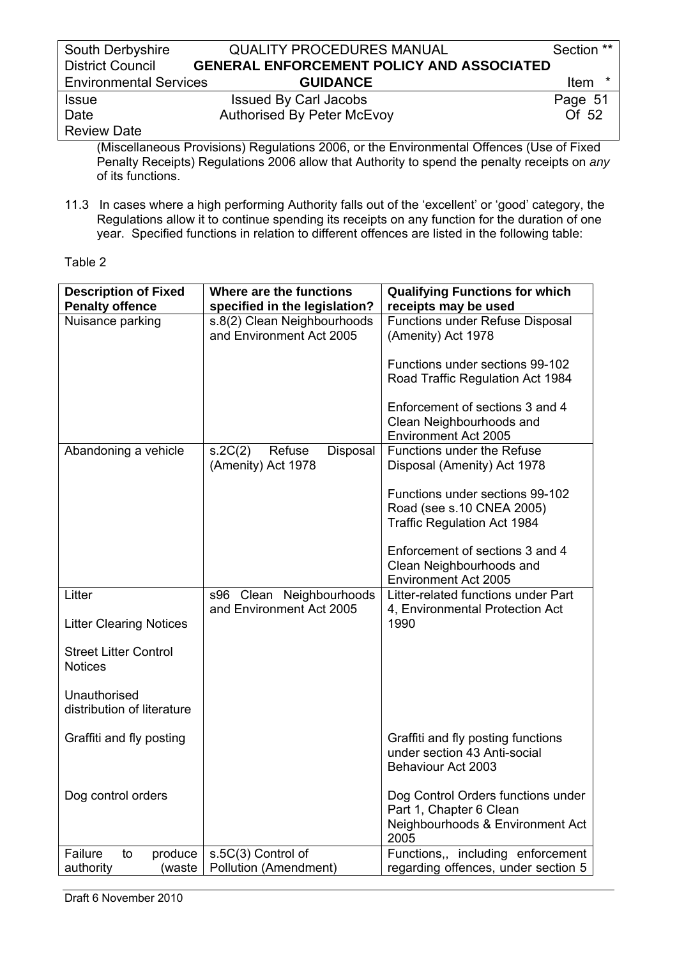| South Derbyshire              | <b>QUALITY PROCEDURES MANUAL</b>                 | Section **             |
|-------------------------------|--------------------------------------------------|------------------------|
| <b>District Council</b>       | <b>GENERAL ENFORCEMENT POLICY AND ASSOCIATED</b> |                        |
| <b>Environmental Services</b> | <b>GUIDANCE</b>                                  | <b>Item</b><br>$\star$ |
| <b>Issue</b>                  | <b>Issued By Carl Jacobs</b>                     | Page 51                |
| Date                          | <b>Authorised By Peter McEvoy</b>                | Of 52                  |
| <b>Review Date</b>            |                                                  |                        |

(Miscellaneous Provisions) Regulations 2006, or the Environmental Offences (Use of Fixed Penalty Receipts) Regulations 2006 allow that Authority to spend the penalty receipts on *any* of its functions.

11.3 In cases where a high performing Authority falls out of the 'excellent' or 'good' category, the Regulations allow it to continue spending its receipts on any function for the duration of one year. Specified functions in relation to different offences are listed in the following table:

Table 2

| <b>Description of Fixed</b><br><b>Penalty offence</b> | Where are the functions<br>specified in the legislation? | <b>Qualifying Functions for which</b><br>receipts may be used            |
|-------------------------------------------------------|----------------------------------------------------------|--------------------------------------------------------------------------|
| Nuisance parking                                      | s.8(2) Clean Neighbourhoods                              | <b>Functions under Refuse Disposal</b>                                   |
|                                                       | and Environment Act 2005                                 | (Amenity) Act 1978                                                       |
|                                                       |                                                          |                                                                          |
|                                                       |                                                          | Functions under sections 99-102                                          |
|                                                       |                                                          | Road Traffic Regulation Act 1984                                         |
|                                                       |                                                          | Enforcement of sections 3 and 4                                          |
|                                                       |                                                          | Clean Neighbourhoods and                                                 |
|                                                       |                                                          | <b>Environment Act 2005</b>                                              |
| Abandoning a vehicle                                  | Refuse<br>Disposal<br>s.2C(2)                            | <b>Functions under the Refuse</b>                                        |
|                                                       | (Amenity) Act 1978                                       | Disposal (Amenity) Act 1978                                              |
|                                                       |                                                          | Functions under sections 99-102                                          |
|                                                       |                                                          | Road (see s.10 CNEA 2005)                                                |
|                                                       |                                                          | <b>Traffic Regulation Act 1984</b>                                       |
|                                                       |                                                          | Enforcement of sections 3 and 4                                          |
|                                                       |                                                          | Clean Neighbourhoods and                                                 |
|                                                       |                                                          | <b>Environment Act 2005</b>                                              |
| Litter                                                | s96 Clean Neighbourhoods                                 | Litter-related functions under Part                                      |
|                                                       | and Environment Act 2005                                 | 4, Environmental Protection Act                                          |
| <b>Litter Clearing Notices</b>                        |                                                          | 1990                                                                     |
| <b>Street Litter Control</b>                          |                                                          |                                                                          |
| <b>Notices</b>                                        |                                                          |                                                                          |
|                                                       |                                                          |                                                                          |
| Unauthorised<br>distribution of literature            |                                                          |                                                                          |
|                                                       |                                                          |                                                                          |
| Graffiti and fly posting                              |                                                          | Graffiti and fly posting functions                                       |
|                                                       |                                                          | under section 43 Anti-social                                             |
|                                                       |                                                          | Behaviour Act 2003                                                       |
| Dog control orders                                    |                                                          | Dog Control Orders functions under                                       |
|                                                       |                                                          | Part 1, Chapter 6 Clean                                                  |
|                                                       |                                                          | Neighbourhoods & Environment Act                                         |
|                                                       |                                                          | 2005                                                                     |
| Failure<br>produce<br>to<br>authority<br>(waste       | s.5C(3) Control of<br>Pollution (Amendment)              | Functions,, including enforcement<br>regarding offences, under section 5 |
|                                                       |                                                          |                                                                          |